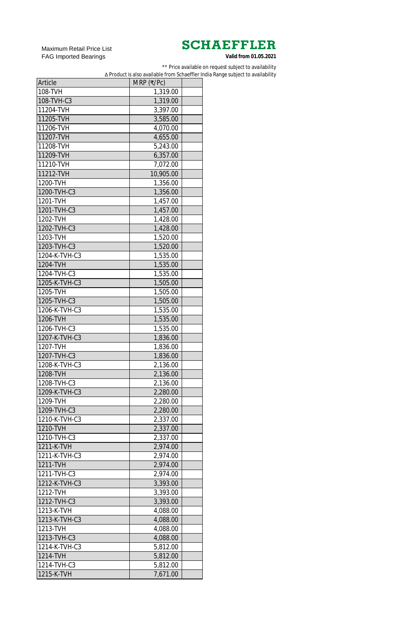Maximum Retail Price List FAG Imported Bearings

| Article       | $MRP$ (₹/Pc) |  |
|---------------|--------------|--|
| 108-TVH       | 1,319.00     |  |
| 108-TVH-C3    | 1,319.00     |  |
| 11204-TVH     | 3,397.00     |  |
| 11205-TVH     | 3,585.00     |  |
| 11206-TVH     | 4,070.00     |  |
| 11207-TVH     | 4,655.00     |  |
| 11208-TVH     | 5,243.00     |  |
| 11209-TVH     | 6,357.00     |  |
| 11210-TVH     | 7,072.00     |  |
| 11212-TVH     | 10,905.00    |  |
| 1200-TVH      | 1,356.00     |  |
| 1200-TVH-C3   | 1,356.00     |  |
| 1201-TVH      | 1,457.00     |  |
| 1201-TVH-C3   | 1,457.00     |  |
| 1202-TVH      | 1,428.00     |  |
| 1202-TVH-C3   | 1,428.00     |  |
| 1203-TVH      | 1,520.00     |  |
| 1203-TVH-C3   | 1,520.00     |  |
| 1204-K-TVH-C3 | 1,535.00     |  |
| 1204-TVH      | 1,535.00     |  |
| 1204-TVH-C3   | 1,535.00     |  |
| 1205-K-TVH-C3 | 1,505.00     |  |
| 1205-TVH      | 1,505.00     |  |
| 1205-TVH-C3   | 1,505.00     |  |
| 1206-K-TVH-C3 | 1,535.00     |  |
| 1206-TVH      |              |  |
| 1206-TVH-C3   | 1,535.00     |  |
| 1207-K-TVH-C3 | 1,535.00     |  |
| 1207-TVH      | 1,836.00     |  |
| 1207-TVH-C3   | 1,836.00     |  |
|               | 1,836.00     |  |
| 1208-K-TVH-C3 | 2,136.00     |  |
| 1208-TVH      | 2,136.00     |  |
| 1208-TVH-C3   | 2,136.00     |  |
| 1209-K-TVH-C3 | 2,280.00     |  |
| 1209-TVH      | 2,280.00     |  |
| 1209-TVH-C3   | 2,280.00     |  |
| 1210-K-TVH-C3 | 2,337.00     |  |
| 1210-TVH      | 2,337.00     |  |
| 1210-TVH-C3   | 2,337.00     |  |
| 1211-K-TVH    | 2,974.00     |  |
| 1211-K-TVH-C3 | 2,974.00     |  |
| 1211-TVH      | 2,974.00     |  |
| 1211-TVH-C3   | 2,974.00     |  |
| 1212-K-TVH-C3 | 3,393.00     |  |
| 1212-TVH      | 3,393.00     |  |
| 1212-TVH-C3   | 3,393.00     |  |
| 1213-K-TVH    | 4,088.00     |  |
| 1213-K-TVH-C3 | 4,088.00     |  |
| 1213-TVH      | 4,088.00     |  |
| 1213-TVH-C3   | 4,088.00     |  |
| 1214-K-TVH-C3 | 5,812.00     |  |
| 1214-TVH      | 5,812.00     |  |
| 1214-TVH-C3   | 5,812.00     |  |
| 1215-K-TVH    | 7,671.00     |  |

\*\* Price available on request subject to availability

∆ Product is also available from Schaeffler India Range subject to availability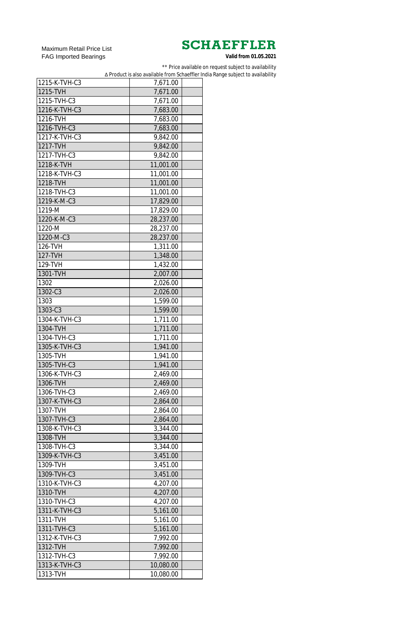Maximum Retail Price List FAG Imported Bearings

\*\* Price available on request subject to availability

∆ Product is also available from Schaeffler India Range subject to availability

| 1215-K-TVH-C3 | 7,671.00  |  |
|---------------|-----------|--|
| 1215-TVH      | 7,671.00  |  |
| 1215-TVH-C3   | 7,671.00  |  |
| 1216-K-TVH-C3 | 7,683.00  |  |
| 1216-TVH      | 7,683.00  |  |
| 1216-TVH-C3   | 7,683.00  |  |
| 1217-K-TVH-C3 | 9,842.00  |  |
| 1217-TVH      | 9,842.00  |  |
| 1217-TVH-C3   | 9,842.00  |  |
| 1218-K-TVH    | 11,001.00 |  |
| 1218-K-TVH-C3 | 11,001.00 |  |
| 1218-TVH      | 11,001.00 |  |
| 1218-TVH-C3   | 11,001.00 |  |
| 1219-K-M-C3   | 17,829.00 |  |
| 1219-M        | 17,829.00 |  |
| 1220-K-M-C3   | 28,237.00 |  |
| 1220-M        | 28,237.00 |  |
| 1220-M-C3     | 28,237.00 |  |
| 126-TVH       | 1,311.00  |  |
| 127-TVH       |           |  |
| 129-TVH       | 1,348.00  |  |
| 1301-TVH      | 1,432.00  |  |
|               | 2,007.00  |  |
| 1302          | 2,026.00  |  |
| 1302-C3       | 2,026.00  |  |
| 1303          | 1.599.00  |  |
| 1303-C3       | 1,599.00  |  |
| 1304-K-TVH-C3 | 1,711.00  |  |
| 1304-TVH      | 1,711.00  |  |
| 1304-TVH-C3   | 1,711.00  |  |
| 1305-K-TVH-C3 | 1,941.00  |  |
| 1305-TVH      | 1,941.00  |  |
| 1305-TVH-C3   | 1,941.00  |  |
| 1306-K-TVH-C3 | 2,469.00  |  |
| 1306-TVH      | 2,469.00  |  |
| 1306-TVH-C3   | 2,469.00  |  |
| 1307-K-TVH-C3 | 2,864.00  |  |
| 1307-TVH      | 2,864.00  |  |
| 1307-TVH-C3   | 2,864.00  |  |
| 1308-K-TVH-C3 | 3,344.00  |  |
| 1308-TVH      | 3,344.00  |  |
| 1308-TVH-C3   | 3,344.00  |  |
| 1309-K-TVH-C3 | 3,451.00  |  |
| 1309-TVH      | 3,451.00  |  |
| 1309-TVH-C3   | 3,451.00  |  |
| 1310-K-TVH-C3 | 4,207.00  |  |
| 1310-TVH      | 4,207.00  |  |
| 1310-TVH-C3   | 4,207.00  |  |
| 1311-K-TVH-C3 | 5,161.00  |  |
| 1311-TVH      | 5,161.00  |  |
| 1311-TVH-C3   | 5,161.00  |  |
| 1312-K-TVH-C3 | 7,992.00  |  |
| 1312-TVH      | 7,992.00  |  |
| 1312-TVH-C3   | 7,992.00  |  |
| 1313-K-TVH-C3 | 10,080.00 |  |
| 1313-TVH      | 10,080.00 |  |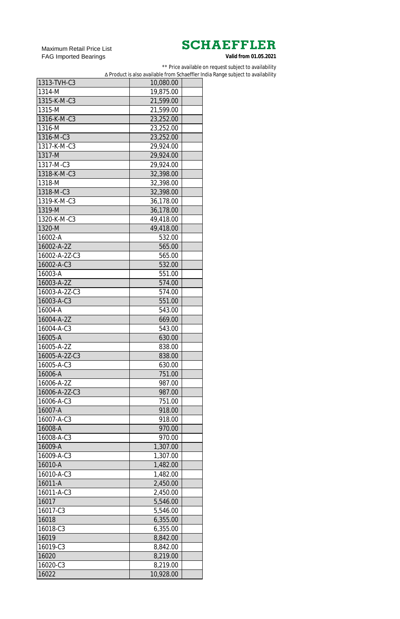Maximum Retail Price List FAG Imported Bearings

\*\* Price available on request subject to availability

∆ Product is also available from Schaeffler India Range subject to availability

| 1313-TVH-C3   | 10,080.00 |  |
|---------------|-----------|--|
| 1314-M        | 19,875.00 |  |
| 1315-K-M-C3   | 21,599.00 |  |
| 1315-M        | 21,599.00 |  |
| 1316-K-M-C3   | 23,252.00 |  |
| 1316-M        | 23,252.00 |  |
| 1316-M-C3     | 23,252.00 |  |
| 1317-K-M-C3   | 29,924.00 |  |
| 1317-M        | 29,924.00 |  |
| 1317-M-C3     | 29,924.00 |  |
| 1318-K-M-C3   | 32,398.00 |  |
| 1318-M        | 32,398.00 |  |
| 1318-M-C3     | 32,398.00 |  |
| 1319-K-M-C3   | 36,178.00 |  |
| 1319-M        | 36,178.00 |  |
| 1320-K-M-C3   | 49,418.00 |  |
| 1320-M        | 49,418.00 |  |
| 16002-A       | 532.00    |  |
| 16002-A-2Z    | 565.00    |  |
| 16002-A-2Z-C3 | 565.00    |  |
| 16002-A-C3    | 532.00    |  |
| 16003-A       | 551.00    |  |
| 16003-A-2Z    | 574.00    |  |
| 16003-A-2Z-C3 | 574.00    |  |
| 16003-A-C3    |           |  |
|               | 551.00    |  |
| 16004-A       | 543.00    |  |
| 16004-A-2Z    | 669.00    |  |
| 16004-A-C3    | 543.00    |  |
| 16005-A       | 630.00    |  |
| 16005-A-2Z    | 838.00    |  |
| 16005-A-2Z-C3 | 838.00    |  |
| 16005-A-C3    | 630.00    |  |
| 16006-A       | 751.00    |  |
| 16006-A-2Z    | 987.00    |  |
| 16006-A-2Z-C3 | 987.00    |  |
| 16006-A-C3    | 751.00    |  |
| 16007-A       | 918.00    |  |
| 16007-A-C3    | 918.00    |  |
| 16008-A       | 970.00    |  |
| 16008-A-C3    | 970.00    |  |
| 16009-A       | 1,307.00  |  |
| 16009-A-C3    | 1,307.00  |  |
| 16010-A       | 1,482.00  |  |
| 16010-A-C3    | 1,482.00  |  |
| 16011-A       | 2,450.00  |  |
| 16011-A-C3    | 2,450.00  |  |
| 16017         | 5,546.00  |  |
| 16017-C3      | 5,546.00  |  |
| 16018         | 6,355.00  |  |
| 16018-C3      | 6,355.00  |  |
| 16019         | 8,842.00  |  |
| 16019-C3      | 8,842.00  |  |
| 16020         | 8,219.00  |  |
| 16020-C3      | 8,219.00  |  |
| 16022         | 10,928.00 |  |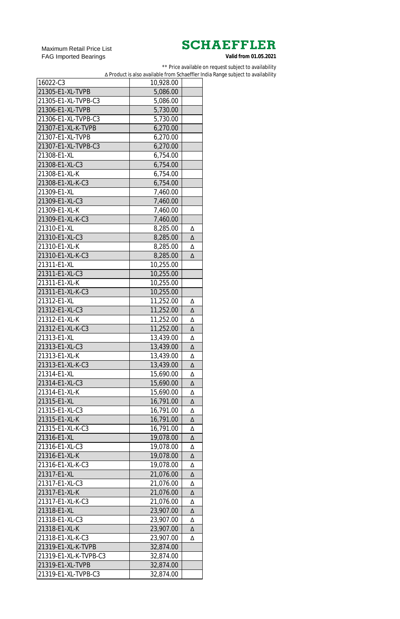Maximum Retail Price List FAG Imported Bearings

\*\* Price available on request subject to availability

∆ Product is also available from Schaeffler India Range subject to availability

| 16022-C3              | 10,928.00 |        |
|-----------------------|-----------|--------|
| 21305-E1-XL-TVPB      | 5,086.00  |        |
| 21305-E1-XL-TVPB-C3   | 5,086.00  |        |
| 21306-E1-XL-TVPB      | 5,730.00  |        |
| 21306-E1-XL-TVPB-C3   | 5,730.00  |        |
| 21307-E1-XL-K-TVPB    | 6,270.00  |        |
| 21307-E1-XL-TVPB      | 6,270.00  |        |
| 21307-E1-XL-TVPB-C3   | 6,270.00  |        |
| 21308-E1-XL           | 6,754.00  |        |
| 21308-E1-XL-C3        | 6,754.00  |        |
| 21308-E1-XL-K         | 6,754.00  |        |
| 21308-E1-XL-K-C3      | 6,754.00  |        |
| 21309-E1-XL           | 7,460.00  |        |
| 21309-E1-XL-C3        |           |        |
| 21309-E1-XL-K         | 7,460.00  |        |
|                       | 7,460.00  |        |
| 21309-E1-XL-K-C3      | 7,460.00  |        |
| 21310-E1-XL           | 8,285.00  | Δ      |
| 21310-E1-XL-C3        | 8,285.00  | Δ      |
| 21310-E1-XL-K         | 8,285.00  | Δ      |
| 21310-E1-XL-K-C3      | 8,285.00  | Δ      |
| 21311-E1-XL           | 10,255.00 |        |
| 21311-E1-XL-C3        | 10,255.00 |        |
| 21311-E1-XL-K         | 10,255.00 |        |
| 21311-E1-XL-K-C3      | 10,255.00 |        |
| 21312-E1-XL           | 11,252.00 | Δ      |
| 21312-E1-XL-C3        | 11,252.00 | Δ      |
| 21312-E1-XL-K         | 11,252.00 | Δ      |
| 21312-E1-XL-K-C3      | 11,252.00 | Δ      |
| 21313-E1-XL           | 13,439.00 | Δ      |
| 21313-E1-XL-C3        | 13,439.00 | Δ      |
| 21313-E1-XL-K         | 13,439.00 | Δ      |
| 21313-E1-XL-K-C3      | 13,439.00 | Δ      |
| 21314-E1-XL           | 15,690.00 | Δ      |
| 21314-E1-XL-C3        | 15,690.00 | Δ      |
| 21314-E1-XL-K         | 15,690.00 | Δ      |
| 21315-E1-XL           | 16,791.00 | Δ      |
| 21315-E1-XL-C3        | 16,791.00 | Δ      |
| 21315-E1-XL-K         | 16,791.00 | Δ      |
| 21315-E1-XL-K-C3      | 16,791.00 | Δ      |
| 21316-E1-XL           | 19,078.00 | Δ      |
| 21316-E1-XL-C3        | 19,078.00 | Δ      |
| 21316-E1-XL-K         | 19,078.00 | Δ      |
| 21316-E1-XL-K-C3      | 19,078.00 | Δ      |
| 21317-E1-XL           | 21,076.00 | Δ      |
| 21317-E1-XL-C3        | 21,076.00 | Δ      |
| 21317-E1-XL-K         | 21,076.00 | Δ      |
| 21317-E1-XL-K-C3      | 21,076.00 | Δ      |
| 21318-E1-XL           | 23,907.00 | Δ      |
| 21318-E1-XL-C3        | 23,907.00 | Δ      |
| 21318-E1-XL-K         | 23,907.00 |        |
| 21318-E1-XL-K-C3      | 23,907.00 | Δ<br>Δ |
| 21319-E1-XL-K-TVPB    |           |        |
| 21319-E1-XL-K-TVPB-C3 | 32,874.00 |        |
|                       | 32,874.00 |        |
| 21319-E1-XL-TVPB      | 32,874.00 |        |
| 21319-E1-XL-TVPB-C3   | 32,874.00 |        |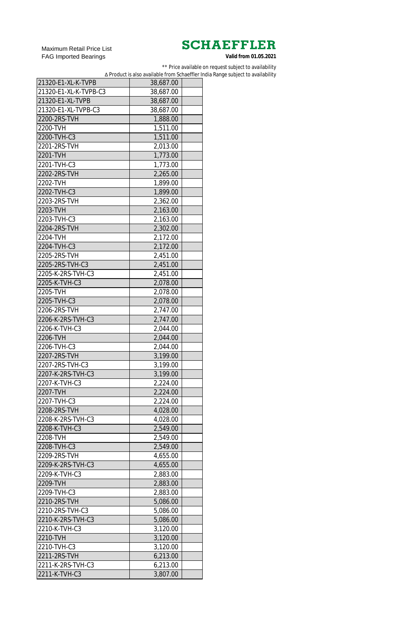Maximum Retail Price List FAG Imported Bearings

\*\* Price available on request subject to availability

∆ Product is also available from Schaeffler India Range subject to availability

| 21320-E1-XL-K-TVPB    | 38,687.00 |  |
|-----------------------|-----------|--|
| 21320-E1-XL-K-TVPB-C3 | 38,687.00 |  |
| 21320-E1-XL-TVPB      | 38,687.00 |  |
| 21320-E1-XL-TVPB-C3   | 38,687.00 |  |
| 2200-2RS-TVH          | 1,888.00  |  |
| 2200-TVH              | 1,511.00  |  |
| 2200-TVH-C3           | 1,511.00  |  |
| 2201-2RS-TVH          | 2,013.00  |  |
| 2201-TVH              | 1,773.00  |  |
| 2201-TVH-C3           | 1,773.00  |  |
| 2202-2RS-TVH          | 2,265.00  |  |
| 2202-TVH              | 1,899.00  |  |
| 2202-TVH-C3           | 1,899.00  |  |
| 2203-2RS-TVH          | 2,362.00  |  |
| 2203-TVH              | 2,163.00  |  |
| 2203-TVH-C3           | 2,163.00  |  |
| 2204-2RS-TVH          | 2,302.00  |  |
| 2204-TVH              | 2,172.00  |  |
| 2204-TVH-C3           | 2,172.00  |  |
| 2205-2RS-TVH          |           |  |
| 2205-2RS-TVH-C3       | 2,451.00  |  |
| 2205-K-2RS-TVH-C3     | 2,451.00  |  |
|                       | 2,451.00  |  |
| 2205-K-TVH-C3         | 2,078.00  |  |
| 2205-TVH              | 2,078.00  |  |
| 2205-TVH-C3           | 2,078.00  |  |
| 2206-2RS-TVH          | 2,747.00  |  |
| 2206-K-2RS-TVH-C3     | 2,747.00  |  |
| 2206-K-TVH-C3         | 2,044.00  |  |
| 2206-TVH              | 2,044.00  |  |
| 2206-TVH-C3           | 2,044.00  |  |
| 2207-2RS-TVH          | 3,199.00  |  |
| 2207-2RS-TVH-C3       | 3,199.00  |  |
| 2207-K-2RS-TVH-C3     | 3,199.00  |  |
| 2207-K-TVH-C3         | 2,224.00  |  |
| 2207-TVH              | 2,224.00  |  |
| 2207-TVH-C3           | 2,224.00  |  |
| 2208-2RS-TVH          | 4,028.00  |  |
| 2208-K-2RS-TVH-C3     | 4,028.00  |  |
| 2208-K-TVH-C3         | 2,549.00  |  |
| 2208-TVH              | 2,549.00  |  |
| 2208-TVH-C3           | 2,549.00  |  |
| 2209-2RS-TVH          | 4,655.00  |  |
| 2209-K-2RS-TVH-C3     | 4,655.00  |  |
| 2209-K-TVH-C3         | 2,883.00  |  |
| 2209-TVH              | 2,883.00  |  |
| 2209-TVH-C3           | 2,883.00  |  |
| 2210-2RS-TVH          | 5,086.00  |  |
| 2210-2RS-TVH-C3       | 5,086.00  |  |
| 2210-K-2RS-TVH-C3     | 5,086.00  |  |
| 2210-K-TVH-C3         | 3,120.00  |  |
| 2210-TVH              | 3,120.00  |  |
| 2210-TVH-C3           | 3,120.00  |  |
| 2211-2RS-TVH          | 6,213.00  |  |
| 2211-K-2RS-TVH-C3     | 6,213.00  |  |
| 2211-K-TVH-C3         | 3,807.00  |  |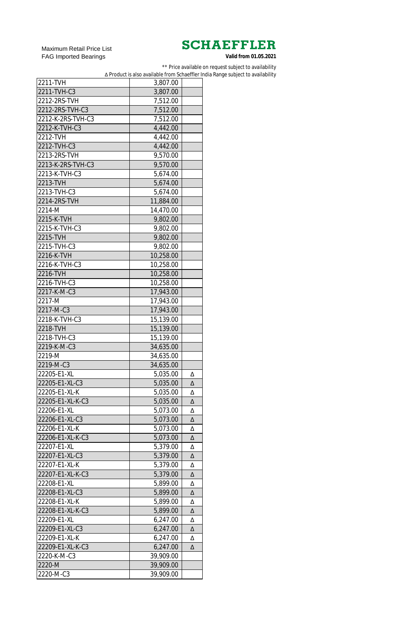Maximum Retail Price List FAG Imported Bearings

\*\* Price available on request subject to availability

∆ Product is also available from Schaeffler India Range subject to availability

| 2211-TVH          | 3,807.00  |   |
|-------------------|-----------|---|
| 2211-TVH-C3       | 3,807.00  |   |
| 2212-2RS-TVH      | 7,512.00  |   |
| 2212-2RS-TVH-C3   | 7,512.00  |   |
| 2212-K-2RS-TVH-C3 | 7,512.00  |   |
| 2212-K-TVH-C3     | 4,442.00  |   |
| 2212-TVH          | 4,442.00  |   |
| 2212-TVH-C3       | 4,442.00  |   |
| 2213-2RS-TVH      | 9,570.00  |   |
| 2213-K-2RS-TVH-C3 | 9,570.00  |   |
| 2213-K-TVH-C3     | 5,674.00  |   |
| 2213-TVH          | 5,674.00  |   |
| 2213-TVH-C3       | 5,674.00  |   |
| 2214-2RS-TVH      | 11,884.00 |   |
| 2214-M            | 14,470.00 |   |
| 2215-K-TVH        | 9,802.00  |   |
| 2215-K-TVH-C3     | 9,802.00  |   |
| 2215-TVH          | 9,802.00  |   |
| 2215-TVH-C3       |           |   |
| 2216-K-TVH        | 9,802.00  |   |
|                   | 10,258.00 |   |
| 2216-K-TVH-C3     | 10,258.00 |   |
| 2216-TVH          | 10,258.00 |   |
| 2216-TVH-C3       | 10,258.00 |   |
| 2217-K-M-C3       | 17,943.00 |   |
| 2217-M            | 17,943.00 |   |
| 2217-M-C3         | 17,943.00 |   |
| 2218-K-TVH-C3     | 15,139.00 |   |
| 2218-TVH          | 15,139.00 |   |
| 2218-TVH-C3       | 15,139.00 |   |
| 2219-K-M-C3       | 34,635.00 |   |
| 2219-M            | 34,635.00 |   |
| 2219-M-C3         | 34,635.00 |   |
| 22205-E1-XL       | 5,035.00  | Δ |
| 22205-E1-XL-C3    | 5,035.00  | Δ |
| 22205-E1-XL-K     | 5,035.00  | Δ |
| 22205-E1-XL-K-C3  | 5,035.00  | Δ |
| 22206-E1-XL       | 5,073.00  | Δ |
| 22206-E1-XL-C3    | 5,073.00  | Δ |
| 22206-E1-XL-K     | 5,073.00  | Δ |
| 22206-E1-XL-K-C3  | 5,073.00  | Δ |
| 22207-E1-XL       | 5,379.00  | Δ |
| 22207-E1-XL-C3    | 5,379.00  | Δ |
| 22207-E1-XL-K     | 5,379.00  | Δ |
| 22207-E1-XL-K-C3  | 5,379.00  | Δ |
| 22208-E1-XL       | 5,899.00  | Δ |
| 22208-E1-XL-C3    | 5,899.00  | Δ |
| 22208-E1-XL-K     | 5,899.00  | Δ |
| 22208-E1-XL-K-C3  | 5,899.00  | Δ |
| 22209-E1-XL       | 6,247.00  | Δ |
| 22209-E1-XL-C3    | 6,247.00  | Δ |
| 22209-E1-XL-K     | 6,247.00  | Δ |
| 22209-E1-XL-K-C3  | 6,247.00  | Δ |
| 2220-K-M-C3       | 39,909.00 |   |
| 2220-M            | 39,909.00 |   |
| 2220-M-C3         | 39,909.00 |   |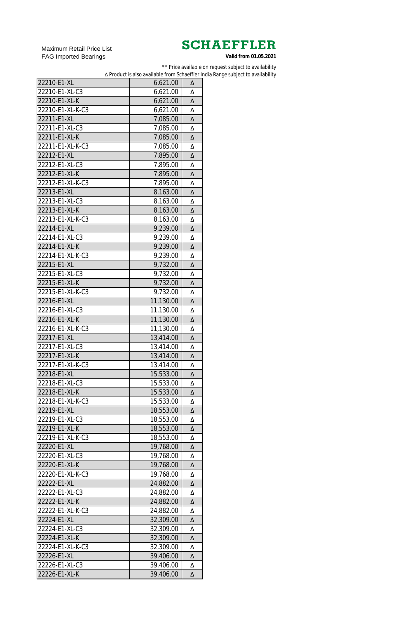Maximum Retail Price List FAG Imported Bearings

\*\* Price available on request subject to availability

∆ Product is also available from Schaeffler India Range subject to availability

| 22210-E1-XL      | 6,621.00  | Δ |
|------------------|-----------|---|
| 22210-E1-XL-C3   | 6,621.00  | Δ |
| 22210-E1-XL-K    | 6,621.00  | Δ |
| 22210-E1-XL-K-C3 | 6,621.00  | Δ |
| 22211-E1-XL      | 7,085.00  | Δ |
| 22211-E1-XL-C3   | 7,085.00  | Δ |
| 22211-E1-XL-K    | 7,085.00  | Δ |
| 22211-E1-XL-K-C3 | 7,085.00  | Δ |
| 22212-E1-XL      | 7,895.00  | Δ |
| 22212-E1-XL-C3   | 7,895.00  | Δ |
| 22212-E1-XL-K    | 7,895.00  | Δ |
| 22212-E1-XL-K-C3 | 7,895.00  | Δ |
| 22213-E1-XL      | 8,163.00  | Δ |
| 22213-E1-XL-C3   | 8,163.00  | Δ |
| 22213-E1-XL-K    | 8,163.00  | Δ |
| 22213-E1-XL-K-C3 | 8,163.00  | Δ |
| 22214-E1-XL      | 9,239.00  | Δ |
| 22214-E1-XL-C3   | 9,239.00  | Δ |
| 22214-E1-XL-K    | 9,239.00  | Δ |
| 22214-E1-XL-K-C3 |           |   |
|                  | 9,239.00  | Δ |
| 22215-E1-XL      | 9,732.00  | Δ |
| 22215-E1-XL-C3   | 9,732.00  | Δ |
| 22215-E1-XL-K    | 9,732.00  | Δ |
| 22215-E1-XL-K-C3 | 9,732.00  | Δ |
| 22216-E1-XL      | 11,130.00 | Δ |
| 22216-E1-XL-C3   | 11,130.00 | Δ |
| 22216-E1-XL-K    | 11,130.00 | Δ |
| 22216-E1-XL-K-C3 | 11,130.00 | Δ |
| 22217-E1-XL      | 13,414.00 | Δ |
| 22217-E1-XL-C3   | 13,414.00 | Δ |
| 22217-E1-XL-K    | 13,414.00 | Δ |
| 22217-E1-XL-K-C3 | 13,414.00 | Δ |
| 22218-E1-XL      | 15,533.00 | Δ |
| 22218-E1-XL-C3   | 15,533.00 | Δ |
| 22218-E1-XL-K    | 15,533.00 | Δ |
| 22218-E1-XL-K-C3 | 15,533.00 | Δ |
| 22219-E1-XL      | 18,553.00 | Δ |
| 22219-E1-XL-C3   | 18,553.00 | Δ |
| 22219-E1-XL-K    | 18,553.00 | Δ |
| 22219-E1-XL-K-C3 | 18,553.00 | Δ |
| 22220-E1-XL      | 19,768.00 | Δ |
| 22220-E1-XL-C3   | 19,768.00 | Δ |
| 22220-E1-XL-K    | 19,768.00 | Δ |
| 22220-E1-XL-K-C3 | 19,768.00 | Δ |
| 22222-E1-XL      | 24,882.00 | Δ |
| 22222-E1-XL-C3   | 24,882.00 | Δ |
| 22222-E1-XL-K    | 24,882.00 | Δ |
| 22222-E1-XL-K-C3 | 24,882.00 | Δ |
| 22224-E1-XL      | 32,309.00 | Δ |
| 22224-E1-XL-C3   | 32,309.00 | Δ |
| 22224-E1-XL-K    | 32,309.00 | Δ |
| 22224-E1-XL-K-C3 | 32,309.00 | Δ |
| 22226-E1-XL      | 39,406.00 | Δ |
| 22226-E1-XL-C3   | 39,406.00 | Δ |
| 22226-E1-XL-K    | 39,406.00 | Δ |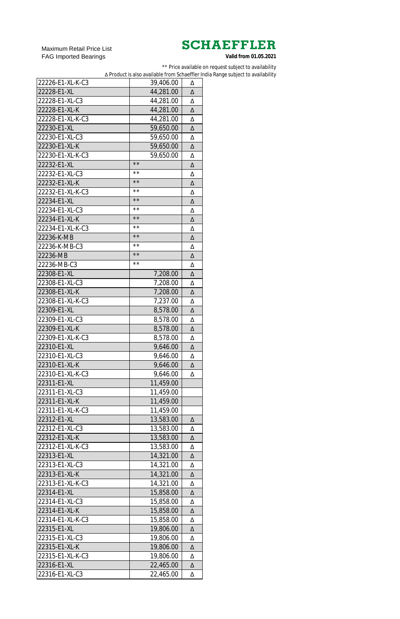Maximum Retail Price List FAG Imported Bearings

\*\* Price available on request subject to availability

∆ Product is also available from Schaeffler India Range subject to availability

| 22226-E1-XL-K-C3 | 39,406.00      | Δ |
|------------------|----------------|---|
| 22228-E1-XL      | 44,281.00      | Δ |
| 22228-E1-XL-C3   | 44,281.00      | Δ |
| 22228-E1-XL-K    | 44,281.00      | Δ |
| 22228-E1-XL-K-C3 | 44,281.00      | Δ |
| 22230-E1-XL      | 59,650.00      | Δ |
| 22230-E1-XL-C3   | 59,650.00      | Δ |
| 22230-E1-XL-K    | 59,650.00      | Δ |
| 22230-E1-XL-K-C3 | 59,650.00      | Δ |
| 22232-E1-XL      | $\star\star$   | Δ |
| 22232-E1-XL-C3   | **             | Δ |
| 22232-E1-XL-K    | $\star\,\star$ | Δ |
| 22232-E1-XL-K-C3 | **             | Δ |
| 22234-E1-XL      | $\star\,\star$ | Δ |
| 22234-E1-XL-C3   | * *            | Δ |
| 22234-E1-XL-K    | $\star\star$   | Δ |
| 22234-E1-XL-K-C3 | $\star\,\star$ |   |
|                  | $\star\star$   | Δ |
| 22236-K-MB       | * *            | Δ |
| 22236-K-MB-C3    | $\star\star$   | Δ |
| 22236-MB         | * *            | Δ |
| 22236-MB-C3      |                | Δ |
| 22308-E1-XL      | 7,208.00       | Δ |
| 22308-E1-XL-C3   | 7,208.00       | Δ |
| 22308-E1-XL-K    | 7,208.00       | Δ |
| 22308-E1-XL-K-C3 | 7,237.00       | Δ |
| 22309-E1-XL      | 8,578.00       | Δ |
| 22309-E1-XL-C3   | 8,578.00       | Δ |
| 22309-E1-XL-K    | 8,578.00       | Δ |
| 22309-E1-XL-K-C3 | 8,578.00       | Δ |
| 22310-E1-XL      | 9,646.00       | Δ |
| 22310-E1-XL-C3   | 9,646.00       | Δ |
| 22310-E1-XL-K    | 9,646.00       | Δ |
| 22310-E1-XL-K-C3 | 9,646.00       | Δ |
| 22311-E1-XL      | 11,459.00      |   |
| 22311-E1-XL-C3   | 11,459.00      |   |
| 22311-E1-XL-K    | 11,459.00      |   |
| 22311-E1-XL-K-C3 | 11,459.00      |   |
| 22312-E1-XL      | 13,583.00      | Δ |
| 22312-E1-XL-C3   | 13,583.00      | Δ |
| 22312-E1-XL-K    | 13,583.00      | Δ |
| 22312-E1-XL-K-C3 | 13,583.00      | Δ |
| 22313-E1-XL      | 14,321.00      | Δ |
| 22313-E1-XL-C3   | 14,321.00      | Δ |
| 22313-E1-XL-K    | 14,321.00      | Δ |
| 22313-E1-XL-K-C3 | 14,321.00      | Δ |
| 22314-E1-XL      | 15,858.00      | Δ |
| 22314-E1-XL-C3   | 15,858.00      | Δ |
| 22314-E1-XL-K    | 15,858.00      | Δ |
| 22314-E1-XL-K-C3 | 15,858.00      |   |
| 22315-E1-XL      | 19,806.00      | Δ |
|                  |                | Δ |
| 22315-E1-XL-C3   | 19,806.00      | Δ |
| 22315-E1-XL-K    | 19,806.00      | Δ |
| 22315-E1-XL-K-C3 | 19,806.00      | Δ |
| 22316-E1-XL      | 22,465.00      | Δ |
| 22316-E1-XL-C3   | 22,465.00      | Δ |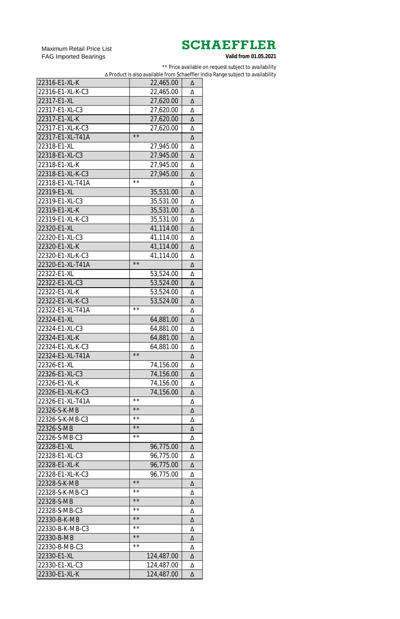Maximum Retail Price List FAG Imported Bearings

\*\* Price available on request subject to availability

∆ Product is also available from Schaeffler India Range subject to availability

| 22316-E1-XL-K    | 22,465.00                   | Δ |
|------------------|-----------------------------|---|
| 22316-E1-XL-K-C3 | 22,465.00                   | Δ |
| 22317-E1-XL      | 27,620.00                   | Δ |
| 22317-E1-XL-C3   | 27,620.00                   | Δ |
| 22317-E1-XL-K    | 27,620.00                   | Δ |
| 22317-E1-XL-K-C3 | 27,620.00                   | Δ |
| 22317-E1-XL-T41A | $\star\star$                | Δ |
| 22318-E1-XL      | 27,945.00                   | Δ |
| 22318-E1-XL-C3   | 27,945.00                   | Δ |
| 22318-E1-XL-K    | 27,945.00                   | Δ |
| 22318-E1-XL-K-C3 | 27,945.00                   | Δ |
| 22318-E1-XL-T41A | $\star\,\star$              | Δ |
| 22319-E1-XL      | 35,531.00                   | Δ |
| 22319-E1-XL-C3   | 35,531.00                   | Δ |
| 22319-E1-XL-K    | 35,531.00                   | Δ |
| 22319-E1-XL-K-C3 | 35,531.00                   | Δ |
| 22320-E1-XL      | 41,114.00                   | Δ |
| 22320-E1-XL-C3   | 41,114.00                   | Δ |
| 22320-E1-XL-K    | 41,114.00                   | Δ |
| 22320-E1-XL-K-C3 | 41,114.00                   | Δ |
| 22320-E1-XL-T41A | $\star\star$                | Δ |
| 22322-E1-XL      |                             |   |
|                  | 53,524.00                   | Δ |
| 22322-E1-XL-C3   | 53,524.00                   | Δ |
| 22322-E1-XL-K    | 53,524.00                   | Δ |
| 22322-E1-XL-K-C3 | 53,524.00<br>$\star\star$   | Δ |
| 22322-E1-XL-T41A |                             | Δ |
| 22324-E1-XL      | 64,881.00                   | Δ |
| 22324-E1-XL-C3   | 64,881.00                   | Δ |
| 22324-E1-XL-K    | 64,881.00                   | Δ |
| 22324-E1-XL-K-C3 | 64,881.00<br>$\star\star$   | Δ |
| 22324-E1-XL-T41A |                             | Δ |
| 22326-E1-XL      | 74,156.00                   | Δ |
| 22326-E1-XL-C3   | 74,156.00                   | Δ |
| 22326-E1-XL-K    | 74,156.00                   | Δ |
| 22326-E1-XL-K-C3 | 74,156.00<br>$\star\,\star$ | Δ |
| 22326-E1-XL-T41A | $\star\star$                | Δ |
| 22326-S-K-MB     |                             | Δ |
| 22326-S-K-MB-C3  | $\star\,\star$              | Δ |
| 22326-S-MB       | $\star\star$                | Δ |
| 22326-S-MB-C3    | $\star\,\star$              | Δ |
| 22328-E1-XL      | 96,775.00                   | Δ |
| 22328-E1-XL-C3   | 96,775.00                   | Δ |
| 22328-E1-XL-K    | 96,775.00                   | Δ |
| 22328-E1-XL-K-C3 | 96,775.00                   | Δ |
| 22328-S-K-MB     | $\star\star$                | Δ |
| 22328-S-K-MB-C3  | $\star\,\star$              | Δ |
| 22328-S-MB       | $\star\star$                | Δ |
| 22328-S-MB-C3    | $\star\,\star$              | Δ |
| 22330-B-K-MB     | $\star\star$                | Δ |
| 22330-B-K-MB-C3  | $\star\,\star$              | Δ |
| 22330-B-MB       | $\star\star$                | Δ |
| 22330-B-MB-C3    | $\star\,\star$              | Δ |
| 22330-E1-XL      | 124,487.00                  | Δ |
| 22330-E1-XL-C3   | 124,487.00                  | Δ |
| 22330-E1-XL-K    | 124,487.00                  | Δ |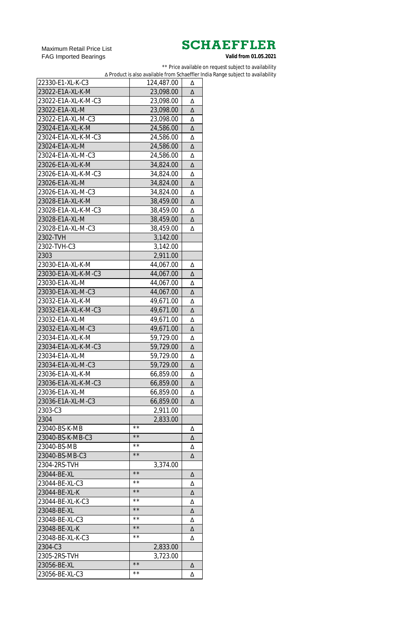Maximum Retail Price List FAG Imported Bearings

\*\* Price available on request subject to availability

∆ Product is also available from Schaeffler India Range subject to availability

| 22330-E1-XL-K-C3    | 124,487.00     | Δ |
|---------------------|----------------|---|
| 23022-E1A-XL-K-M    | 23,098.00      | Δ |
| 23022-E1A-XL-K-M-C3 | 23,098.00      | Δ |
| 23022-E1A-XL-M      | 23,098.00      | Δ |
| 23022-E1A-XL-M-C3   | 23,098.00      | Δ |
| 23024-E1A-XL-K-M    | 24,586.00      | Δ |
| 23024-E1A-XL-K-M-C3 | 24,586.00      | Δ |
| 23024-E1A-XL-M      | 24,586.00      | Δ |
| 23024-E1A-XL-M-C3   | 24,586.00      | Δ |
| 23026-E1A-XL-K-M    | 34,824.00      | Δ |
| 23026-E1A-XL-K-M-C3 | 34,824.00      | Δ |
| 23026-E1A-XL-M      | 34,824.00      | Δ |
| 23026-E1A-XL-M-C3   | 34,824.00      | Δ |
| 23028-E1A-XL-K-M    | 38,459.00      | Δ |
| 23028-E1A-XL-K-M-C3 | 38,459.00      | Δ |
| 23028-E1A-XL-M      | 38,459.00      | Δ |
| 23028-E1A-XL-M-C3   | 38,459.00      | Δ |
| 2302-TVH            | 3,142.00       |   |
| 2302-TVH-C3         |                |   |
| 2303                | 3,142.00       |   |
| 23030-E1A-XL-K-M    | 2,911.00       |   |
| 23030-E1A-XL-K-M-C3 | 44,067.00      | Δ |
|                     | 44,067.00      | Δ |
| 23030-E1A-XL-M      | 44,067.00      | Δ |
| 23030-E1A-XL-M-C3   | 44,067.00      | Δ |
| 23032-E1A-XL-K-M    | 49,671.00      | Δ |
| 23032-E1A-XL-K-M-C3 | 49,671.00      | Δ |
| 23032-E1A-XL-M      | 49,671.00      | Δ |
| 23032-E1A-XL-M-C3   | 49,671.00      | Δ |
| 23034-E1A-XL-K-M    | 59,729.00      | Δ |
| 23034-E1A-XL-K-M-C3 | 59,729.00      | Δ |
| 23034-E1A-XL-M      | 59,729.00      | Δ |
| 23034-E1A-XL-M-C3   | 59,729.00      | Δ |
| 23036-E1A-XL-K-M    | 66,859.00      | Δ |
| 23036-E1A-XL-K-M-C3 | 66,859.00      | Δ |
| 23036-E1A-XL-M      | 66,859.00      | Δ |
| 23036-E1A-XL-M-C3   | 66,859.00      | Δ |
| 2303-C3             | 2,911.00       |   |
| 2304                | 2,833.00       |   |
| 23040-BS-K-MB       | * *            | Δ |
| 23040-BS-K-MB-C3    | $\star\,\star$ | Δ |
| 23040-BS-MB         | * *            | Δ |
| 23040-BS-MB-C3      | $\star\,\star$ | Δ |
| 2304-2RS-TVH        | 3,374.00       |   |
| 23044-BE-XL         | $\star\,\star$ | Δ |
| 23044-BE-XL-C3      | * *            | Δ |
| 23044-BE-XL-K       | $\star\,\star$ | Δ |
| 23044-BE-XL-K-C3    | * *            | Δ |
| 23048-BE-XL         | $\star\,\star$ | Δ |
| 23048-BE-XL-C3      | * *            | Δ |
| 23048-BE-XL-K       | $\star\star$   | Δ |
| 23048-BE-XL-K-C3    | **             | Δ |
| 2304-C3             | 2,833.00       |   |
| 2305-2RS-TVH        | 3,723.00       |   |
| 23056-BE-XL         | $\star\star$   | Δ |
| 23056-BE-XL-C3      | * *            | Δ |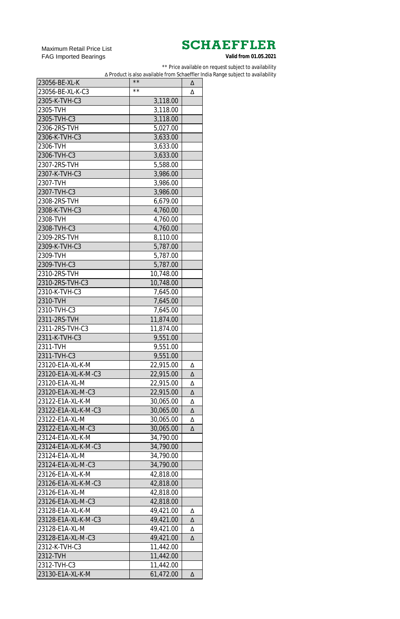Maximum Retail Price List FAG Imported Bearings

\*\* Price available on request subject to availability

∆ Product is also available from Schaeffler India Range subject to availability

| 23056-BE-XL-K       | $\star\star$   | Δ |
|---------------------|----------------|---|
| 23056-BE-XL-K-C3    | $\star\,\star$ | Δ |
| 2305-K-TVH-C3       | 3,118.00       |   |
| 2305-TVH            | 3,118.00       |   |
| 2305-TVH-C3         | 3,118.00       |   |
| 2306-2RS-TVH        | 5,027.00       |   |
| 2306-K-TVH-C3       | 3,633.00       |   |
| 2306-TVH            | 3,633.00       |   |
| 2306-TVH-C3         | 3,633.00       |   |
| 2307-2RS-TVH        | 5,588.00       |   |
| 2307-K-TVH-C3       | 3,986.00       |   |
| 2307-TVH            | 3,986.00       |   |
| 2307-TVH-C3         | 3,986.00       |   |
| 2308-2RS-TVH        | 6,679.00       |   |
| 2308-K-TVH-C3       | 4,760.00       |   |
| 2308-TVH            | 4,760.00       |   |
| 2308-TVH-C3         | 4,760.00       |   |
| 2309-2RS-TVH        | 8,110.00       |   |
| 2309-K-TVH-C3       | 5,787.00       |   |
| 2309-TVH            | 5,787.00       |   |
| 2309-TVH-C3         | 5,787.00       |   |
| 2310-2RS-TVH        |                |   |
| 2310-2RS-TVH-C3     | 10,748.00      |   |
|                     | 10,748.00      |   |
| 2310-K-TVH-C3       | 7,645.00       |   |
| 2310-TVH            | 7,645.00       |   |
| 2310-TVH-C3         | 7,645.00       |   |
| 2311-2RS-TVH        | 11,874.00      |   |
| 2311-2RS-TVH-C3     | 11,874.00      |   |
| 2311-K-TVH-C3       | 9,551.00       |   |
| 2311-TVH            | 9,551.00       |   |
| 2311-TVH-C3         | 9,551.00       |   |
| 23120-E1A-XL-K-M    | 22,915.00      | Δ |
| 23120-E1A-XL-K-M-C3 | 22,915.00      | Δ |
| 23120-E1A-XL-M      | 22,915.00      | Δ |
| 23120-E1A-XL-M-C3   | 22,915.00      | Δ |
| 23122-E1A-XL-K-M    | 30,065.00      | Δ |
| 23122-E1A-XL-K-M-C3 | 30,065.00      | Δ |
| 23122-E1A-XL-M      | 30,065.00      | Δ |
| 23122-E1A-XL-M-C3   | 30,065.00      | Δ |
| 23124-E1A-XL-K-M    | 34,790.00      |   |
| 23124-E1A-XL-K-M-C3 | 34,790.00      |   |
| 23124-E1A-XL-M      | 34,790.00      |   |
| 23124-E1A-XL-M-C3   | 34,790.00      |   |
| 23126-E1A-XL-K-M    | 42,818.00      |   |
| 23126-E1A-XL-K-M-C3 | 42,818.00      |   |
| 23126-E1A-XL-M      | 42,818.00      |   |
| 23126-E1A-XL-M-C3   | 42,818.00      |   |
| 23128-E1A-XL-K-M    | 49,421.00      | Δ |
| 23128-E1A-XL-K-M-C3 | 49,421.00      | Δ |
| 23128-E1A-XL-M      | 49,421.00      | Δ |
| 23128-E1A-XL-M-C3   | 49,421.00      | Δ |
| 2312-K-TVH-C3       | 11,442.00      |   |
| 2312-TVH            | 11,442.00      |   |
| 2312-TVH-C3         | 11,442.00      |   |
| 23130-E1A-XL-K-M    | 61,472.00      | Δ |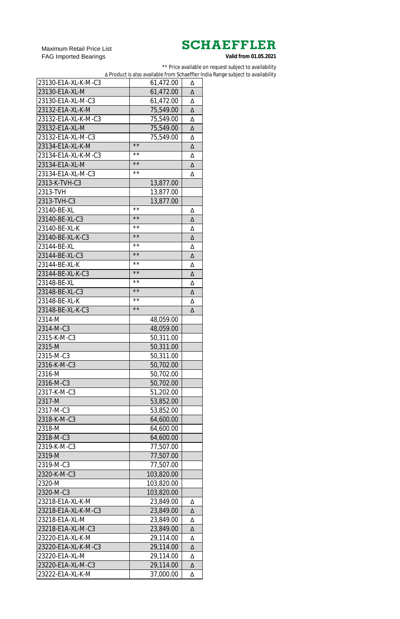Maximum Retail Price List FAG Imported Bearings

\*\* Price available on request subject to availability

∆ Product is also available from Schaeffler India Range subject to availability

| 23130-E1A-XL-K-M-C3 | 61,472.00      | Δ |
|---------------------|----------------|---|
| 23130-E1A-XL-M      | 61,472.00      | Δ |
| 23130-E1A-XL-M-C3   | 61,472.00      | Δ |
| 23132-E1A-XL-K-M    | 75,549.00      | Δ |
| 23132-E1A-XL-K-M-C3 | 75,549.00      | Δ |
| 23132-E1A-XL-M      | 75,549.00      | Δ |
| 23132-E1A-XL-M-C3   | 75,549.00      | Δ |
| 23134-E1A-XL-K-M    | $\star\star$   | Δ |
| 23134-E1A-XL-K-M-C3 | $\star\,\star$ | Δ |
| 23134-E1A-XL-M      | $\star\star$   | Δ |
| 23134-E1A-XL-M-C3   | $\star\,\star$ | Δ |
| 2313-K-TVH-C3       | 13,877.00      |   |
| 2313-TVH            | 13,877.00      |   |
| 2313-TVH-C3         | 13,877.00      |   |
| 23140-BE-XL         | $\star\,\star$ | Δ |
| 23140-BE-XL-C3      | $\star\star$   | Δ |
| 23140-BE-XL-K       | $\star\,\star$ | Δ |
| 23140-BE-XL-K-C3    | $\star\star$   | Δ |
| 23144-BE-XL         | $\star\,\star$ | Δ |
| 23144-BE-XL-C3      | $\star\star$   | Δ |
| 23144-BE-XL-K       | $\star\,\star$ |   |
| 23144-BE-XL-K-C3    | $\star\star$   | Δ |
| 23148-BE-XL         | $\star\,\star$ | Δ |
| 23148-BE-XL-C3      | $\star\star$   | Δ |
|                     | $\star\star$   | Δ |
| 23148-BE-XL-K       | $\star\star$   | Δ |
| 23148-BE-XL-K-C3    |                | Δ |
| 2314-M              | 48,059.00      |   |
| 2314-M-C3           | 48,059.00      |   |
| 2315-K-M-C3         | 50,311.00      |   |
| 2315-M              | 50,311.00      |   |
| 2315-M-C3           | 50,311.00      |   |
| 2316-K-M-C3         | 50,702.00      |   |
| 2316-M              | 50,702.00      |   |
| 2316-M-C3           | 50,702.00      |   |
| 2317-K-M-C3         | 51,202.00      |   |
| 2317-M              | 53,852.00      |   |
| 2317-M-C3           | 53,852.00      |   |
| 2318-K-M-C3         | 64,600.00      |   |
| 2318-M              | 64,600.00      |   |
| 2318-M-C3           | 64,600.00      |   |
| 2319-K-M-C3         | 77,507.00      |   |
| 2319-M              | 77,507.00      |   |
| 2319-M-C3           | 77,507.00      |   |
| 2320-K-M-C3         | 103,820.00     |   |
| 2320-M              | 103,820.00     |   |
| 2320-M-C3           | 103,820.00     |   |
| 23218-E1A-XL-K-M    | 23,849.00      | Δ |
| 23218-E1A-XL-K-M-C3 | 23,849.00      | Δ |
| 23218-E1A-XL-M      | 23,849.00      | Δ |
| 23218-E1A-XL-M-C3   | 23,849.00      | Δ |
| 23220-E1A-XL-K-M    | 29,114.00      | Δ |
| 23220-E1A-XL-K-M-C3 | 29,114.00      | Δ |
| 23220-E1A-XL-M      | 29,114.00      | Δ |
| 23220-E1A-XL-M-C3   | 29,114.00      | Δ |
| 23222-E1A-XL-K-M    | 37,000.00      | Δ |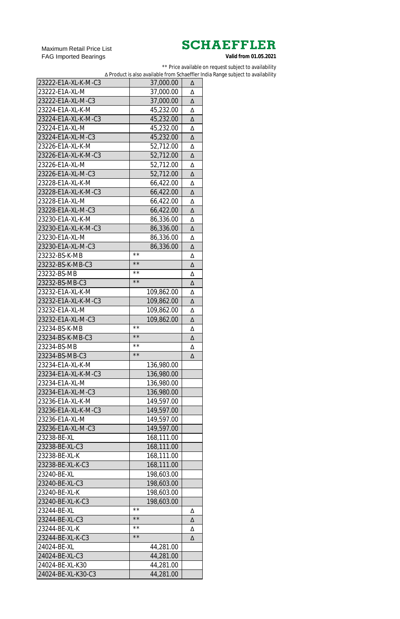Maximum Retail Price List FAG Imported Bearings

\*\* Price available on request subject to availability

∆ Product is also available from Schaeffler India Range subject to availability

| 23222-E1A-XL-K-M-C3 | 37,000.00    | Δ |
|---------------------|--------------|---|
| 23222-E1A-XL-M      | 37,000.00    | Δ |
| 23222-E1A-XL-M-C3   | 37,000.00    | Δ |
| 23224-E1A-XL-K-M    | 45,232.00    | Δ |
| 23224-E1A-XL-K-M-C3 | 45,232.00    | Δ |
| 23224-E1A-XL-M      | 45,232.00    | Δ |
| 23224-E1A-XL-M-C3   | 45,232.00    | Δ |
| 23226-E1A-XL-K-M    | 52,712.00    | Δ |
| 23226-E1A-XL-K-M-C3 | 52,712.00    | Δ |
| 23226-E1A-XL-M      | 52,712.00    | Δ |
| 23226-E1A-XL-M-C3   | 52,712.00    | Δ |
| 23228-E1A-XL-K-M    | 66,422.00    | Δ |
| 23228-E1A-XL-K-M-C3 | 66,422.00    | Δ |
| 23228-E1A-XL-M      | 66,422.00    | Δ |
| 23228-E1A-XL-M-C3   | 66,422.00    | Δ |
| 23230-E1A-XL-K-M    | 86,336.00    | Δ |
| 23230-E1A-XL-K-M-C3 | 86,336.00    | Δ |
| 23230-E1A-XL-M      | 86,336.00    | Δ |
| 23230-E1A-XL-M-C3   | 86,336.00    | Δ |
| 23232-BS-K-MB       | * *          | Δ |
| 23232-BS-K-MB-C3    | $\star\star$ | Δ |
| 23232-BS-MB         | * *          |   |
|                     | $\star\star$ | Δ |
| 23232-BS-MB-C3      |              | Δ |
| 23232-E1A-XL-K-M    | 109,862.00   | Δ |
| 23232-E1A-XL-K-M-C3 | 109,862.00   | Δ |
| 23232-E1A-XL-M      | 109,862.00   | Δ |
| 23232-E1A-XL-M-C3   | 109,862.00   | Δ |
|                     |              |   |
| 23234-BS-K-MB       | * *          | Δ |
| 23234-BS-K-MB-C3    | $\star\star$ | Δ |
| 23234-BS-MB         | * *          | Δ |
| 23234-BS-MB-C3      | $\star\star$ | Δ |
| 23234-E1A-XL-K-M    | 136,980.00   |   |
| 23234-E1A-XL-K-M-C3 | 136,980.00   |   |
| 23234-E1A-XL-M      | 136,980.00   |   |
| 23234-E1A-XL-M-C3   | 136,980.00   |   |
| 23236-E1A-XL-K-M    | 149,597.00   |   |
| 23236-E1A-XL-K-M-C3 | 149,597.00   |   |
| 23236-E1A-XL-M      | 149,597.00   |   |
| 23236-E1A-XL-M-C3   | 149,597.00   |   |
| 23238-BE-XL         | 168,111.00   |   |
| 23238-BE-XL-C3      | 168,111.00   |   |
| 23238-BE-XL-K       | 168,111.00   |   |
| 23238-BE-XL-K-C3    | 168,111.00   |   |
| 23240-BE-XL         | 198,603.00   |   |
| 23240-BE-XL-C3      | 198,603.00   |   |
| 23240-BE-XL-K       | 198,603.00   |   |
| 23240-BE-XL-K-C3    | 198,603.00   |   |
| 23244-BE-XL         | * *          | Δ |
| 23244-BE-XL-C3      | $\star\star$ | Δ |
| 23244-BE-XL-K       | * *          | Δ |
| 23244-BE-XL-K-C3    | $\star\star$ | Δ |
| 24024-BE-XL         | 44,281.00    |   |
| 24024-BE-XL-C3      | 44,281.00    |   |
| 24024-BE-XL-K30     | 44,281.00    |   |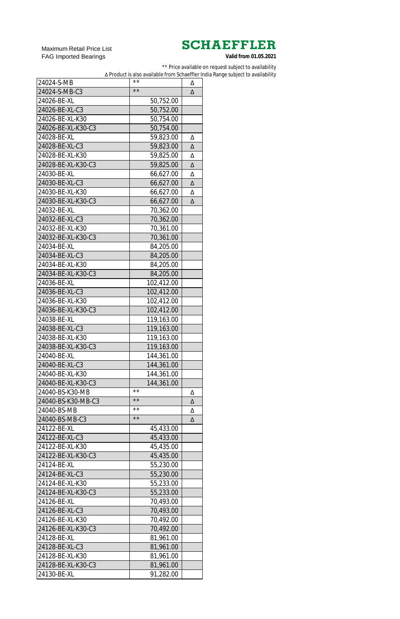Maximum Retail Price List FAG Imported Bearings

\*\* Price available on request subject to availability

∆ Product is also available from Schaeffler India Range subject to availability

| 24024-S-MB         | $\star\,\star$ | Δ |
|--------------------|----------------|---|
| 24024-S-MB-C3      | $\star\star$   | Δ |
| 24026-BE-XL        | 50,752.00      |   |
| 24026-BE-XL-C3     | 50,752.00      |   |
| 24026-BE-XL-K30    | 50,754.00      |   |
| 24026-BE-XL-K30-C3 | 50,754.00      |   |
| 24028-BE-XL        | 59,823.00      | Δ |
| 24028-BE-XL-C3     | 59,823.00      | Δ |
| 24028-BE-XL-K30    | 59,825.00      | Δ |
| 24028-BE-XL-K30-C3 | 59,825.00      | Δ |
| 24030-BE-XL        | 66,627.00      | Δ |
| 24030-BE-XL-C3     | 66,627.00      | Δ |
| 24030-BE-XL-K30    | 66,627.00      | Δ |
| 24030-BE-XL-K30-C3 | 66,627.00      | Δ |
| 24032-BE-XL        | 70,362.00      |   |
| 24032-BE-XL-C3     | 70,362.00      |   |
| 24032-BE-XL-K30    | 70,361.00      |   |
| 24032-BE-XL-K30-C3 |                |   |
|                    | 70,361.00      |   |
| 24034-BE-XL        | 84,205.00      |   |
| 24034-BE-XL-C3     | 84,205.00      |   |
| 24034-BE-XL-K30    | 84,205.00      |   |
| 24034-BE-XL-K30-C3 | 84,205.00      |   |
| 24036-BE-XL        | 102,412.00     |   |
| 24036-BE-XL-C3     | 102,412.00     |   |
| 24036-BE-XL-K30    | 102,412.00     |   |
| 24036-BE-XL-K30-C3 | 102,412.00     |   |
| 24038-BE-XL        | 119,163.00     |   |
| 24038-BE-XL-C3     | 119,163.00     |   |
| 24038-BE-XL-K30    | 119,163.00     |   |
| 24038-BE-XL-K30-C3 | 119,163.00     |   |
| 24040-BE-XL        | 144,361.00     |   |
| 24040-BE-XL-C3     | 144,361.00     |   |
| 24040-BE-XL-K30    | 144,361.00     |   |
| 24040-BE-XL-K30-C3 | 144,361.00     |   |
| 24040-BS-K30-MB    | $\star\,\star$ | Δ |
| 24040-BS-K30-MB-C3 | $\star\star$   | Δ |
| 24040-BS-MB        | $\star\,\star$ | Δ |
| 24040-BS-MB-C3     | $\star\star$   | Δ |
| 24122-BE-XL        | 45,433.00      |   |
| 24122-BE-XL-C3     | 45,433.00      |   |
| 24122-BE-XL-K30    | 45,435.00      |   |
| 24122-BE-XL-K30-C3 | 45,435.00      |   |
| 24124-BE-XL        | 55,230.00      |   |
| 24124-BE-XL-C3     | 55,230.00      |   |
| 24124-BE-XL-K30    | 55,233.00      |   |
| 24124-BE-XL-K30-C3 | 55,233.00      |   |
| 24126-BE-XL        | 70,493.00      |   |
| 24126-BE-XL-C3     | 70,493.00      |   |
| 24126-BE-XL-K30    | 70,492.00      |   |
| 24126-BE-XL-K30-C3 | 70,492.00      |   |
| 24128-BE-XL        |                |   |
| 24128-BE-XL-C3     | 81,961.00      |   |
|                    | 81,961.00      |   |
| 24128-BE-XL-K30    | 81,961.00      |   |
| 24128-BE-XL-K30-C3 | 81,961.00      |   |
| 24130-BE-XL        | 91,282.00      |   |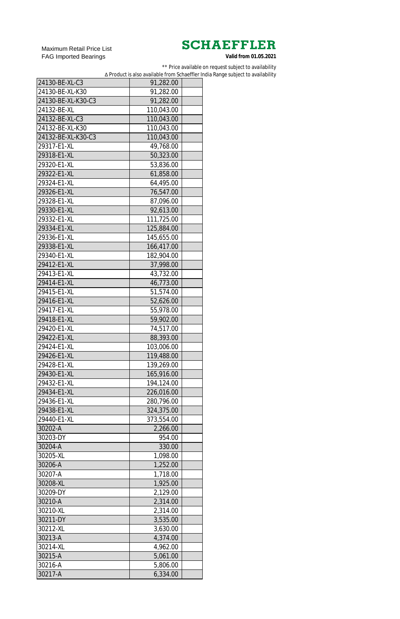Maximum Retail Price List FAG Imported Bearings

\*\* Price available on request subject to availability

∆ Product is also available from Schaeffler India Range subject to availability

| 24130-BE-XL-C3     | 91,282.00  |  |
|--------------------|------------|--|
| 24130-BE-XL-K30    | 91,282.00  |  |
| 24130-BE-XL-K30-C3 | 91,282.00  |  |
| 24132-BE-XL        | 110,043.00 |  |
| 24132-BE-XL-C3     | 110,043.00 |  |
| 24132-BE-XL-K30    | 110,043.00 |  |
| 24132-BE-XL-K30-C3 | 110,043.00 |  |
| 29317-E1-XL        | 49,768.00  |  |
| 29318-E1-XL        | 50,323.00  |  |
| 29320-E1-XL        | 53,836.00  |  |
| 29322-E1-XL        | 61,858.00  |  |
| 29324-E1-XL        | 64,495.00  |  |
| 29326-E1-XL        | 76,547.00  |  |
| 29328-E1-XL        | 87,096.00  |  |
| 29330-E1-XL        | 92,613.00  |  |
| 29332-E1-XL        | 111,725.00 |  |
| 29334-E1-XL        | 125,884.00 |  |
| 29336-E1-XL        | 145,655.00 |  |
| 29338-E1-XL        | 166,417.00 |  |
| 29340-E1-XL        | 182,904.00 |  |
| 29412-E1-XL        |            |  |
| 29413-E1-XL        | 37,998.00  |  |
| 29414-E1-XL        | 43,732.00  |  |
|                    | 46,773.00  |  |
| 29415-E1-XL        | 51,574.00  |  |
| 29416-E1-XL        | 52,626.00  |  |
| 29417-E1-XL        | 55,978.00  |  |
| 29418-E1-XL        | 59,902.00  |  |
| 29420-E1-XL        | 74,517.00  |  |
| 29422-E1-XL        | 88,393.00  |  |
| 29424-E1-XL        | 103,006.00 |  |
| 29426-E1-XL        | 119,488.00 |  |
| 29428-E1-XL        | 139,269.00 |  |
| 29430-E1-XL        | 165,916.00 |  |
| 29432-E1-XL        | 194,124.00 |  |
| 29434-E1-XL        | 226,016.00 |  |
| 29436-E1-XL        | 280,796.00 |  |
| 29438-E1-XL        | 324,375.00 |  |
| 29440-E1-XL        | 373,554.00 |  |
| 30202-A            | 2,266.00   |  |
| 30203-DY           | 954.00     |  |
| 30204-A            | 330.00     |  |
| 30205-XL           | 1,098.00   |  |
| 30206-A            | 1,252.00   |  |
| 30207-A            | 1,718.00   |  |
| 30208-XL           | 1,925.00   |  |
| 30209-DY           | 2,129.00   |  |
| 30210-A            | 2,314.00   |  |
| 30210-XL           | 2,314.00   |  |
| 30211-DY           | 3,535.00   |  |
| 30212-XL           | 3,630.00   |  |
| 30213-A            | 4,374.00   |  |
| 30214-XL           | 4,962.00   |  |
| 30215-A            | 5,061.00   |  |
| 30216-A            | 5,806.00   |  |
| 30217-A            | 6,334.00   |  |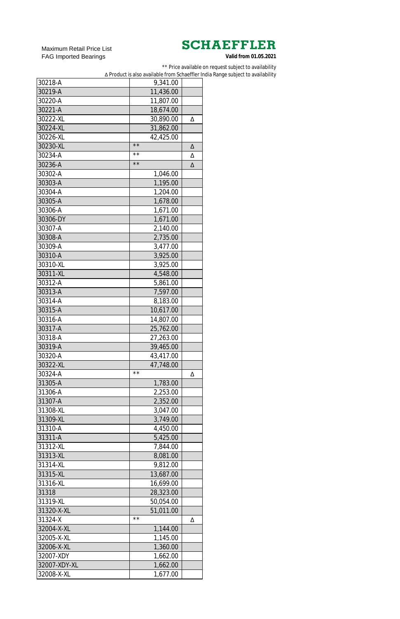Maximum Retail Price List FAG Imported Bearings

\*\* Price available on request subject to availability

∆ Product is also available from Schaeffler India Range subject to availability

| 30218-A      | 9,341.00               |   |
|--------------|------------------------|---|
| 30219-A      | 11,436.00              |   |
| 30220-A      | 11,807.00              |   |
| 30221-A      | 18,674.00              |   |
| 30222-XL     | 30,890.00              | Δ |
| 30224-XL     | 31,862.00              |   |
| 30226-XL     | 42,425.00              |   |
| 30230-XL     | $\star\star$           | Δ |
| 30234-A      | $\star\,\star$         | Δ |
| 30236-A      | $\star\star$           | Δ |
| 30302-A      | 1,046.00               |   |
| 30303-A      | 1,195.00               |   |
| 30304-A      | 1,204.00               |   |
| 30305-A      | 1,678.00               |   |
| 30306-A      | 1,671.00               |   |
| 30306-DY     | 1,671.00               |   |
| 30307-A      | 2,140.00               |   |
| 30308-A      | 2,735.00               |   |
| 30309-A      | 3,477.00               |   |
| 30310-A      | 3,925.00               |   |
| 30310-XL     | 3,925.00               |   |
| 30311-XL     | 4,548.00               |   |
| 30312-A      | 5,861.00               |   |
| 30313-A      | 7,597.00               |   |
| 30314-A      | 8,183.00               |   |
| 30315-A      | 10,617.00              |   |
| 30316-A      |                        |   |
| 30317-A      | 14,807.00<br>25,762.00 |   |
| 30318-A      | 27,263.00              |   |
| 30319-A      | 39,465.00              |   |
| 30320-A      |                        |   |
| 30322-XL     | 43,417.00<br>47,748.00 |   |
| 30324-A      | $\star\,\star$         |   |
| 31305-A      |                        | Δ |
| 31306-A      | 1,783.00               |   |
|              | 2,253.00               |   |
| 31307-A      | 2,352.00               |   |
| 31308-XL     | 3,047.00               |   |
| 31309-XL     | 3,749.00               |   |
| 31310-A      | 4,450.00               |   |
| 31311-A      | 5,425.00               |   |
| 31312-XL     | 7,844.00               |   |
| 31313-XL     | 8,081.00               |   |
| 31314-XL     | 9,812.00               |   |
| 31315-XL     | 13,687.00              |   |
| 31316-XL     | 16,699.00              |   |
| 31318        | 28,323.00              |   |
| 31319-XL     | 50,054.00              |   |
| 31320-X-XL   | 51,011.00              |   |
| 31324-X      | $\star\,\star$         | Δ |
| 32004-X-XL   | 1,144.00               |   |
| 32005-X-XL   | 1,145.00               |   |
| 32006-X-XL   | 1,360.00               |   |
| 32007-XDY    | 1,662.00               |   |
| 32007-XDY-XL | 1,662.00               |   |
| 32008-X-XL   | 1,677.00               |   |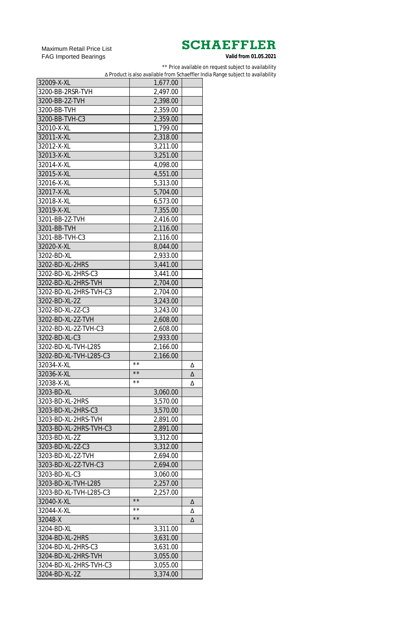Maximum Retail Price List FAG Imported Bearings

\*\* Price available on request subject to availability

∆ Product is also available from Schaeffler India Range subject to availability

| 32009-X-XL             | 1,677.00       |   |
|------------------------|----------------|---|
| 3200-BB-2RSR-TVH       | 2,497.00       |   |
| 3200-BB-2Z-TVH         | 2,398.00       |   |
| 3200-BB-TVH            | 2,359.00       |   |
| 3200-BB-TVH-C3         | 2,359.00       |   |
| 32010-X-XL             | 1,799.00       |   |
| 32011-X-XL             | 2,318.00       |   |
| 32012-X-XL             | 3,211.00       |   |
| 32013-X-XL             | 3,251.00       |   |
| 32014-X-XL             | 4,098.00       |   |
| 32015-X-XL             | 4,551.00       |   |
| 32016-X-XL             | 5,313.00       |   |
| 32017-X-XL             | 5,704.00       |   |
| 32018-X-XL             | 6,573.00       |   |
| 32019-X-XL             | 7,355.00       |   |
| 3201-BB-2Z-TVH         | 2,416.00       |   |
| 3201-BB-TVH            | 2,116.00       |   |
| 3201-BB-TVH-C3         | 2,116.00       |   |
| 32020-X-XL             | 8,044.00       |   |
| 3202-BD-XL             | 2,933.00       |   |
| 3202-BD-XL-2HRS        | 3,441.00       |   |
| 3202-BD-XL-2HRS-C3     |                |   |
|                        | 3,441.00       |   |
| 3202-BD-XL-2HRS-TVH    | 2,704.00       |   |
| 3202-BD-XL-2HRS-TVH-C3 | 2,704.00       |   |
| 3202-BD-XL-2Z          | 3,243.00       |   |
| 3202-BD-XL-2Z-C3       | 3,243.00       |   |
| 3202-BD-XL-2Z-TVH      | 2,608.00       |   |
| 3202-BD-XL-2Z-TVH-C3   | 2,608.00       |   |
| 3202-BD-XL-C3          | 2,933.00       |   |
| 3202-BD-XL-TVH-L285    | 2,166.00       |   |
| 3202-BD-XL-TVH-L285-C3 | 2,166.00       |   |
| 32034-X-XL             | $\star\star$   | Δ |
| 32036-X-XL             | $\star\star$   | Δ |
| 32038-X-XL             | $\star\,\star$ | Δ |
| 3203-BD-XL             | 3,060.00       |   |
| 3203-BD-XL-2HRS        | 3,570.00       |   |
| 3203-BD-XL-2HRS-C3     | 3,570.00       |   |
| 3203-BD-XL-2HRS-TVH    | 2,891.00       |   |
| 3203-BD-XL-2HRS-TVH-C3 | 2,891.00       |   |
| 3203-BD-XL-2Z          | 3,312.00       |   |
| 3203-BD-XL-2Z-C3       | 3,312.00       |   |
| 3203-BD-XL-2Z-TVH      | 2,694.00       |   |
| 3203-BD-XL-2Z-TVH-C3   | 2,694.00       |   |
| 3203-BD-XL-C3          | 3,060.00       |   |
| 3203-BD-XL-TVH-L285    | 2,257.00       |   |
| 3203-BD-XL-TVH-L285-C3 | 2,257.00       |   |
| 32040-X-XL             | $\star\star$   | Δ |
| 32044-X-XL             | $\star\star$   | Δ |
| 32048-X                | $\star\star$   | Δ |
| 3204-BD-XL             | 3,311.00       |   |
| 3204-BD-XL-2HRS        | 3,631.00       |   |
| 3204-BD-XL-2HRS-C3     | 3,631.00       |   |
| 3204-BD-XL-2HRS-TVH    | 3,055.00       |   |
| 3204-BD-XL-2HRS-TVH-C3 | 3,055.00       |   |
| 3204-BD-XL-2Z          | 3,374.00       |   |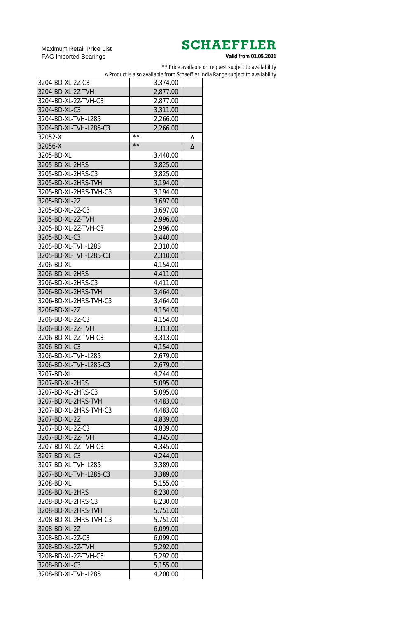Maximum Retail Price List FAG Imported Bearings

\*\* Price available on request subject to availability

∆ Product is also available from Schaeffler India Range subject to availability

| 3204-BD-XL-2Z-C3       | 3,374.00                   |   |
|------------------------|----------------------------|---|
| 3204-BD-XL-2Z-TVH      | 2,877.00                   |   |
| 3204-BD-XL-2Z-TVH-C3   | 2,877.00                   |   |
| 3204-BD-XL-C3          | 3,311.00                   |   |
| 3204-BD-XL-TVH-L285    |                            |   |
|                        | 2,266.00                   |   |
| 3204-BD-XL-TVH-L285-C3 | 2,266.00<br>$\star\,\star$ |   |
| 32052-X                |                            | Δ |
| 32056-X                | $\star\,\star$             | Δ |
| 3205-BD-XL             | 3,440.00                   |   |
| 3205-BD-XL-2HRS        | 3,825.00                   |   |
| 3205-BD-XL-2HRS-C3     | 3,825.00                   |   |
| 3205-BD-XL-2HRS-TVH    | 3,194.00                   |   |
| 3205-BD-XL-2HRS-TVH-C3 | 3,194.00                   |   |
| 3205-BD-XL-2Z          | 3,697.00                   |   |
| 3205-BD-XL-2Z-C3       | 3,697.00                   |   |
| 3205-BD-XL-2Z-TVH      | 2,996.00                   |   |
| 3205-BD-XL-2Z-TVH-C3   | 2,996.00                   |   |
| 3205-BD-XL-C3          | 3,440.00                   |   |
| 3205-BD-XL-TVH-L285    | 2,310.00                   |   |
| 3205-BD-XL-TVH-L285-C3 | 2,310.00                   |   |
| 3206-BD-XL             | 4,154.00                   |   |
| 3206-BD-XL-2HRS        | 4,411.00                   |   |
| 3206-BD-XL-2HRS-C3     | 4,411.00                   |   |
|                        |                            |   |
| 3206-BD-XL-2HRS-TVH    | 3,464.00                   |   |
| 3206-BD-XL-2HRS-TVH-C3 | 3,464.00                   |   |
| 3206-BD-XL-2Z          | 4,154.00                   |   |
| 3206-BD-XL-2Z-C3       | 4,154.00                   |   |
| 3206-BD-XL-2Z-TVH      | 3,313.00                   |   |
| 3206-BD-XL-2Z-TVH-C3   | 3,313.00                   |   |
| 3206-BD-XL-C3          | 4,154.00                   |   |
| 3206-BD-XL-TVH-L285    | 2,679.00                   |   |
| 3206-BD-XL-TVH-L285-C3 | 2,679.00                   |   |
| 3207-BD-XL             | 4,244.00                   |   |
| 3207-BD-XL-2HRS        | 5,095.00                   |   |
| 3207-BD-XL-2HRS-C3     | 5,095.00                   |   |
| 3207-BD-XL-2HRS-TVH    | 4,483.00                   |   |
| 3207-BD-XL-2HRS-TVH-C3 | 4,483.00                   |   |
| 3207-BD-XL-2Z          | 4,839.00                   |   |
| 3207-BD-XL-2Z-C3       | 4,839.00                   |   |
| 3207-BD-XL-2Z-TVH      | 4,345.00                   |   |
| 3207-BD-XL-2Z-TVH-C3   | 4,345.00                   |   |
| 3207-BD-XL-C3          | 4,244.00                   |   |
| 3207-BD-XL-TVH-L285    | 3,389.00                   |   |
| 3207-BD-XL-TVH-L285-C3 | 3,389.00                   |   |
| 3208-BD-XL             | 5,155.00                   |   |
| 3208-BD-XL-2HRS        | 6,230.00                   |   |
| 3208-BD-XL-2HRS-C3     | 6,230.00                   |   |
| 3208-BD-XL-2HRS-TVH    | 5,751.00                   |   |
|                        |                            |   |
| 3208-BD-XL-2HRS-TVH-C3 | 5,751.00                   |   |
| 3208-BD-XL-2Z          | 6,099.00                   |   |
| 3208-BD-XL-2Z-C3       | 6,099.00                   |   |
| 3208-BD-XL-2Z-TVH      | 5,292.00                   |   |
| 3208-BD-XL-2Z-TVH-C3   | 5,292.00                   |   |
| 3208-BD-XL-C3          | 5,155.00                   |   |
| 3208-BD-XL-TVH-L285    | 4,200.00                   |   |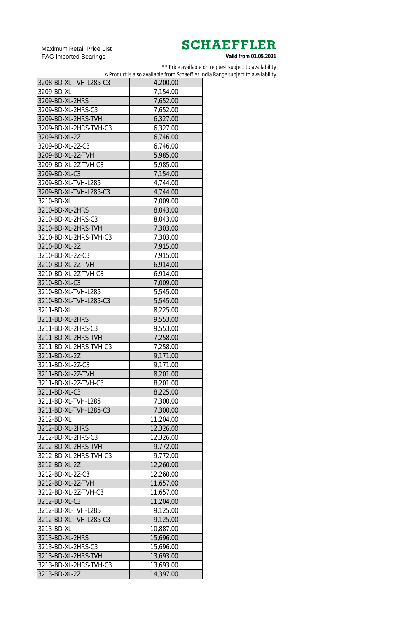Maximum Retail Price List FAG Imported Bearings

\*\* Price available on request subject to availability

∆ Product is also available from Schaeffler India Range subject to availability

| 3208-BD-XL-TVH-L285-C3                    | 4,200.00  |  |
|-------------------------------------------|-----------|--|
| 3209-BD-XL                                | 7,154.00  |  |
| 3209-BD-XL-2HRS                           | 7,652.00  |  |
| 3209-BD-XL-2HRS-C3                        | 7,652.00  |  |
| 3209-BD-XL-2HRS-TVH                       | 6,327.00  |  |
| 3209-BD-XL-2HRS-TVH-C3                    | 6,327.00  |  |
| 3209-BD-XL-2Z                             | 6,746.00  |  |
| 3209-BD-XL-2Z-C3                          | 6,746.00  |  |
| 3209-BD-XL-2Z-TVH                         | 5,985.00  |  |
| 3209-BD-XL-2Z-TVH-C3                      | 5,985.00  |  |
| 3209-BD-XL-C3                             | 7,154.00  |  |
| 3209-BD-XL-TVH-L285                       | 4,744.00  |  |
| 3209-BD-XL-TVH-L285-C3                    | 4,744.00  |  |
| 3210-BD-XL                                | 7,009.00  |  |
| 3210-BD-XL-2HRS                           | 8,043.00  |  |
| 3210-BD-XL-2HRS-C3                        | 8,043.00  |  |
| 3210-BD-XL-2HRS-TVH                       | 7,303.00  |  |
| 3210-BD-XL-2HRS-TVH-C3                    | 7,303.00  |  |
| 3210-BD-XL-2Z                             | 7,915.00  |  |
| 3210-BD-XL-2Z-C3                          | 7,915.00  |  |
| 3210-BD-XL-2Z-TVH                         | 6,914.00  |  |
| 3210-BD-XL-2Z-TVH-C3                      | 6,914.00  |  |
| 3210-BD-XL-C3                             | 7,009.00  |  |
| 3210-BD-XL-TVH-L285                       | 5,545.00  |  |
| 3210-BD-XL-TVH-L285-C3                    | 5,545.00  |  |
| 3211-BD-XL                                | 8,225.00  |  |
| 3211-BD-XL-2HRS                           | 9,553.00  |  |
| 3211-BD-XL-2HRS-C3                        | 9,553.00  |  |
| 3211-BD-XL-2HRS-TVH                       | 7,258.00  |  |
| 3211-BD-XL-2HRS-TVH-C3                    | 7,258.00  |  |
| 3211-BD-XL-2Z                             | 9,171.00  |  |
| 3211-BD-XL-2Z-C3                          | 9,171.00  |  |
| 3211-BD-XL-2Z-TVH                         | 8,201.00  |  |
| 3211-BD-XL-2Z-TVH-C3                      | 8,201.00  |  |
| 3211-BD-XL-C3                             | 8,225.00  |  |
| 3211-BD-XL-TVH-L285                       | 7,300.00  |  |
| 3211-BD-XL-TVH-L285-C3                    | 7,300.00  |  |
| 3212-BD-XL                                | 11,204.00 |  |
| 3212-BD-XL-2HRS                           | 12,326.00 |  |
| 3212-BD-XL-2HRS-C3                        | 12,326.00 |  |
| 3212-BD-XL-2HRS-TVH                       | 9,772.00  |  |
| 3212-BD-XL-2HRS-TVH-C3                    | 9,772.00  |  |
| 3212-BD-XL-2Z                             | 12,260.00 |  |
| 3212-BD-XL-2Z-C3                          | 12,260.00 |  |
| 3212-BD-XL-2Z-TVH                         |           |  |
| 3212-BD-XL-2Z-TVH-C3                      | 11,657.00 |  |
|                                           | 11,657.00 |  |
| 3212-BD-XL-C3<br>3212-BD-XL-TVH-L285      | 11,204.00 |  |
| 3212-BD-XL-TVH-L285-C3                    | 9,125.00  |  |
| 3213-BD-XL                                | 9,125.00  |  |
|                                           | 10,887.00 |  |
| 3213-BD-XL-2HRS                           | 15,696.00 |  |
| 3213-BD-XL-2HRS-C3<br>3213-BD-XL-2HRS-TVH | 15,696.00 |  |
|                                           | 13,693.00 |  |
| 3213-BD-XL-2HRS-TVH-C3                    | 13,693.00 |  |
| 3213-BD-XL-2Z                             | 14,397.00 |  |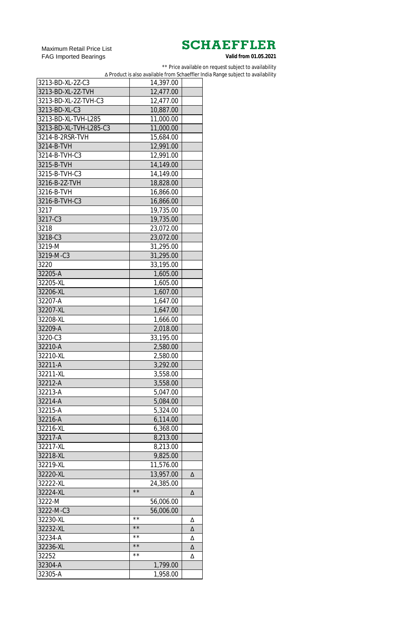Maximum Retail Price List FAG Imported Bearings

\*\* Price available on request subject to availability

∆ Product is also available from Schaeffler India Range subject to availability

| 3213-BD-XL-2Z-C3       | 14,397.00      |   |
|------------------------|----------------|---|
| 3213-BD-XL-2Z-TVH      | 12,477.00      |   |
| 3213-BD-XL-2Z-TVH-C3   | 12,477.00      |   |
| 3213-BD-XL-C3          | 10,887.00      |   |
| 3213-BD-XL-TVH-L285    | 11,000.00      |   |
| 3213-BD-XL-TVH-L285-C3 | 11,000.00      |   |
| 3214-B-2RSR-TVH        | 15,684.00      |   |
| 3214-B-TVH             | 12,991.00      |   |
| 3214-B-TVH-C3          | 12,991.00      |   |
| 3215-B-TVH             | 14,149.00      |   |
| 3215-B-TVH-C3          | 14,149.00      |   |
| 3216-B-2Z-TVH          | 18,828.00      |   |
| 3216-B-TVH             | 16,866.00      |   |
| 3216-B-TVH-C3          | 16,866.00      |   |
| 3217                   | 19,735.00      |   |
| 3217-C3                | 19,735.00      |   |
| 3218                   | 23,072.00      |   |
| 3218-C3                | 23,072.00      |   |
| 3219-M                 |                |   |
| 3219-M-C3              | 31,295.00      |   |
|                        | 31,295.00      |   |
| 3220                   | 33,195.00      |   |
| 32205-A                | 1,605.00       |   |
| 32205-XL               | 1,605.00       |   |
| 32206-XL               | 1,607.00       |   |
| 32207-A                | 1,647.00       |   |
| 32207-XL               | 1,647.00       |   |
| 32208-XL               | 1,666.00       |   |
| 32209-A                | 2,018.00       |   |
| 3220-C3                | 33,195.00      |   |
| 32210-A                | 2,580.00       |   |
| 32210-XL               | 2,580.00       |   |
| 32211-A                | 3,292.00       |   |
| 32211-XL               | 3,558.00       |   |
| 32212-A                | 3,558.00       |   |
| 32213-A                | 5,047.00       |   |
| 32214-A                | 5,084.00       |   |
| 32215-A                | 5,324.00       |   |
| 32216-A                | 6,114.00       |   |
| 32216-XL               | 6,368.00       |   |
| 32217-A                | 8,213.00       |   |
| 32217-XL               | 8,213.00       |   |
| 32218-XL               | 9,825.00       |   |
| 32219-XL               | 11,576.00      |   |
| 32220-XL               | 13,957.00      | Δ |
| 32222-XL               | 24,385.00      |   |
| 32224-XL               | $\star\star$   | Δ |
| 3222-M                 | 56,006.00      |   |
| 3222-M-C3              | 56,006.00      |   |
| 32230-XL               | $\star\,\star$ | Δ |
| 32232-XL               | $\star\,\star$ | Δ |
| 32234-A                | **             | Δ |
| 32236-XL               | $\star\,\star$ | Δ |
| 32252                  | $\star\,\star$ | Δ |
| 32304-A                | 1,799.00       |   |
| 32305-A                | 1,958.00       |   |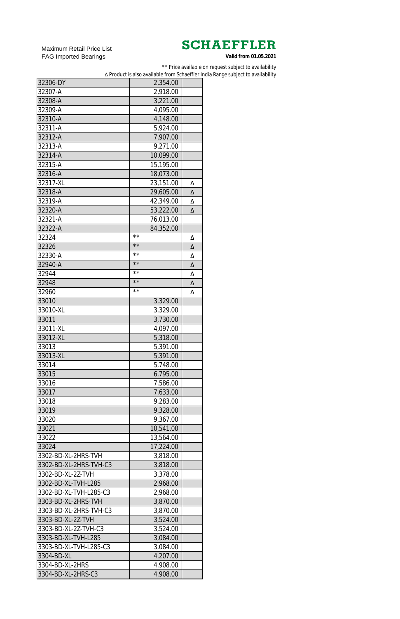Maximum Retail Price List FAG Imported Bearings

\*\* Price available on request subject to availability

∆ Product is also available from Schaeffler India Range subject to availability

| 32306-DY               | 2,354.00     |   |
|------------------------|--------------|---|
| 32307-A                | 2,918.00     |   |
| 32308-A                | 3,221.00     |   |
| 32309-A                | 4,095.00     |   |
| 32310-A                | 4,148.00     |   |
| 32311-A                | 5,924.00     |   |
| 32312-A                | 7,907.00     |   |
| 32313-A                | 9,271.00     |   |
| 32314-A                | 10,099.00    |   |
| 32315-A                | 15,195.00    |   |
| 32316-A                | 18,073.00    |   |
| 32317-XL               | 23,151.00    | Δ |
| 32318-A                | 29,605.00    | Δ |
| 32319-A                | 42,349.00    | Δ |
| 32320-A                | 53,222.00    | Δ |
| 32321-A                | 76,013.00    |   |
| 32322-A                | 84,352.00    |   |
| 32324                  | $\star\star$ | Δ |
| 32326                  | $\star\star$ | Δ |
| 32330-A                | $\star\star$ | Δ |
| 32940-A                | $\star\star$ | Δ |
| 32944                  | $\star\star$ | Δ |
| 32948                  | $\star\star$ | Δ |
| 32960                  | $\star\star$ | Δ |
| 33010                  | 3,329.00     |   |
| 33010-XL               | 3,329.00     |   |
| 33011                  | 3,730.00     |   |
| 33011-XL               | 4,097.00     |   |
| 33012-XL               | 5,318.00     |   |
| 33013                  | 5,391.00     |   |
| 33013-XL               | 5,391.00     |   |
| 33014                  | 5,748.00     |   |
| 33015                  | 6,795.00     |   |
| 33016                  | 7,586.00     |   |
| 33017                  | 7,633.00     |   |
| 33018                  | 9,283.00     |   |
| 33019                  | 9,328.00     |   |
| 33020                  | 9,367.00     |   |
| 33021                  | 10,541.00    |   |
| 33022                  | 13,564.00    |   |
| 33024                  | 17,224.00    |   |
| 3302-BD-XL-2HRS-TVH    | 3,818.00     |   |
| 3302-BD-XL-2HRS-TVH-C3 | 3,818.00     |   |
| 3302-BD-XL-2Z-TVH      | 3,378.00     |   |
| 3302-BD-XL-TVH-L285    | 2,968.00     |   |
| 3302-BD-XL-TVH-L285-C3 | 2,968.00     |   |
| 3303-BD-XL-2HRS-TVH    | 3,870.00     |   |
| 3303-BD-XL-2HRS-TVH-C3 | 3,870.00     |   |
| 3303-BD-XL-2Z-TVH      | 3,524.00     |   |
| 3303-BD-XL-2Z-TVH-C3   | 3,524.00     |   |
| 3303-BD-XL-TVH-L285    | 3,084.00     |   |
| 3303-BD-XL-TVH-L285-C3 | 3,084.00     |   |
| 3304-BD-XL             | 4,207.00     |   |
| 3304-BD-XL-2HRS        | 4,908.00     |   |
| 3304-BD-XL-2HRS-C3     | 4,908.00     |   |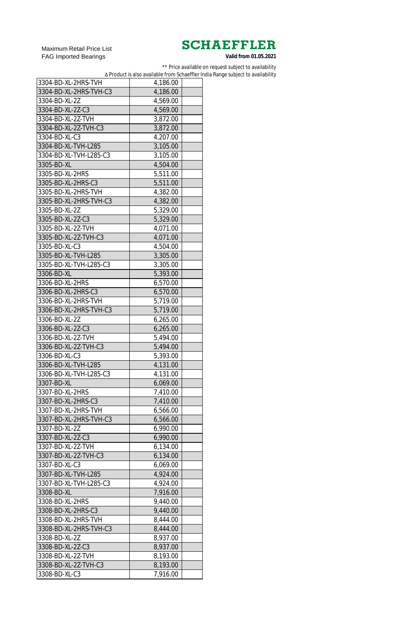Maximum Retail Price List FAG Imported Bearings

\*\* Price available on request subject to availability

∆ Product is also available from Schaeffler India Range subject to availability

| 3304-BD-XL-2HRS-TVH    | 4,186.00 |
|------------------------|----------|
| 3304-BD-XL-2HRS-TVH-C3 | 4,186.00 |
| 3304-BD-XL-2Z          | 4,569.00 |
| 3304-BD-XL-2Z-C3       | 4,569.00 |
| 3304-BD-XL-2Z-TVH      | 3,872.00 |
| 3304-BD-XL-2Z-TVH-C3   | 3,872.00 |
| 3304-BD-XL-C3          | 4,207.00 |
| 3304-BD-XL-TVH-L285    | 3,105.00 |
| 3304-BD-XL-TVH-L285-C3 | 3,105.00 |
| 3305-BD-XL             | 4,504.00 |
| 3305-BD-XL-2HRS        | 5,511.00 |
| 3305-BD-XL-2HRS-C3     | 5,511.00 |
| 3305-BD-XL-2HRS-TVH    | 4,382.00 |
| 3305-BD-XL-2HRS-TVH-C3 | 4,382.00 |
| 3305-BD-XL-2Z          | 5,329.00 |
| 3305-BD-XL-2Z-C3       | 5,329.00 |
| 3305-BD-XL-2Z-TVH      | 4,071.00 |
| 3305-BD-XL-2Z-TVH-C3   | 4,071.00 |
| 3305-BD-XL-C3          | 4,504.00 |
| 3305-BD-XL-TVH-L285    | 3,305.00 |
| 3305-BD-XL-TVH-L285-C3 | 3,305.00 |
| 3306-BD-XL             | 5,393.00 |
| 3306-BD-XL-2HRS        | 6,570.00 |
| 3306-BD-XL-2HRS-C3     | 6,570.00 |
| 3306-BD-XL-2HRS-TVH    | 5,719.00 |
| 3306-BD-XL-2HRS-TVH-C3 | 5,719.00 |
| 3306-BD-XL-2Z          | 6,265.00 |
| 3306-BD-XL-2Z-C3       | 6,265.00 |
| 3306-BD-XL-2Z-TVH      | 5,494.00 |
| 3306-BD-XL-2Z-TVH-C3   | 5,494.00 |
| 3306-BD-XL-C3          | 5,393.00 |
| 3306-BD-XL-TVH-L285    | 4,131.00 |
| 3306-BD-XL-TVH-L285-C3 | 4,131.00 |
| 3307-BD-XL             | 6,069.00 |
| 3307-BD-XL-2HRS        | 7,410.00 |
| 3307-BD-XL-2HRS-C3     | 7,410.00 |
| 3307-BD-XL-2HRS-TVH    | 6,566.00 |
| 3307-BD-XL-2HRS-TVH-C3 | 6,566.00 |
| 3307-BD-XL-2Z          | 6,990.00 |
| 3307-BD-XL-2Z-C3       | 6,990.00 |
| 3307-BD-XL-2Z-TVH      | 6,134.00 |
| 3307-BD-XL-2Z-TVH-C3   | 6,134.00 |
| 3307-BD-XL-C3          | 6,069.00 |
| 3307-BD-XL-TVH-L285    | 4,924.00 |
| 3307-BD-XL-TVH-L285-C3 | 4,924.00 |
| 3308-BD-XL             | 7,916.00 |
| 3308-BD-XL-2HRS        | 9,440.00 |
| 3308-BD-XL-2HRS-C3     | 9,440.00 |
| 3308-BD-XL-2HRS-TVH    | 8,444.00 |
| 3308-BD-XL-2HRS-TVH-C3 | 8,444.00 |
| 3308-BD-XL-2Z          |          |
| 3308-BD-XL-2Z-C3       | 8,937.00 |
| 3308-BD-XL-2Z-TVH      | 8,937.00 |
|                        | 8,193.00 |
| 3308-BD-XL-2Z-TVH-C3   | 8,193.00 |
| 3308-BD-XL-C3          | 7,916.00 |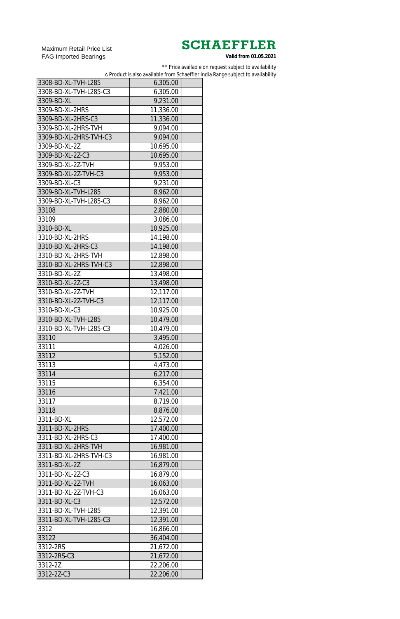Maximum Retail Price List FAG Imported Bearings

\*\* Price available on request subject to availability

∆ Product is also available from Schaeffler India Range subject to availability

| 3308-BD-XL-TVH-L285    | 6,305.00  |  |
|------------------------|-----------|--|
| 3308-BD-XL-TVH-L285-C3 | 6,305.00  |  |
| 3309-BD-XL             | 9,231.00  |  |
| 3309-BD-XL-2HRS        | 11,336.00 |  |
| 3309-BD-XL-2HRS-C3     | 11,336.00 |  |
| 3309-BD-XL-2HRS-TVH    | 9,094.00  |  |
| 3309-BD-XL-2HRS-TVH-C3 | 9,094.00  |  |
| 3309-BD-XL-2Z          | 10,695.00 |  |
| 3309-BD-XL-2Z-C3       | 10,695.00 |  |
| 3309-BD-XL-2Z-TVH      | 9,953.00  |  |
| 3309-BD-XL-2Z-TVH-C3   | 9,953.00  |  |
| 3309-BD-XL-C3          | 9,231.00  |  |
| 3309-BD-XL-TVH-L285    | 8,962.00  |  |
| 3309-BD-XL-TVH-L285-C3 | 8,962.00  |  |
| 33108                  | 2,880.00  |  |
| 33109                  | 3,086.00  |  |
| 3310-BD-XL             | 10,925.00 |  |
| 3310-BD-XL-2HRS        | 14,198.00 |  |
| 3310-BD-XL-2HRS-C3     | 14,198.00 |  |
| 3310-BD-XL-2HRS-TVH    | 12,898.00 |  |
| 3310-BD-XL-2HRS-TVH-C3 | 12,898.00 |  |
| 3310-BD-XL-2Z          | 13,498.00 |  |
| 3310-BD-XL-2Z-C3       | 13,498.00 |  |
| 3310-BD-XL-2Z-TVH      | 12,117.00 |  |
| 3310-BD-XL-2Z-TVH-C3   | 12,117.00 |  |
| 3310-BD-XL-C3          | 10,925.00 |  |
| 3310-BD-XL-TVH-L285    | 10,479.00 |  |
| 3310-BD-XL-TVH-L285-C3 | 10,479.00 |  |
| 33110                  | 3,495.00  |  |
| 33111                  | 4,026.00  |  |
| 33112                  | 5,152.00  |  |
| 33113                  | 4,473.00  |  |
| 33114                  | 6,217.00  |  |
| 33115                  | 6,354.00  |  |
| 33116                  | 7,421.00  |  |
| 33117                  | 8,719.00  |  |
| 33118                  | 8,876.00  |  |
| 3311-BD-XL             | 12,572.00 |  |
| 3311-BD-XL-2HRS        | 17,400.00 |  |
| 3311-BD-XL-2HRS-C3     | 17,400.00 |  |
| 3311-BD-XL-2HRS-TVH    | 16,981.00 |  |
| 3311-BD-XL-2HRS-TVH-C3 | 16,981.00 |  |
| 3311-BD-XL-2Z          | 16,879.00 |  |
| 3311-BD-XL-2Z-C3       | 16,879.00 |  |
| 3311-BD-XL-2Z-TVH      | 16,063.00 |  |
| 3311-BD-XL-2Z-TVH-C3   | 16,063.00 |  |
| 3311-BD-XL-C3          | 12,572.00 |  |
| 3311-BD-XL-TVH-L285    | 12,391.00 |  |
| 3311-BD-XL-TVH-L285-C3 | 12,391.00 |  |
| 3312                   | 16,866.00 |  |
| 33122                  | 36,404.00 |  |
| 3312-2RS               | 21,672.00 |  |
| 3312-2RS-C3            | 21,672.00 |  |
| 3312-2Z                | 22,206.00 |  |
| 3312-2Z-C3             | 22,206.00 |  |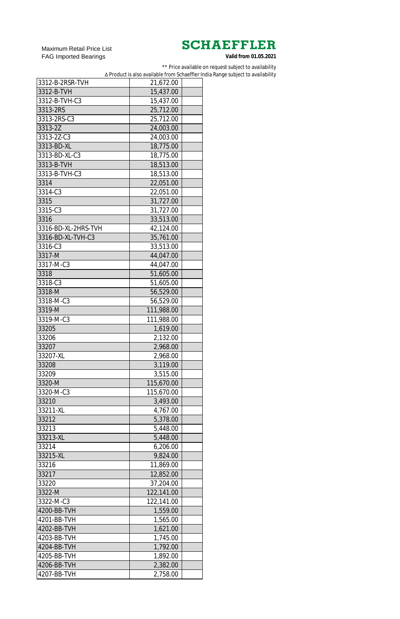Maximum Retail Price List FAG Imported Bearings

\*\* Price available on request subject to availability

∆ Product is also available from Schaeffler India Range subject to availability

| 3312-B-2RSR-TVH     | 21,672.00  |  |
|---------------------|------------|--|
| 3312-B-TVH          | 15,437.00  |  |
| 3312-B-TVH-C3       | 15,437.00  |  |
| 3313-2RS            | 25,712.00  |  |
| 3313-2RS-C3         | 25,712.00  |  |
| 3313-2Z             | 24,003.00  |  |
| 3313-2Z-C3          | 24,003.00  |  |
| 3313-BD-XL          | 18,775.00  |  |
| 3313-BD-XL-C3       | 18,775.00  |  |
| 3313-B-TVH          | 18,513.00  |  |
| 3313-B-TVH-C3       | 18,513.00  |  |
| 3314                | 22,051.00  |  |
| 3314-C3             | 22,051.00  |  |
| 3315                | 31,727.00  |  |
| 3315-C3             | 31,727.00  |  |
| 3316                | 33,513.00  |  |
| 3316-BD-XL-2HRS-TVH | 42,124.00  |  |
| 3316-BD-XL-TVH-C3   | 35,761.00  |  |
| 3316-C3             | 33,513.00  |  |
| 3317-M              | 44,047.00  |  |
| 3317-M-C3           | 44,047.00  |  |
| 3318                | 51,605.00  |  |
| 3318-C3             | 51,605.00  |  |
| 3318-M              | 56,529.00  |  |
| 3318-M-C3           | 56,529.00  |  |
| 3319-M              | 111,988.00 |  |
| 3319-M-C3           | 111,988.00 |  |
| 33205               | 1,619.00   |  |
| 33206               | 2,132.00   |  |
| 33207               | 2,968.00   |  |
| 33207-XL            | 2,968.00   |  |
| 33208               | 3,119.00   |  |
| 33209               | 3,515.00   |  |
| 3320-M              | 115,670.00 |  |
| 3320-M-C3           | 115,670.00 |  |
| 33210               | 3,493.00   |  |
| 33211-XL            | 4,767.00   |  |
| 33212               | 5,378.00   |  |
| 33213               | 5,448.00   |  |
| 33213-XL            | 5,448.00   |  |
| 33214               | 6,206.00   |  |
| 33215-XL            | 9,824.00   |  |
| 33216               | 11,869.00  |  |
| 33217               | 12,852.00  |  |
| 33220               | 37,204.00  |  |
| 3322-M              | 122,141.00 |  |
| 3322-M-C3           | 122,141.00 |  |
| 4200-BB-TVH         | 1,559.00   |  |
| 4201-BB-TVH         | 1,565.00   |  |
| 4202-BB-TVH         | 1.621.00   |  |
| 4203-BB-TVH         | 1,745.00   |  |
| 4204-BB-TVH         | 1,792.00   |  |
| 4205-BB-TVH         | 1,892.00   |  |
| 4206-BB-TVH         | 2,382.00   |  |
| 4207-BB-TVH         | 2,758.00   |  |
|                     |            |  |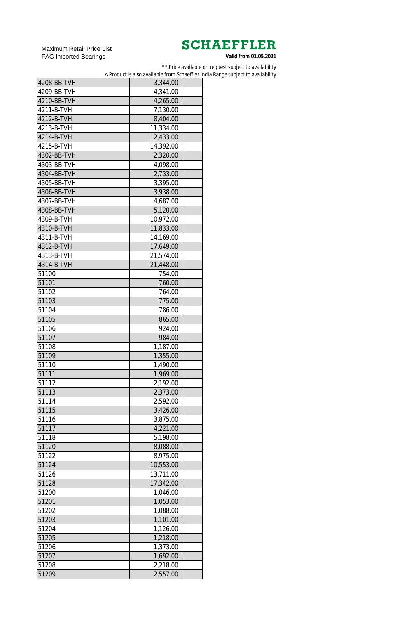Maximum Retail Price List FAG Imported Bearings

\*\* Price available on request subject to availability

∆ Product is also available from Schaeffler India Range subject to availability

| 4208-BB-TVH | 3,344.00  |  |
|-------------|-----------|--|
| 4209-BB-TVH | 4,341.00  |  |
| 4210-BB-TVH | 4,265.00  |  |
| 4211-B-TVH  | 7,130.00  |  |
| 4212-B-TVH  | 8,404.00  |  |
| 4213-B-TVH  | 11,334.00 |  |
| 4214-B-TVH  | 12,433.00 |  |
| 4215-B-TVH  | 14,392.00 |  |
| 4302-BB-TVH | 2,320.00  |  |
| 4303-BB-TVH | 4,098.00  |  |
| 4304-BB-TVH | 2,733.00  |  |
| 4305-BB-TVH | 3,395.00  |  |
| 4306-BB-TVH | 3,938.00  |  |
| 4307-BB-TVH | 4,687.00  |  |
| 4308-BB-TVH | 5,120.00  |  |
| 4309-B-TVH  | 10,972.00 |  |
| 4310-B-TVH  | 11,833.00 |  |
| 4311-B-TVH  | 14,169.00 |  |
| 4312-B-TVH  | 17,649.00 |  |
| 4313-B-TVH  | 21,574.00 |  |
| 4314-B-TVH  | 21,448.00 |  |
| 51100       | 754.00    |  |
| 51101       | 760.00    |  |
| 51102       | 764.00    |  |
| 51103       | 775.00    |  |
| 51104       | 786.00    |  |
| 51105       | 865.00    |  |
| 51106       | 924.00    |  |
| 51107       | 984.00    |  |
| 51108       | 1,187.00  |  |
| 51109       | 1,355.00  |  |
| 51110       | 1,490.00  |  |
| 51111       | 1,969.00  |  |
| 51112       | 2,192.00  |  |
| 51113       | 2,373.00  |  |
| 51114       | 2,592.00  |  |
| 51115       | 3,426.00  |  |
| 51116       | 3,875.00  |  |
| 51117       | 4,221.00  |  |
| 51118       | 5,198.00  |  |
| 51120       | 8,088.00  |  |
| 51122       | 8,975.00  |  |
| 51124       | 10,553.00 |  |
| 51126       | 13,711.00 |  |
| 51128       | 17,342.00 |  |
| 51200       | 1,046.00  |  |
| 51201       | 1,053.00  |  |
| 51202       | 1,088.00  |  |
| 51203       | 1,101.00  |  |
| 51204       | 1,126.00  |  |
| 51205       | 1,218.00  |  |
| 51206       | 1,373.00  |  |
| 51207       | 1,692.00  |  |
| 51208       | 2,218.00  |  |
| 51209       | 2,557.00  |  |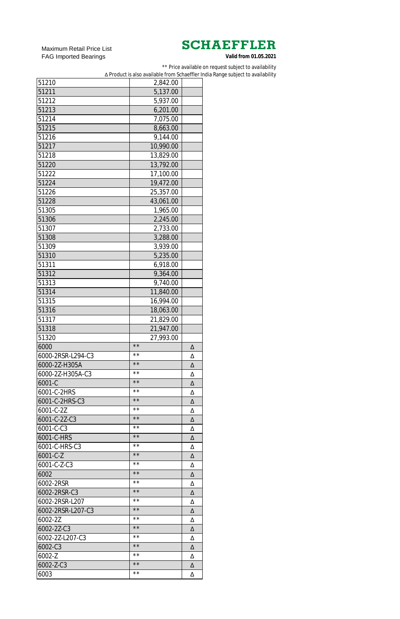Maximum Retail Price List FAG Imported Bearings

\*\* Price available on request subject to availability

∆ Product is also available from Schaeffler India Range subject to availability

| 51210             | 2,842.00                  |   |
|-------------------|---------------------------|---|
| 51211             | 5,137.00                  |   |
| 51212             | 5,937.00                  |   |
| 51213             | 6,201.00                  |   |
| 51214             | 7,075.00                  |   |
| 51215             | 8,663.00                  |   |
| 51216             | 9,144.00                  |   |
| 51217             | 10,990.00                 |   |
| 51218             | 13,829.00                 |   |
| 51220             | 13,792.00                 |   |
| 51222             | 17,100.00                 |   |
| 51224             | 19,472.00                 |   |
| 51226             | 25,357.00                 |   |
| 51228             | 43,061.00                 |   |
| 51305             | 1,965.00                  |   |
| 51306             | 2,245.00                  |   |
| 51307             | 2,733.00                  |   |
| 51308             | 3,288.00                  |   |
| 51309             | 3,939.00                  |   |
| 51310             | 5,235.00                  |   |
| 51311             | 6,918.00                  |   |
| 51312             | 9,364.00                  |   |
| 51313             | 9,740.00                  |   |
| 51314             | 11,840.00                 |   |
| 51315             |                           |   |
|                   | 16,994.00                 |   |
| 51316             | 18,063.00                 |   |
| 51317             | 21,829.00                 |   |
|                   |                           |   |
| 51318             | 21,947.00                 |   |
| 51320             | 27,993.00<br>$\star\star$ |   |
| 6000              | $\star\star$              | Δ |
| 6000-2RSR-L294-C3 | $\star\star$              | Δ |
| 6000-2Z-H305A     |                           | Δ |
| 6000-2Z-H305A-C3  | $\star\star$              | Δ |
| 6001-C            | $\star\star$              | Δ |
| 6001-C-2HRS       | $\star\star$              | Δ |
| 6001-C-2HRS-C3    | $\star\star$              | Δ |
| 6001-C-2Z         | $\star\star$              | Δ |
| 6001-C-2Z-C3      | $\star\star$              | Δ |
| 6001-C-C3         | $\star\star$              | Δ |
| 6001-C-HRS        | $\star\star$              | Δ |
| 6001-C-HRS-C3     | * *                       | Δ |
| $6001 - C - Z$    | $\star\star$              | Δ |
| 6001-C-Z-C3       | * *                       | Δ |
| 6002              | $\star\star$              | Δ |
| 6002-2RSR         | **                        | Δ |
| 6002-2RSR-C3      | $\star\star$              | Δ |
| 6002-2RSR-L207    | **                        | Δ |
| 6002-2RSR-L207-C3 | $\star\star$              | Δ |
| 6002-2Z           | $\star\star$              | Δ |
| 6002-2Z-C3        | $\star\star$              | Δ |
| 6002-2Z-L207-C3   | * *                       | Δ |
| 6002-C3           | $\star\,\star$            | Δ |
| 6002-Z            | $\star\,\star$            | Δ |
| 6002-Z-C3         | $\star\,\star$            | Δ |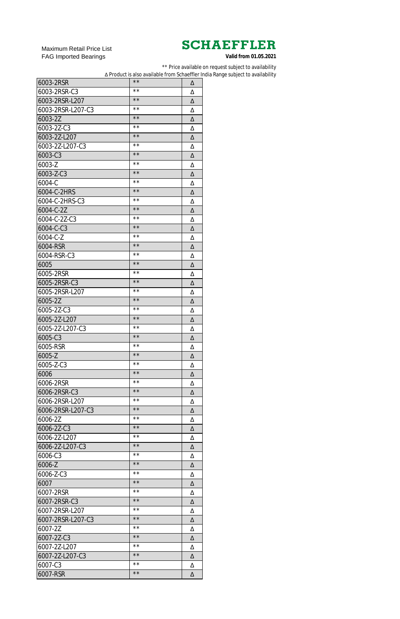Maximum Retail Price List FAG Imported Bearings

\*\* Price available on request subject to availability

∆ Product is also available from Schaeffler India Range subject to availability

| 6003-2RSR         | $\star\star$   | Δ |
|-------------------|----------------|---|
| 6003-2RSR-C3      | **             | Δ |
| 6003-2RSR-L207    | $\star\star$   | Δ |
| 6003-2RSR-L207-C3 | **             | Δ |
| 6003-2Z           | $\star\star$   | Δ |
| 6003-2Z-C3        | **             | Δ |
| 6003-2Z-L207      | $\star\star$   | Δ |
| 6003-2Z-L207-C3   | **             | Δ |
| 6003-C3           | $\star\star$   | Δ |
| 6003-Z            | **             | Δ |
| 6003-Z-C3         | $\star\star$   | Δ |
| 6004-C            | * *            | Δ |
| 6004-C-2HRS       | $\star\star$   | Δ |
| 6004-C-2HRS-C3    | * *            | Δ |
| 6004-C-2Z         | $\star\star$   | Δ |
| 6004-C-2Z-C3      | * *            | Δ |
| 6004-C-C3         | $\star\star$   | Δ |
| 6004-C-Z          | * *            | Δ |
| 6004-RSR          | $\star\star$   | Δ |
| 6004-RSR-C3       | * *            | Δ |
| 6005              | $\star\star$   | Δ |
|                   | * *            |   |
| 6005-2RSR         | $\star\star$   | Δ |
| 6005-2RSR-C3      | * *            | Δ |
| 6005-2RSR-L207    | $\star\star$   | Δ |
| 6005-2Z           | **             | Δ |
| 6005-2Z-C3        | $\star\star$   | Δ |
| 6005-2Z-L207      |                | Δ |
| 6005-2Z-L207-C3   | $\star\star$   | Δ |
| 6005-C3           | $\star\star$   | Δ |
| 6005-RSR          | $\star\star$   | Δ |
| 6005-Z            | $\star\star$   | Δ |
| 6005-Z-C3         | $\star\star$   | Δ |
| 6006              | $\star\star$   | Δ |
| 6006-2RSR         | * *            | Δ |
| 6006-2RSR-C3      | $\star\star$   | Δ |
| 6006-2RSR-L207    | * *            | Δ |
| 6006-2RSR-L207-C3 | $\star\star$   | Δ |
| 6006-2Z           | * *            | Δ |
| 6006-2Z-C3        | $\star\star$   | Δ |
| 6006-2Z-L207      | * *            | Δ |
| 6006-2Z-L207-C3   | $\star\star$   | Δ |
| 6006-C3           | * *            | Δ |
| 6006-Z            | $\star\star$   | Δ |
| 6006-Z-C3         | * *            | Δ |
| 6007              | $\star\star$   | Δ |
| 6007-2RSR         | * *            | Δ |
| 6007-2RSR-C3      | $\star\star$   | Δ |
| 6007-2RSR-L207    | * *            | Δ |
| 6007-2RSR-L207-C3 | $\star\star$   | Δ |
| 6007-2Z           | $\star\,\star$ | Δ |
| 6007-2Z-C3        | $\star\star$   | Δ |
| 6007-2Z-L207      | **             | Δ |
| 6007-2Z-L207-C3   | $\star\,\star$ | Δ |
| 6007-C3           | $\star\,\star$ | Δ |
| 6007-RSR          | $\star\,\star$ | Δ |
|                   |                |   |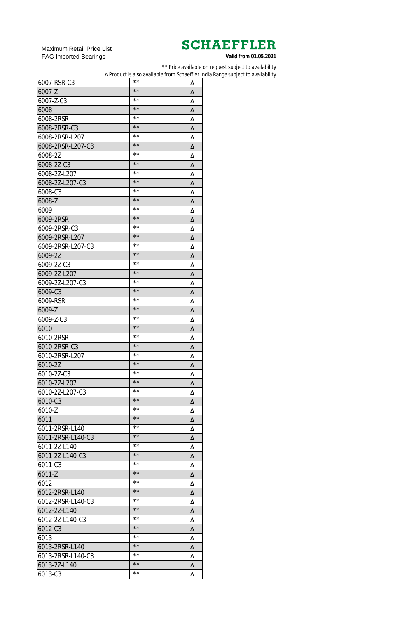Maximum Retail Price List FAG Imported Bearings

\*\* Price available on request subject to availability

∆ Product is also available from Schaeffler India Range subject to availability

| 6007-RSR-C3       | **             | Δ |
|-------------------|----------------|---|
| 6007-Z            | $\star\star$   | Δ |
| 6007-Z-C3         | $\star\,\star$ | Δ |
| 6008              | $\star\star$   | Δ |
| 6008-2RSR         | $\star\,\star$ | Δ |
| 6008-2RSR-C3      | $\star\star$   | Δ |
| 6008-2RSR-L207    | $\star\,\star$ | Δ |
| 6008-2RSR-L207-C3 | $\star\star$   | Δ |
| 6008-2Z           | $\star\,\star$ | Δ |
| 6008-2Z-C3        | $\star\star$   | Δ |
| 6008-2Z-L207      | $\star\,\star$ | Δ |
| 6008-2Z-L207-C3   | $\star\star$   | Δ |
| 6008-C3           | $\star\,\star$ | Δ |
| 6008-Z            | $\star\star$   | Δ |
| 6009              | $\star\,\star$ | Δ |
| 6009-2RSR         | $\star\star$   | Δ |
| 6009-2RSR-C3      | $\star\,\star$ | Δ |
| 6009-2RSR-L207    | $\star\star$   | Δ |
| 6009-2RSR-L207-C3 | $\star\,\star$ | Δ |
| 6009-2Z           | $\star\star$   | Δ |
| 6009-2Z-C3        | $\star\,\star$ | Δ |
| 6009-2Z-L207      | $\star\star$   | Δ |
| 6009-2Z-L207-C3   | $\star\,\star$ |   |
| 6009-C3           | $\star\star$   | Δ |
| 6009-RSR          | $\star\,\star$ | Δ |
|                   | $\star\star$   | Δ |
| 6009-Z            | * *            | Δ |
| 6009-Z-C3         | $\star\star$   | Δ |
| 6010              | $\star\star$   | Δ |
| 6010-2RSR         | $\star\,\star$ | Δ |
| 6010-2RSR-C3      | $\star\star$   | Δ |
| 6010-2RSR-L207    | $\star\,\star$ | Δ |
| 6010-2Z           | $\star\,\star$ | Δ |
| 6010-2Z-C3        | $\star\,\star$ | Δ |
| 6010-2Z-L207      | $\star\star$   | Δ |
| 6010-2Z-L207-C3   | $\star\,\star$ | Δ |
| 6010-C3           | $\star\,\star$ | Δ |
| 6010-Z            |                | Δ |
| 6011              | $\star\star$   | Δ |
| 6011-2RSR-L140    | $\star\,\star$ | Δ |
| 6011-2RSR-L140-C3 | $\star\,\star$ | Δ |
| 6011-2Z-L140      | $\star\star$   | Δ |
| 6011-2Z-L140-C3   | $\star\,\star$ | Δ |
| 6011-C3           | $\star\,\star$ | Δ |
| 6011-Z            | $\star\,\star$ | Δ |
| 6012              | $\star\,\star$ | Δ |
| 6012-2RSR-L140    | $\star\,\star$ | Δ |
| 6012-2RSR-L140-C3 | $\star\,\star$ | Δ |
| 6012-2Z-L140      | $\star\,\star$ | Δ |
| 6012-2Z-L140-C3   | $\star\,\star$ | Δ |
| 6012-C3           | $\star\star$   | Δ |
| 6013              | $\star\,\star$ | Δ |
| 6013-2RSR-L140    | $\star\star$   | Δ |
| 6013-2RSR-L140-C3 | $\star\,\star$ | Δ |
| 6013-2Z-L140      | $\star\,\star$ | Δ |
| 6013-C3           | $\star\,\star$ | Δ |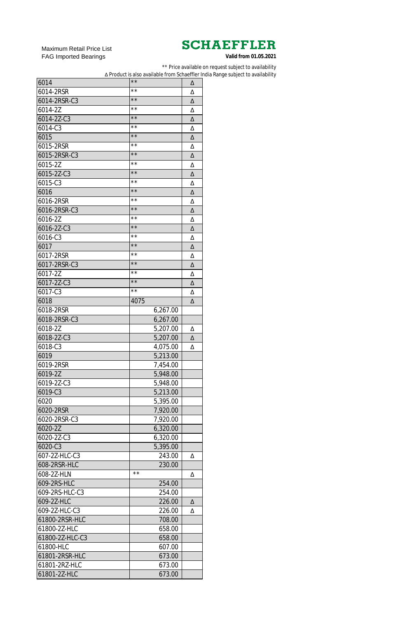Maximum Retail Price List FAG Imported Bearings

\*\* Price available on request subject to availability

∆ Product is also available from Schaeffler India Range subject to availability

| 6014            | $\star\star$   | Δ |
|-----------------|----------------|---|
| 6014-2RSR       | **             | Δ |
| 6014-2RSR-C3    | $\star\star$   | Δ |
| 6014-2Z         | $\star\star$   | Δ |
| 6014-2Z-C3      | $\star\star$   | Δ |
| 6014-C3         | $\star\star$   | Δ |
| 6015            | $\star\star$   | Δ |
| 6015-2RSR       | **             | Δ |
| 6015-2RSR-C3    | $\star\star$   | Δ |
| 6015-2Z         | $\star\star$   | Δ |
| 6015-2Z-C3      | $\star\star$   | Δ |
| 6015-C3         | $\star\star$   | Δ |
| 6016            | $\star\star$   | Δ |
| 6016-2RSR       | $\star\star$   | Δ |
| 6016-2RSR-C3    | $\star\star$   | Δ |
| 6016-2Z         | $\star\star$   | Δ |
| 6016-2Z-C3      | $\star\star$   | Δ |
| 6016-C3         | $\star\star$   | Δ |
| 6017            | $\star\star$   | Δ |
| 6017-2RSR       | $\star\star$   | Δ |
| 6017-2RSR-C3    | $\star\star$   | Δ |
| 6017-2Z         | $\star\star$   | Δ |
| 6017-2Z-C3      | $\star\star$   | Δ |
| 6017-C3         | $\star\star$   | Δ |
| 6018            | 4075           | Δ |
| 6018-2RSR       | 6,267.00       |   |
| 6018-2RSR-C3    | 6,267.00       |   |
| 6018-2Z         | 5,207.00       | Δ |
| 6018-2Z-C3      | 5,207.00       | Δ |
| 6018-C3         | 4,075.00       | Δ |
| 6019            | 5,213.00       |   |
| 6019-2RSR       | 7,454.00       |   |
| 6019-2Z         | 5,948.00       |   |
| 6019-2Z-C3      | 5,948.00       |   |
| 6019-C3         | 5,213.00       |   |
| 6020            | 5,395.00       |   |
| 6020-2RSR       | 7,920.00       |   |
| 6020-2RSR-C3    | 7,920.00       |   |
| 6020-2Z         | 6,320.00       |   |
| 6020-2Z-C3      | 6,320.00       |   |
| 6020-C3         | 5,395.00       |   |
| 607-2Z-HLC-C3   | 243.00         | Δ |
| 608-2RSR-HLC    | 230.00         |   |
| 608-2Z-HLN      | $\star\,\star$ | Δ |
| 609-2RS-HLC     | 254.00         |   |
| 609-2RS-HLC-C3  | 254.00         |   |
| 609-2Z-HLC      | 226.00         | Δ |
| 609-2Z-HLC-C3   | 226.00         | Δ |
| 61800-2RSR-HLC  | 708.00         |   |
| 61800-2Z-HLC    | 658.00         |   |
| 61800-2Z-HLC-C3 | 658.00         |   |
| 61800-HLC       | 607.00         |   |
| 61801-2RSR-HLC  | 673.00         |   |
| 61801-2RZ-HLC   | 673.00         |   |
|                 |                |   |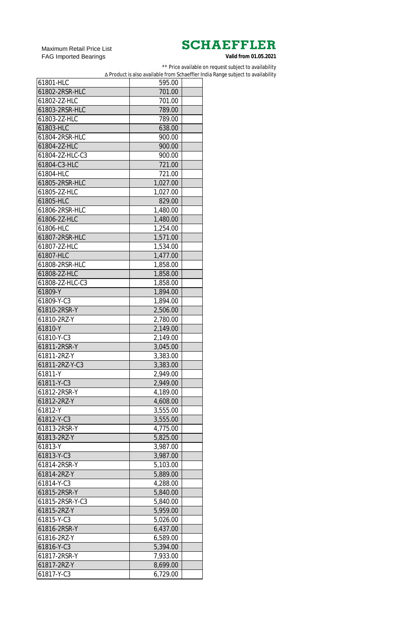Maximum Retail Price List FAG Imported Bearings

\*\* Price available on request subject to availability

∆ Product is also available from Schaeffler India Range subject to availability

| 61801-HLC       | 595.00   |  |
|-----------------|----------|--|
| 61802-2RSR-HLC  | 701.00   |  |
| 61802-2Z-HLC    | 701.00   |  |
| 61803-2RSR-HLC  | 789.00   |  |
| 61803-2Z-HLC    | 789.00   |  |
| 61803-HLC       | 638.00   |  |
| 61804-2RSR-HLC  | 900.00   |  |
| 61804-2Z-HLC    | 900.00   |  |
| 61804-2Z-HLC-C3 | 900.00   |  |
| 61804-C3-HLC    | 721.00   |  |
| 61804-HLC       | 721.00   |  |
| 61805-2RSR-HLC  | 1,027.00 |  |
| 61805-2Z-HLC    | 1,027.00 |  |
| 61805-HLC       | 829.00   |  |
| 61806-2RSR-HLC  | 1,480.00 |  |
| 61806-2Z-HLC    | 1,480.00 |  |
| 61806-HLC       | 1,254.00 |  |
| 61807-2RSR-HLC  | 1,571.00 |  |
| 61807-2Z-HLC    | 1,534.00 |  |
| 61807-HLC       | 1,477.00 |  |
| 61808-2RSR-HLC  | 1,858.00 |  |
| 61808-2Z-HLC    | 1,858.00 |  |
| 61808-2Z-HLC-C3 | 1,858.00 |  |
| 61809-Y         | 1,894.00 |  |
| 61809-Y-C3      | 1,894.00 |  |
| 61810-2RSR-Y    | 2,506.00 |  |
| 61810-2RZ-Y     | 2,780.00 |  |
| 61810-Y         | 2,149.00 |  |
| 61810-Y-C3      | 2,149.00 |  |
| 61811-2RSR-Y    | 3,045.00 |  |
| 61811-2RZ-Y     | 3,383.00 |  |
| 61811-2RZ-Y-C3  | 3,383.00 |  |
| 61811-Y         | 2,949.00 |  |
| 61811-Y-C3      | 2,949.00 |  |
| 61812-2RSR-Y    | 4,189.00 |  |
| 61812-2RZ-Y     | 4,608.00 |  |
| 61812-Y         | 3,555.00 |  |
| 61812-Y-C3      | 3,555.00 |  |
| 61813-2RSR-Y    | 4,775.00 |  |
| 61813-2RZ-Y     | 5,825.00 |  |
| 61813-Y         | 3,987.00 |  |
| 61813-Y-C3      | 3,987.00 |  |
| 61814-2RSR-Y    | 5,103.00 |  |
| 61814-2RZ-Y     | 5,889.00 |  |
| 61814-Y-C3      | 4,288.00 |  |
| 61815-2RSR-Y    | 5,840.00 |  |
| 61815-2RSR-Y-C3 | 5,840.00 |  |
| 61815-2RZ-Y     | 5,959.00 |  |
| 61815-Y-C3      | 5,026.00 |  |
| 61816-2RSR-Y    | 6,437.00 |  |
| 61816-2RZ-Y     | 6,589.00 |  |
| 61816-Y-C3      | 5,394.00 |  |
| 61817-2RSR-Y    | 7,933.00 |  |
| 61817-2RZ-Y     | 8,699.00 |  |
| 61817-Y-C3      | 6,729.00 |  |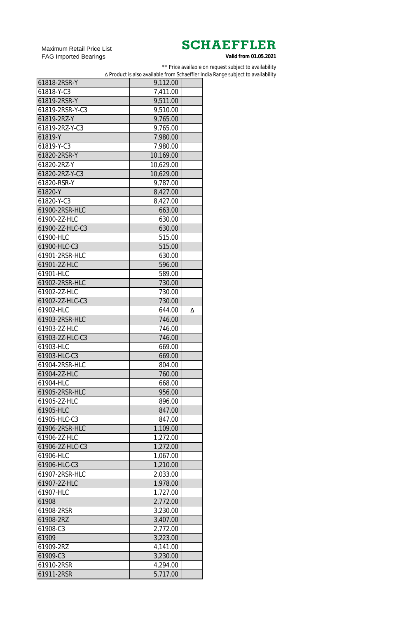Maximum Retail Price List FAG Imported Bearings

\*\* Price available on request subject to availability

∆ Product is also available from Schaeffler India Range subject to availability

| 61818-2RSR-Y    | 9,112.00         |   |
|-----------------|------------------|---|
| 61818-Y-C3      | 7,411.00         |   |
| 61819-2RSR-Y    | 9,511.00         |   |
| 61819-2RSR-Y-C3 | 9,510.00         |   |
| 61819-2RZ-Y     | 9,765.00         |   |
| 61819-2RZ-Y-C3  | 9,765.00         |   |
| 61819-Y         | 7,980.00         |   |
| 61819-Y-C3      | 7,980.00         |   |
| 61820-2RSR-Y    | 10,169.00        |   |
| 61820-2RZ-Y     | 10,629.00        |   |
| 61820-2RZ-Y-C3  | 10,629.00        |   |
| 61820-RSR-Y     | 9,787.00         |   |
| 61820-Y         | 8,427.00         |   |
| 61820-Y-C3      | 8,427.00         |   |
| 61900-2RSR-HLC  | 663.00           |   |
| 61900-2Z-HLC    | 630.00           |   |
| 61900-2Z-HLC-C3 | 630.00           |   |
| 61900-HLC       | 515.00           |   |
| 61900-HLC-C3    | 515.00           |   |
| 61901-2RSR-HLC  | 630.00           |   |
| 61901-2Z-HLC    | 596.00           |   |
| 61901-HLC       | 589.00           |   |
| 61902-2RSR-HLC  | 730.00           |   |
| 61902-2Z-HLC    |                  |   |
|                 | 730.00<br>730.00 |   |
| 61902-2Z-HLC-C3 |                  |   |
| 61902-HLC       | 644.00           | Δ |
| 61903-2RSR-HLC  | 746.00           |   |
| 61903-2Z-HLC    | 746.00           |   |
| 61903-2Z-HLC-C3 | 746.00           |   |
| 61903-HLC       | 669.00           |   |
| 61903-HLC-C3    | 669.00           |   |
| 61904-2RSR-HLC  | 804.00           |   |
| 61904-2Z-HLC    | 760.00           |   |
| 61904-HLC       | 668.00           |   |
| 61905-2RSR-HLC  | 956.00           |   |
| 61905-2Z-HLC    | 896.00           |   |
| 61905-HLC       | 847.00           |   |
| 61905-HLC-C3    | 847.00           |   |
| 61906-2RSR-HLC  | 1,109.00         |   |
| 61906-2Z-HLC    | 1,272.00         |   |
| 61906-2Z-HLC-C3 | 1,272.00         |   |
| 61906-HLC       | 1,067.00         |   |
| 61906-HLC-C3    | 1,210.00         |   |
| 61907-2RSR-HLC  | 2,033.00         |   |
| 61907-2Z-HLC    | 1,978.00         |   |
| 61907-HLC       | 1,727.00         |   |
| 61908           | 2,772.00         |   |
| 61908-2RSR      | 3,230.00         |   |
| 61908-2RZ       | 3,407.00         |   |
| 61908-C3        | 2,772.00         |   |
| 61909           | 3,223.00         |   |
| 61909-2RZ       | 4,141.00         |   |
| 61909-C3        | 3,230.00         |   |
| 61910-2RSR      | 4,294.00         |   |
| 61911-2RSR      | 5,717.00         |   |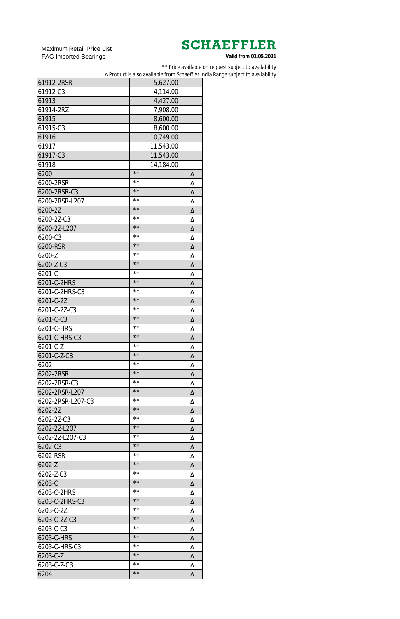Maximum Retail Price List FAG Imported Bearings

\*\* Price available on request subject to availability

∆ Product is also available from Schaeffler India Range subject to availability

| 61912-2RSR        | 5,627.00       |   |
|-------------------|----------------|---|
| 61912-C3          | 4,114.00       |   |
| 61913             | 4,427.00       |   |
| 61914-2RZ         | 7,908.00       |   |
| 61915             | 8,600.00       |   |
| 61915-C3          | 8,600.00       |   |
| 61916             | 10,749.00      |   |
| 61917             | 11,543.00      |   |
| 61917-C3          | 11,543.00      |   |
| 61918             | 14,184.00      |   |
| 6200              | $\star\,\star$ | Δ |
| 6200-2RSR         | $\star\,\star$ | Δ |
| 6200-2RSR-C3      | $\star\star$   | Δ |
| 6200-2RSR-L207    | $\star\,\star$ | Δ |
| 6200-2Z           | $\star\star$   | Δ |
| 6200-2Z-C3        | $\star\star$   | Δ |
| 6200-2Z-L207      | $\star\star$   | Δ |
| 6200-C3           | $\star\star$   | Δ |
| 6200-RSR          | $\star\star$   | Δ |
| 6200-Z            | $\star\star$   | Δ |
| 6200-Z-C3         | $\star\star$   | Δ |
| 6201-C            | $\star\star$   | Δ |
| 6201-C-2HRS       | $\star\star$   | Δ |
| 6201-C-2HRS-C3    | $\star\star$   | Δ |
| 6201-C-2Z         | $\star\star$   | Δ |
| 6201-C-2Z-C3      | **             | Δ |
| 6201-C-C3         | $\star\star$   | Δ |
| 6201-C-HRS        | $\star\star$   | Δ |
| 6201-C-HRS-C3     | $\star\star$   | Δ |
| 6201-C-Z          | $\star\star$   | Δ |
| 6201-C-Z-C3       | $\star\star$   | Δ |
| 6202              | $\star\star$   | Δ |
| 6202-2RSR         | $\star\star$   | Δ |
| 6202-2RSR-C3      | $\star\star$   | Δ |
| 6202-2RSR-L207    | $\star\star$   | Δ |
| 6202-2RSR-L207-C3 | $\star\star$   | Δ |
| 6202-2Z           | $\star\star$   | Δ |
| 6202-2Z-C3        | $\star\star$   | Δ |
| 6202-2Z-L207      | $\star\star$   | Δ |
| 6202-2Z-L207-C3   | $\star\star$   | Δ |
| 6202-C3           | $\star\star$   | Δ |
| 6202-RSR          | $\star\star$   | Δ |
| 6202-Z            | $\star\star$   | Δ |
| 6202-Z-C3         | $\star\star$   | Δ |
| 6203-C            | $\star\star$   | Δ |
| 6203-C-2HRS       | $\star\star$   | Δ |
| 6203-C-2HRS-C3    | $\star\star$   | Δ |
| 6203-C-2Z         | $\star\,\star$ | Δ |
| 6203-C-2Z-C3      | $\star\star$   | Δ |
| 6203-C-C3         | $\star\,\star$ | Δ |
| 6203-C-HRS        | $\star\star$   | Δ |
| 6203-C-HRS-C3     | * *            | Δ |
| 6203-C-Z          | $\star\star$   | Δ |
| 6203-C-Z-C3       | $\star\,\star$ | Δ |
| 6204              | $\star\,\star$ | Δ |
|                   |                |   |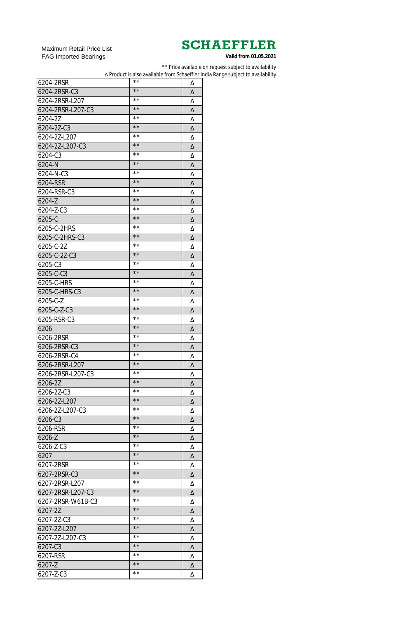Maximum Retail Price List FAG Imported Bearings

\*\* Price available on request subject to availability

∆ Product is also available from Schaeffler India Range subject to availability

| 6204-2RSR         | $\star\,\star$ | Δ |
|-------------------|----------------|---|
| 6204-2RSR-C3      | $\star\star$   | Δ |
| 6204-2RSR-L207    | $\star\,\star$ | Δ |
| 6204-2RSR-L207-C3 | $\star\star$   | Δ |
| 6204-2Z           | $\star\,\star$ | Δ |
| 6204-2Z-C3        | $\star\star$   | Δ |
| 6204-2Z-L207      | $\star\,\star$ | Δ |
| 6204-2Z-L207-C3   | $\star\star$   | Δ |
| 6204-C3           | $\star\,\star$ | Δ |
| $6204 - N$        | $\star\star$   | Δ |
| 6204-N-C3         | $\star\,\star$ | Δ |
| 6204-RSR          | $**$           | Δ |
| 6204-RSR-C3       | $\star\,\star$ | Δ |
| $6204 - Z$        | $**$           | Δ |
| 6204-Z-C3         | $\star\,\star$ | Δ |
| 6205-C            | $**$           | Δ |
| 6205-C-2HRS       | $\star\,\star$ | Δ |
| 6205-C-2HRS-C3    | $**$           | Δ |
| 6205-C-2Z         | $\star\,\star$ | Δ |
| 6205-C-2Z-C3      | $**$           | Δ |
| 6205-C3           | $\star\,\star$ | Δ |
| 6205-C-C3         | $**$           | Δ |
| 6205-C-HRS        | $\star\,\star$ | Δ |
| 6205-C-HRS-C3     | $**$           | Δ |
| 6205-C-Z          | $\star\,\star$ | Δ |
| 6205-C-Z-C3       | $\star\star$   | Δ |
| 6205-RSR-C3       | $\star\star$   | Δ |
| 6206              | $\star\star$   | Δ |
| 6206-2RSR         | $\star\star$   | Δ |
| 6206-2RSR-C3      | $\star\star$   | Δ |
| 6206-2RSR-C4      | $\star\star$   | Δ |
| 6206-2RSR-L207    | $\star\star$   | Δ |
| 6206-2RSR-L207-C3 | $\star\star$   | Δ |
| 6206-2Z           | $\star\star$   | Δ |
| 6206-2Z-C3        | $\star\star$   | Δ |
| 6206-2Z-L207      | $\star\star$   | Δ |
| 6206-2Z-L207-C3   | $\star\star$   | Δ |
| 6206-C3           | $\star\star$   | Δ |
| 6206-RSR          | $\star\star$   | Δ |
| 6206-Z            | $\star\star$   | Δ |
| 6206-Z-C3         | $\star\star$   | Δ |
| 6207              | $\star\star$   | Δ |
| 6207-2RSR         | $\star\,\star$ | Δ |
| 6207-2RSR-C3      | $\star\star$   | Δ |
| 6207-2RSR-L207    | $\star\,\star$ | Δ |
| 6207-2RSR-L207-C3 | $\star\star$   | Δ |
| 6207-2RSR-W61B-C3 | $\star\,\star$ | Δ |
| 6207-2Z           | $\star\star$   | Δ |
| 6207-2Z-C3        | $\star\,\star$ | Δ |
| 6207-2Z-L207      | $\star\star$   | Δ |
| 6207-2Z-L207-C3   | $\star\,\star$ | Δ |
| 6207-C3           | $\star\star$   | Δ |
| 6207-RSR          | $\star\,\star$ | Δ |
| 6207-Z            | $\star\,\star$ | Δ |
| 6207-Z-C3         | $\star\,\star$ | Δ |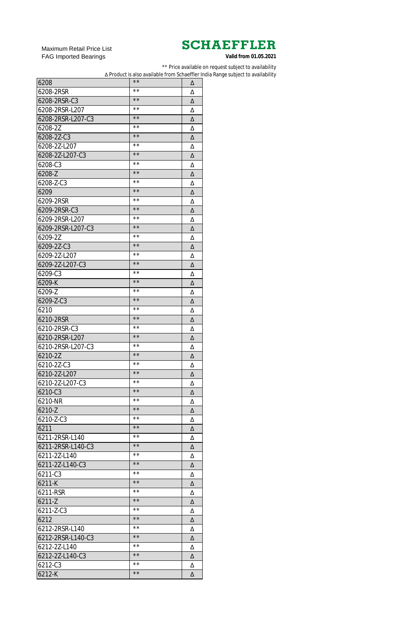Maximum Retail Price List FAG Imported Bearings

\*\* Price available on request subject to availability

∆ Product is also available from Schaeffler India Range subject to availability

| 6208              | $\star\star$   | Δ |
|-------------------|----------------|---|
| 6208-2RSR         | **             | Δ |
| 6208-2RSR-C3      | $\star\star$   | Δ |
| 6208-2RSR-L207    | **             | Δ |
| 6208-2RSR-L207-C3 | $\star\star$   | Δ |
| 6208-2Z           | $\star\star$   | Δ |
| 6208-2Z-C3        | $\star\star$   | Δ |
| 6208-2Z-L207      | **             | Δ |
| 6208-2Z-L207-C3   | $\star\star$   | Δ |
| 6208-C3           | $\star\star$   | Δ |
| 6208-Z            | $\star\star$   | Δ |
| 6208-Z-C3         | $\star\,\star$ | Δ |
| 6209              | $\star\star$   | Δ |
| 6209-2RSR         | $\star\,\star$ | Δ |
| 6209-2RSR-C3      | $\star\star$   | Δ |
| 6209-2RSR-L207    | $\star\,\star$ | Δ |
| 6209-2RSR-L207-C3 | $\star\star$   | Δ |
| 6209-2Z           | $\star\,\star$ | Δ |
| 6209-2Z-C3        | $\star\star$   | Δ |
| 6209-2Z-L207      | $\star\,\star$ | Δ |
| 6209-2Z-L207-C3   | $\star\star$   | Δ |
| 6209-C3           | $\star\,\star$ | Δ |
| 6209-K            | $\star\star$   |   |
| 6209-Z            | $\star\,\star$ | Δ |
|                   | $\star\star$   | Δ |
| 6209-Z-C3         | **             | Δ |
| 6210              | $\star\star$   | Δ |
| 6210-2RSR         | $\star\,\star$ | Δ |
| 6210-2RSR-C3      | $\star\star$   | Δ |
| 6210-2RSR-L207    | $\star\,\star$ | Δ |
| 6210-2RSR-L207-C3 | $\star\star$   | Δ |
| 6210-2Z           | $\star\,\star$ | Δ |
| 6210-2Z-C3        | $\star\star$   | Δ |
| 6210-2Z-L207      | $\star\,\star$ | Δ |
| 6210-2Z-L207-C3   | $\star\star$   | Δ |
| 6210-C3           |                | Δ |
| 6210-NR           | $\star\,\star$ | Δ |
| 6210-Z            | $\star\star$   | Δ |
| 6210-Z-C3         | $\star\,\star$ | Δ |
| 6211              | $\star\star$   | Δ |
| 6211-2RSR-L140    | $\star\,\star$ | Δ |
| 6211-2RSR-L140-C3 | $\star\star$   | Δ |
| 6211-2Z-L140      | $\star\,\star$ | Δ |
| 6211-2Z-L140-C3   | $\star\star$   | Δ |
| 6211-C3           | $\star\,\star$ | Δ |
| 6211-K            | $\star\star$   | Δ |
| 6211-RSR          | $\star\,\star$ | Δ |
| 6211-Z            | $\star\star$   | Δ |
| 6211-Z-C3         | $\star\,\star$ | Δ |
| 6212              | $\star\star$   | Δ |
| 6212-2RSR-L140    | $\star\,\star$ | Δ |
| 6212-2RSR-L140-C3 | $\star\star$   | Δ |
| 6212-2Z-L140      | * *            | Δ |
| 6212-2Z-L140-C3   | $\star\star$   | Δ |
| 6212-C3           | **             | Δ |
| 6212-K            | $\star\star$   | Δ |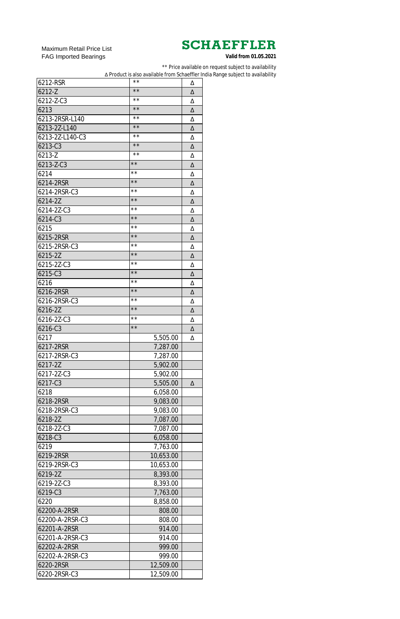Maximum Retail Price List FAG Imported Bearings

\*\* Price available on request subject to availability

∆ Product is also available from Schaeffler India Range subject to availability

| 6212-RSR        | **           | Δ |
|-----------------|--------------|---|
| 6212-Z          | $\star\star$ | Δ |
| 6212-Z-C3       | **           | Δ |
| 6213            | $\star\star$ | Δ |
| 6213-2RSR-L140  | **           | Δ |
| 6213-2Z-L140    | $\star\star$ | Δ |
| 6213-2Z-L140-C3 | **           | Δ |
| 6213-C3         | $\star\star$ | Δ |
| 6213-Z          | **           | Δ |
| 6213-Z-C3       | $\star\star$ | Δ |
| 6214            | $\star\star$ | Δ |
| 6214-2RSR       | $\star\star$ | Δ |
| 6214-2RSR-C3    | $\star\star$ | Δ |
| 6214-2Z         | $\star\star$ | Δ |
| 6214-2Z-C3      | $\star\star$ | Δ |
| 6214-C3         | $\star\star$ | Δ |
| 6215            | $\star\star$ | Δ |
| 6215-2RSR       | $\star\star$ | Δ |
| 6215-2RSR-C3    | $\star\star$ | Δ |
| 6215-2Z         | $\star\star$ | Δ |
| 6215-2Z-C3      | $\star\star$ | Δ |
| 6215-C3         | $\star\star$ | Δ |
| 6216            | $\star\star$ | Δ |
| 6216-2RSR       | $\star\star$ | Δ |
| 6216-2RSR-C3    | **           | Δ |
| 6216-2Z         | $\star\star$ | Δ |
| 6216-2Z-C3      | $\star\star$ | Δ |
| 6216-C3         | $\star\star$ | Δ |
| 6217            | 5,505.00     | Δ |
| 6217-2RSR       | 7,287.00     |   |
| 6217-2RSR-C3    | 7,287.00     |   |
| 6217-2Z         | 5,902.00     |   |
| 6217-2Z-C3      | 5,902.00     |   |
| 6217-C3         | 5,505.00     | Δ |
| 6218            | 6,058.00     |   |
| 6218-2RSR       | 9,083.00     |   |
| 6218-2RSR-C3    | 9,083.00     |   |
| 6218-2Z         | 7,087.00     |   |
| 6218-2Z-C3      | 7,087.00     |   |
| 6218-C3         | 6,058.00     |   |
| 6219            | 7,763.00     |   |
| 6219-2RSR       | 10,653.00    |   |
| 6219-2RSR-C3    | 10,653.00    |   |
| 6219-2Z         | 8,393.00     |   |
| 6219-2Z-C3      | 8,393.00     |   |
| 6219-C3         | 7,763.00     |   |
| 6220            | 8,858.00     |   |
| 62200-A-2RSR    | 808.00       |   |
| 62200-A-2RSR-C3 | 808.00       |   |
| 62201-A-2RSR    | 914.00       |   |
| 62201-A-2RSR-C3 | 914.00       |   |
| 62202-A-2RSR    | 999.00       |   |
| 62202-A-2RSR-C3 | 999.00       |   |
| 6220-2RSR       | 12,509.00    |   |
| 6220-2RSR-C3    | 12,509.00    |   |
|                 |              |   |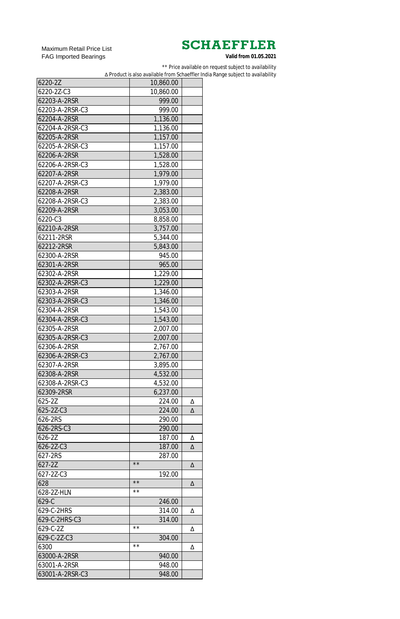Maximum Retail Price List FAG Imported Bearings

\*\* Price available on request subject to availability

∆ Product is also available from Schaeffler India Range subject to availability

| 6220-2Z         | 10,860.00                |   |
|-----------------|--------------------------|---|
| 6220-2Z-C3      | 10,860.00                |   |
| 62203-A-2RSR    | 999.00                   |   |
| 62203-A-2RSR-C3 | 999.00                   |   |
| 62204-A-2RSR    | 1,136.00                 |   |
| 62204-A-2RSR-C3 | 1,136.00                 |   |
| 62205-A-2RSR    | 1,157.00                 |   |
| 62205-A-2RSR-C3 | 1,157.00                 |   |
| 62206-A-2RSR    | 1,528.00                 |   |
| 62206-A-2RSR-C3 | 1,528.00                 |   |
| 62207-A-2RSR    | 1,979.00                 |   |
| 62207-A-2RSR-C3 | 1,979.00                 |   |
| 62208-A-2RSR    | 2,383.00                 |   |
| 62208-A-2RSR-C3 | 2,383.00                 |   |
| 62209-A-2RSR    | 3,053.00                 |   |
| 6220-C3         | 8,858.00                 |   |
| 62210-A-2RSR    | 3,757.00                 |   |
| 62211-2RSR      | 5,344.00                 |   |
| 62212-2RSR      | 5,843.00                 |   |
| 62300-A-2RSR    | 945.00                   |   |
| 62301-A-2RSR    | 965.00                   |   |
| 62302-A-2RSR    | 1,229.00                 |   |
| 62302-A-2RSR-C3 | 1,229.00                 |   |
| 62303-A-2RSR    | 1,346.00                 |   |
| 62303-A-2RSR-C3 | 1,346.00                 |   |
| 62304-A-2RSR    | 1,543.00                 |   |
| 62304-A-2RSR-C3 | 1,543.00                 |   |
| 62305-A-2RSR    | 2,007.00                 |   |
| 62305-A-2RSR-C3 | 2,007.00                 |   |
| 62306-A-2RSR    | 2,767.00                 |   |
| 62306-A-2RSR-C3 | 2,767.00                 |   |
| 62307-A-2RSR    | 3,895.00                 |   |
| 62308-A-2RSR    | 4,532.00                 |   |
| 62308-A-2RSR-C3 | 4,532.00                 |   |
| 62309-2RSR      | 6,237.00                 |   |
| 625-2Z          | 224.00                   | Δ |
| 625-2Z-C3       | 224.00                   | Δ |
| 626-2RS         | 290.00                   |   |
| 626-2RS-C3      | 290.00                   |   |
| 626-2Z          | 187.00                   | Δ |
| 626-2Z-C3       | 187.00                   | Δ |
| 627-2RS         | 287.00                   |   |
| 627-2Z          | $\star\star$             | Δ |
| 627-2Z-C3       | 192.00                   |   |
| 628             | $\star\star$             | Δ |
| 628-2Z-HLN      | $\star\,\star$           |   |
| $629-C$         |                          |   |
| 629-C-2HRS      | 246.00<br>314.00         |   |
|                 |                          | Δ |
| 629-C-2HRS-C3   | 314.00<br>$\star\,\star$ |   |
| 629-C-2Z        |                          | Δ |
| 629-C-2Z-C3     | 304.00<br>$\star\,\star$ |   |
| 6300            |                          | Δ |
| 63000-A-2RSR    | 940.00                   |   |
| 63001-A-2RSR    | 948.00                   |   |
| 63001-A-2RSR-C3 | 948.00                   |   |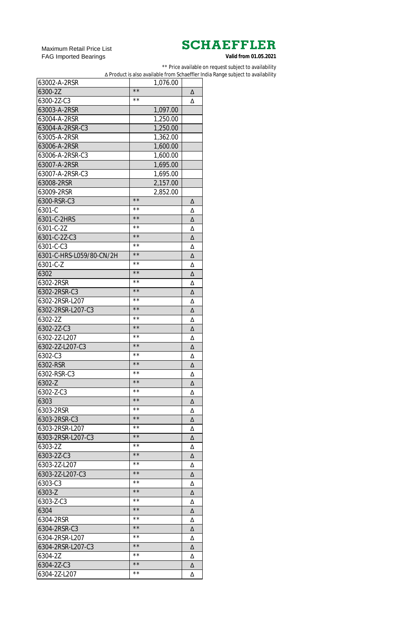Maximum Retail Price List FAG Imported Bearings

\*\* Price available on request subject to availability

∆ Product is also available from Schaeffler India Range subject to availability

| 63002-A-2RSR             | 1,076.00       |   |
|--------------------------|----------------|---|
| 6300-2Z                  | $\star\star$   | Δ |
| 6300-2Z-C3               | **             | Δ |
| 63003-A-2RSR             | 1,097.00       |   |
| 63004-A-2RSR             | 1,250.00       |   |
| 63004-A-2RSR-C3          | 1,250.00       |   |
| 63005-A-2RSR             | 1,362.00       |   |
| 63006-A-2RSR             | 1,600.00       |   |
| 63006-A-2RSR-C3          | 1,600.00       |   |
| 63007-A-2RSR             | 1,695.00       |   |
| 63007-A-2RSR-C3          | 1,695.00       |   |
| 63008-2RSR               | 2,157.00       |   |
| 63009-2RSR               | 2,852.00       |   |
| 6300-RSR-C3              | $\star\star$   | Δ |
| 6301-C                   | **             | Δ |
| 6301-C-2HRS              | $\star\star$   | Δ |
| 6301-C-2Z                | **             | Δ |
| 6301-C-2Z-C3             | $\star\star$   | Δ |
| 6301-C-C3                | **             | Δ |
| 6301-C-HRS-L059/80-CN/2H | $\star\star$   | Δ |
| 6301-C-Z                 | **             | Δ |
| 6302                     | $\star\star$   | Δ |
| 6302-2RSR                | $\star\,\star$ | Δ |
| 6302-2RSR-C3             | $\star\star$   | Δ |
| 6302-2RSR-L207           | $\star\,\star$ | Δ |
| 6302-2RSR-L207-C3        | $\star\star$   | Δ |
| 6302-2Z                  | $\star\,\star$ | Δ |
| 6302-2Z-C3               | $\star\star$   | Δ |
| 6302-2Z-L207             | $\star\,\star$ | Δ |
| 6302-2Z-L207-C3          | $\star\star$   | Δ |
| 6302-C3                  | $\star\,\star$ | Δ |
| 6302-RSR                 | $\star\star$   | Δ |
| 6302-RSR-C3              | $\star\,\star$ | Δ |
| 6302-Z                   | $\star\star$   | Δ |
| 6302-Z-C3                | $\star\,\star$ | Δ |
| 6303                     | $\star\star$   | Δ |
| 6303-2RSR                | $\star\,\star$ | Δ |
| 6303-2RSR-C3             | $\star\star$   | Δ |
| 6303-2RSR-L207           | $\star\,\star$ | Δ |
| 6303-2RSR-L207-C3        | $\star\star$   | Δ |
| 6303-2Z                  | $\star\,\star$ | Δ |
| 6303-2Z-C3               | $\star\star$   | Δ |
| 6303-2Z-L207             | $\star\,\star$ | Δ |
| 6303-2Z-L207-C3          | $\star\star$   | Δ |
| 6303-C3                  | $\star\,\star$ | Δ |
| 6303-Z                   | $\star\star$   | Δ |
| 6303-Z-C3                | $\star\,\star$ | Δ |
| 6304                     | $\star\star$   | Δ |
| 6304-2RSR                | $\star\,\star$ | Δ |
| 6304-2RSR-C3             | $\star\star$   | Δ |
| 6304-2RSR-L207           | $\star\,\star$ | Δ |
| 6304-2RSR-L207-C3        | $\star\star$   | Δ |
| 6304-2Z                  | **             | Δ |
| 6304-2Z-C3               | $\star\star$   | Δ |
| 6304-2Z-L207             | $\star\,\star$ | Δ |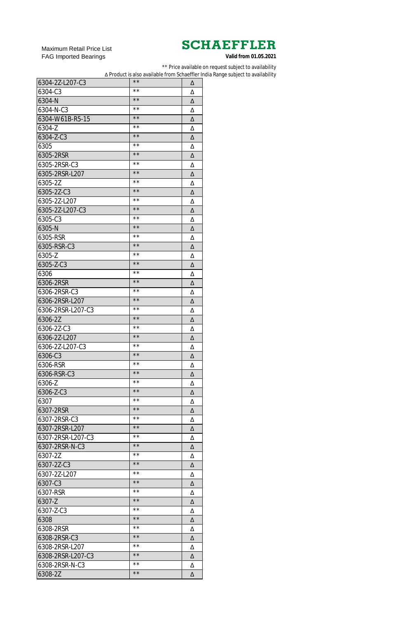Maximum Retail Price List FAG Imported Bearings

\*\* Price available on request subject to availability

∆ Product is also available from Schaeffler India Range subject to availability

| 6304-2Z-L207-C3   | $\star\star$   | Δ |
|-------------------|----------------|---|
| 6304-C3           | $\star\,\star$ | Δ |
| 6304-N            | $\star\star$   | Δ |
| 6304-N-C3         | $\star\,\star$ | Δ |
| 6304-W61B-R5-15   | $\star\,\star$ | Δ |
| 6304-Z            | $\star\,\star$ | Δ |
| 6304-Z-C3         | $\star\,\star$ | Δ |
| 6305              | $\star\,\star$ | Δ |
| 6305-2RSR         | $\star\,\star$ | Δ |
| 6305-2RSR-C3      | $\star\,\star$ | Δ |
| 6305-2RSR-L207    | $\star\star$   | Δ |
| 6305-2Z           | $\star\,\star$ | Δ |
| 6305-2Z-C3        | $\star\star$   | Δ |
| 6305-2Z-L207      | $\star\,\star$ | Δ |
| 6305-2Z-L207-C3   | $\star\star$   | Δ |
| 6305-C3           | $\star\,\star$ | Δ |
| 6305-N            | $\star\star$   | Δ |
| 6305-RSR          | $\star\,\star$ | Δ |
| 6305-RSR-C3       | $\star\star$   | Δ |
| 6305-Z            | $\star\,\star$ | Δ |
| 6305-Z-C3         | $\star\star$   | Δ |
| 6306              | $\star\,\star$ | Δ |
| 6306-2RSR         | $\star\star$   | Δ |
| 6306-2RSR-C3      | $\star\,\star$ | Δ |
| 6306-2RSR-L207    | $\star\star$   |   |
|                   | $\star\,\star$ | Δ |
| 6306-2RSR-L207-C3 | $\star\star$   | Δ |
| 6306-2Z           | $\star\,\star$ | Δ |
| 6306-2Z-C3        | $\star\star$   | Δ |
| 6306-2Z-L207      | $\star\,\star$ | Δ |
| 6306-2Z-L207-C3   | $\star\star$   | Δ |
| 6306-C3           | $\star\,\star$ | Δ |
| 6306-RSR          | $\star\star$   | Δ |
| 6306-RSR-C3       | $\star\,\star$ | Δ |
| 6306-Z            | $\star\star$   | Δ |
| 6306-Z-C3         | $\star\,\star$ | Δ |
| 6307              | $\star\star$   | Δ |
| 6307-2RSR         |                | Δ |
| 6307-2RSR-C3      | $\star\,\star$ | Δ |
| 6307-2RSR-L207    | $\star\star$   | Δ |
| 6307-2RSR-L207-C3 | $\star\,\star$ | Δ |
| 6307-2RSR-N-C3    | $\star\star$   | Δ |
| 6307-2Z           | $\star\,\star$ | Δ |
| 6307-2Z-C3        | $\star\star$   | Δ |
| 6307-2Z-L207      | $\star\,\star$ | Δ |
| 6307-C3           | $\star\star$   | Δ |
| 6307-RSR          | $\star\,\star$ | Δ |
| 6307-Z            | $\star\star$   | Δ |
| 6307-Z-C3         | $\star\,\star$ | Δ |
| 6308              | $\star\star$   | Δ |
| 6308-2RSR         | $\star\,\star$ | Δ |
| 6308-2RSR-C3      | $\star\star$   | Δ |
| 6308-2RSR-L207    | $\star\,\star$ | Δ |
| 6308-2RSR-L207-C3 | $\star\,\star$ | Δ |
| 6308-2RSR-N-C3    | $\star\,\star$ | Δ |
| 6308-2Z           | $\star\star$   | Δ |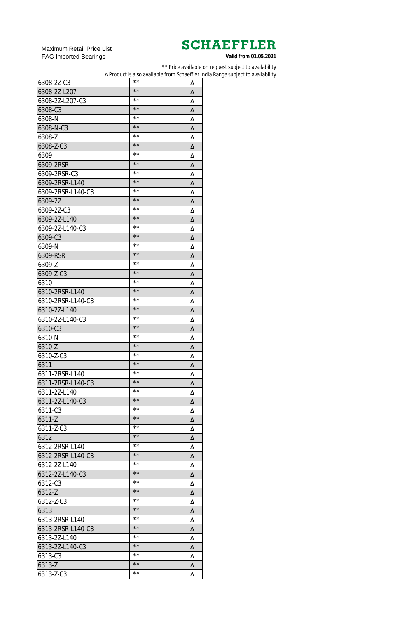Maximum Retail Price List FAG Imported Bearings

\*\* Price available on request subject to availability

∆ Product is also available from Schaeffler India Range subject to availability

| 6308-2Z-C3        | **             | Δ |
|-------------------|----------------|---|
| 6308-2Z-L207      | $\star\star$   | Δ |
| 6308-2Z-L207-C3   | **             | Δ |
| 6308-C3           | $\star\star$   | Δ |
| 6308-N            | **             | Δ |
| 6308-N-C3         | $\star\star$   | Δ |
| 6308-Z            | **             | Δ |
| 6308-Z-C3         | $\star\star$   | Δ |
| 6309              | **             | Δ |
| 6309-2RSR         | $\star\star$   | Δ |
| 6309-2RSR-C3      | $\star\,\star$ | Δ |
| 6309-2RSR-L140    | $\star\star$   | Δ |
| 6309-2RSR-L140-C3 | $\star\,\star$ | Δ |
| 6309-2Z           | $\star\star$   | Δ |
| 6309-2Z-C3        | $\star\,\star$ | Δ |
| 6309-2Z-L140      | $\star\star$   | Δ |
| 6309-2Z-L140-C3   | $\star\,\star$ | Δ |
| 6309-C3           | $\star\star$   | Δ |
| 6309-N            | $\star\,\star$ | Δ |
| 6309-RSR          | $\star\star$   | Δ |
| 6309-Z            | $\star\,\star$ | Δ |
| 6309-Z-C3         | $\star\star$   | Δ |
| 6310              | $\star\,\star$ | Δ |
| 6310-2RSR-L140    | $\star\star$   | Δ |
| 6310-2RSR-L140-C3 | $\star\,\star$ | Δ |
| 6310-2Z-L140      | $\star\star$   | Δ |
| 6310-2Z-L140-C3   | $\star\,\star$ | Δ |
| 6310-C3           | $\star\star$   | Δ |
| 6310-N            | $\star\,\star$ | Δ |
| 6310-Z            | $\star\star$   | Δ |
| 6310-Z-C3         | $\star\,\star$ | Δ |
| 6311              | $\star\star$   | Δ |
| 6311-2RSR-L140    | $\star\,\star$ | Δ |
| 6311-2RSR-L140-C3 | $\star\star$   | Δ |
| 6311-2Z-L140      | $\star\,\star$ | Δ |
| 6311-2Z-L140-C3   | $\star\star$   | Δ |
| 6311-C3           | $\star\,\star$ | Δ |
| 6311-Z            | $\star\star$   | Δ |
| 6311-Z-C3         | $\star\,\star$ | Δ |
| 6312              | $\star\star$   | Δ |
| 6312-2RSR-L140    | $\star\,\star$ | Δ |
| 6312-2RSR-L140-C3 | $\star\star$   | Δ |
| 6312-2Z-L140      | $\star\,\star$ | Δ |
| 6312-2Z-L140-C3   | $\star\star$   | Δ |
| 6312-C3           | $\star\,\star$ | Δ |
| 6312-Z            | $\star\star$   | Δ |
| 6312-Z-C3         | $\star\,\star$ | Δ |
| 6313              | $\star\star$   | Δ |
| 6313-2RSR-L140    | $\star\,\star$ | Δ |
| 6313-2RSR-L140-C3 | $\star\star$   | Δ |
| 6313-2Z-L140      | * *            | Δ |
| 6313-2Z-L140-C3   | $\star\,\star$ | Δ |
| 6313-C3           | $\star\,\star$ | Δ |
| 6313-Z            | $\star\,\star$ | Δ |
| 6313-Z-C3         | $\star\,\star$ | Δ |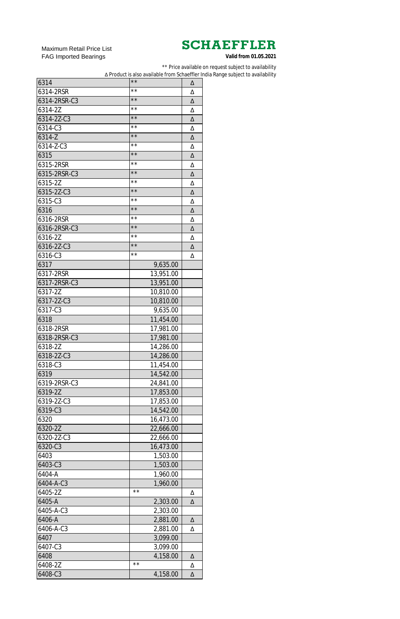Maximum Retail Price List FAG Imported Bearings

\*\* Price available on request subject to availability

∆ Product is also available from Schaeffler India Range subject to availability

| 6314         | $\star\star$   | Δ |
|--------------|----------------|---|
| 6314-2RSR    | $\star\star$   | Δ |
| 6314-2RSR-C3 | $\star\,\star$ | Δ |
| 6314-2Z      | $\star\,\star$ | Δ |
| 6314-2Z-C3   | $\star\,\star$ | Δ |
| 6314-C3      | $\star\,\star$ | Δ |
| 6314-Z       | $\star\,\star$ | Δ |
| 6314-Z-C3    | $\star\,\star$ | Δ |
| 6315         | $\star\,\star$ | Δ |
| 6315-2RSR    | $\star\,\star$ | Δ |
| 6315-2RSR-C3 | $\star\,\star$ | Δ |
| 6315-2Z      | $\star\,\star$ | Δ |
| 6315-2Z-C3   | $\star\,\star$ | Δ |
| 6315-C3      | $\star\,\star$ | Δ |
| 6316         | $\star\,\star$ | Δ |
| 6316-2RSR    | $\star\,\star$ | Δ |
| 6316-2RSR-C3 | $\star\,\star$ | Δ |
| 6316-2Z      | $\star\,\star$ | Δ |
| 6316-2Z-C3   | $\star\,\star$ | Δ |
| 6316-C3      | $\star\star$   | Δ |
| 6317         | 9,635.00       |   |
| 6317-2RSR    |                |   |
| 6317-2RSR-C3 | 13,951.00      |   |
|              | 13,951.00      |   |
| 6317-2Z      | 10,810.00      |   |
| 6317-2Z-C3   | 10,810.00      |   |
| 6317-C3      | 9,635.00       |   |
| 6318         | 11,454.00      |   |
| 6318-2RSR    | 17,981.00      |   |
| 6318-2RSR-C3 | 17,981.00      |   |
| 6318-2Z      | 14,286.00      |   |
| 6318-2Z-C3   | 14,286.00      |   |
| 6318-C3      | 11,454.00      |   |
| 6319         | 14,542.00      |   |
| 6319-2RSR-C3 | 24,841.00      |   |
| 6319-2Z      | 17,853.00      |   |
| 6319-2Z-C3   | 17,853.00      |   |
| 6319-C3      | 14,542.00      |   |
| 6320         | 16,473.00      |   |
| 6320-2Z      | 22,666.00      |   |
| 6320-2Z-C3   | 22,666.00      |   |
| 6320-C3      | 16,473.00      |   |
| 6403         | 1,503.00       |   |
| 6403-C3      | 1,503.00       |   |
| 6404-A       | 1,960.00       |   |
| 6404-A-C3    | 1,960.00       |   |
| 6405-2Z      | $\star\,\star$ | Δ |
| 6405-A       | 2,303.00       | Δ |
| 6405-A-C3    | 2,303.00       |   |
| 6406-A       | 2,881.00       | Δ |
| 6406-A-C3    | 2,881.00       | Δ |
| 6407         | 3,099.00       |   |
| 6407-C3      | 3,099.00       |   |
| 6408         | 4,158.00       | Δ |
| 6408-2Z      | $\star\,\star$ | Δ |
| 6408-C3      | 4,158.00       | Δ |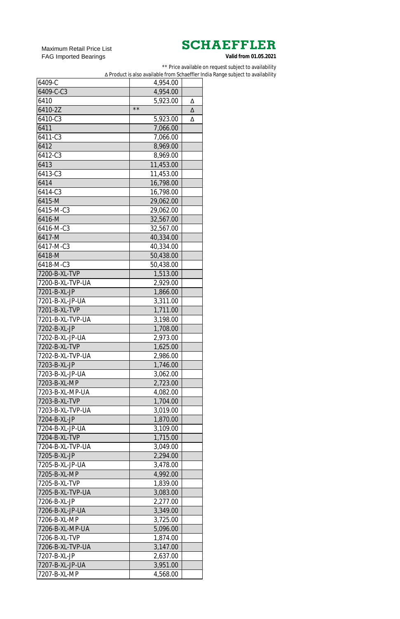Maximum Retail Price List FAG Imported Bearings

\*\* Price available on request subject to availability

∆ Product is also available from Schaeffler India Range subject to availability

| 6409-C           | 4,954.00             |   |
|------------------|----------------------|---|
| 6409-C-C3        | 4,954.00             |   |
| 6410             | 5,923.00             | Δ |
| 6410-2Z          | $\star\star$         | Δ |
| 6410-C3          | 5,923.00             | Δ |
| 6411             | 7,066.00             |   |
| 6411-C3          | 7,066.00             |   |
| 6412             | 8,969.00             |   |
| 6412-C3          | 8,969.00             |   |
| 6413             | 11,453.00            |   |
| 6413-C3          | 11,453.00            |   |
| 6414             | 16,798.00            |   |
| 6414-C3          | 16,798.00            |   |
| 6415-M           | 29,062.00            |   |
| 6415-M-C3        | 29,062.00            |   |
| 6416-M           | 32,567.00            |   |
| 6416-M-C3        | 32,567.00            |   |
| 6417-M           | 40,334.00            |   |
| 6417-M-C3        | 40,334.00            |   |
| 6418-M           | 50,438.00            |   |
| 6418-M-C3        | 50,438.00            |   |
| 7200-B-XL-TVP    |                      |   |
| 7200-B-XL-TVP-UA | 1,513.00<br>2,929.00 |   |
| 7201-B-XL-JP     |                      |   |
|                  | 1,866.00             |   |
| 7201-B-XL-JP-UA  | 3,311.00             |   |
| 7201-B-XL-TVP    | 1,711.00             |   |
| 7201-B-XL-TVP-UA | 3,198.00             |   |
| 7202-B-XL-JP     | 1,708.00             |   |
| 7202-B-XL-JP-UA  | 2,973.00             |   |
| 7202-B-XL-TVP    | 1,625.00             |   |
| 7202-B-XL-TVP-UA | 2,986.00             |   |
| 7203-B-XL-JP     | 1,746.00             |   |
| 7203-B-XL-JP-UA  | 3,062.00             |   |
| 7203-B-XL-MP     | 2,723.00             |   |
| 7203-B-XL-MP-UA  | 4,082.00             |   |
| 7203-B-XL-TVP    | 1,704.00             |   |
| 7203-B-XL-TVP-UA | 3,019.00             |   |
| 7204-B-XL-JP     | 1,870.00             |   |
| 7204-B-XL-JP-UA  | 3,109.00             |   |
| 7204-B-XL-TVP    | 1,715.00             |   |
| 7204-B-XL-TVP-UA | 3,049.00             |   |
| 7205-B-XL-JP     | 2,294.00             |   |
| 7205-B-XL-JP-UA  | 3,478.00             |   |
| 7205-B-XL-MP     | 4,992.00             |   |
| 7205-B-XL-TVP    | 1,839.00             |   |
| 7205-B-XL-TVP-UA | 3,083.00             |   |
| 7206-B-XL-JP     | 2,277.00             |   |
| 7206-B-XL-JP-UA  | 3,349.00             |   |
| 7206-B-XL-MP     | 3,725.00             |   |
| 7206-B-XL-MP-UA  | 5,096.00             |   |
| 7206-B-XL-TVP    | 1,874.00             |   |
| 7206-B-XL-TVP-UA | 3,147.00             |   |
| 7207-B-XL-JP     | 2,637.00             |   |
| 7207-B-XL-JP-UA  | 3,951.00             |   |
| 7207-B-XL-MP     | 4,568.00             |   |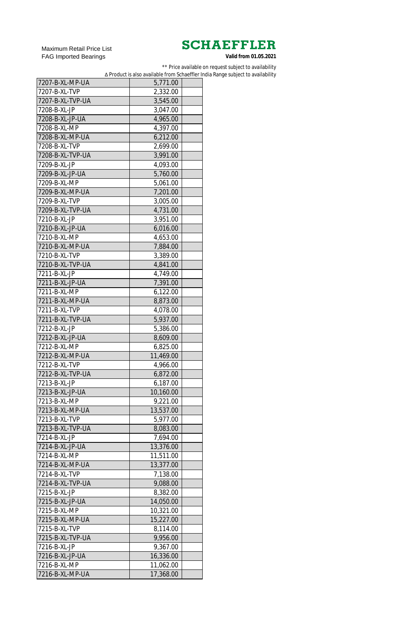Maximum Retail Price List FAG Imported Bearings

\*\* Price available on request subject to availability

∆ Product is also available from Schaeffler India Range subject to availability

| 7207-B-XL-MP-UA  | 5,771.00  |  |
|------------------|-----------|--|
| 7207-B-XL-TVP    | 2,332.00  |  |
| 7207-B-XL-TVP-UA | 3,545.00  |  |
| 7208-B-XL-JP     | 3,047.00  |  |
| 7208-B-XL-JP-UA  | 4,965.00  |  |
| 7208-B-XL-MP     | 4,397.00  |  |
| 7208-B-XL-MP-UA  | 6,212.00  |  |
| 7208-B-XL-TVP    | 2,699.00  |  |
| 7208-B-XL-TVP-UA | 3,991.00  |  |
| 7209-B-XL-JP     | 4,093.00  |  |
| 7209-B-XL-JP-UA  | 5,760.00  |  |
| 7209-B-XL-MP     | 5,061.00  |  |
| 7209-B-XL-MP-UA  | 7,201.00  |  |
| 7209-B-XL-TVP    | 3,005.00  |  |
| 7209-B-XL-TVP-UA | 4,731.00  |  |
| 7210-B-XL-JP     | 3,951.00  |  |
| 7210-B-XL-JP-UA  | 6,016.00  |  |
| 7210-B-XL-MP     | 4,653.00  |  |
| 7210-B-XL-MP-UA  | 7,884.00  |  |
| 7210-B-XL-TVP    | 3,389.00  |  |
| 7210-B-XL-TVP-UA | 4,841.00  |  |
| 7211-B-XL-JP     | 4,749.00  |  |
| 7211-B-XL-JP-UA  | 7,391.00  |  |
| 7211-B-XL-MP     |           |  |
|                  | 6,122.00  |  |
| 7211-B-XL-MP-UA  | 8,873.00  |  |
| 7211-B-XL-TVP    | 4,078.00  |  |
| 7211-B-XL-TVP-UA | 5,937.00  |  |
| 7212-B-XL-JP     | 5,386.00  |  |
| 7212-B-XL-JP-UA  | 8,609.00  |  |
| 7212-B-XL-MP     | 6,825.00  |  |
| 7212-B-XL-MP-UA  | 11,469.00 |  |
| 7212-B-XL-TVP    | 4,966.00  |  |
| 7212-B-XL-TVP-UA | 6,872.00  |  |
| 7213-B-XL-JP     | 6,187.00  |  |
| 7213-B-XL-JP-UA  | 10,160.00 |  |
| 7213-B-XL-MP     | 9,221.00  |  |
| 7213-B-XL-MP-UA  | 13,537.00 |  |
| 7213-B-XL-TVP    | 5,977.00  |  |
| 7213-B-XL-TVP-UA | 8,083.00  |  |
| 7214-B-XL-JP     | 7,694.00  |  |
| 7214-B-XL-JP-UA  | 13,376.00 |  |
| 7214-B-XL-MP     | 11,511.00 |  |
| 7214-B-XL-MP-UA  | 13,377.00 |  |
| 7214-B-XL-TVP    | 7,138.00  |  |
| 7214-B-XL-TVP-UA | 9,088.00  |  |
| 7215-B-XL-JP     | 8,382.00  |  |
| 7215-B-XL-JP-UA  | 14,050.00 |  |
| 7215-B-XL-MP     | 10,321.00 |  |
| 7215-B-XL-MP-UA  | 15,227.00 |  |
| 7215-B-XL-TVP    | 8,114.00  |  |
| 7215-B-XL-TVP-UA | 9,956.00  |  |
| 7216-B-XL-JP     | 9,367.00  |  |
| 7216-B-XL-JP-UA  | 16,336.00 |  |
| 7216-B-XL-MP     | 11,062.00 |  |
| 7216-B-XL-MP-UA  | 17,368.00 |  |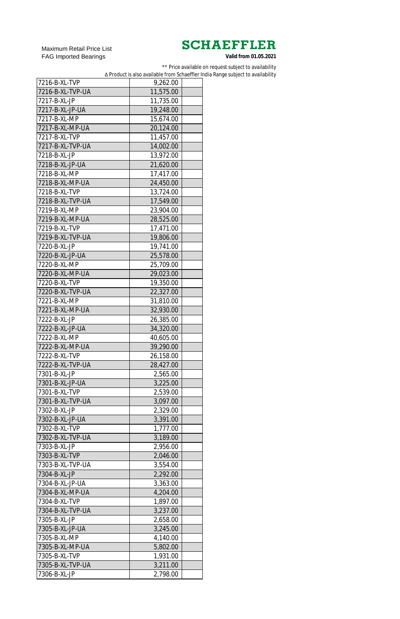Maximum Retail Price List FAG Imported Bearings

\*\* Price available on request subject to availability

∆ Product is also available from Schaeffler India Range subject to availability

| 7216-B-XL-TVP    | 9,262.00  |  |
|------------------|-----------|--|
| 7216-B-XL-TVP-UA |           |  |
|                  | 11,575.00 |  |
| 7217-B-XL-JP     | 11,735.00 |  |
| 7217-B-XL-JP-UA  | 19,248.00 |  |
| 7217-B-XL-MP     | 15,674.00 |  |
| 7217-B-XL-MP-UA  | 20,124.00 |  |
| 7217-B-XL-TVP    | 11,457.00 |  |
| 7217-B-XL-TVP-UA | 14,002.00 |  |
| 7218-B-XL-JP     | 13,972.00 |  |
| 7218-B-XL-JP-UA  | 21,620.00 |  |
| 7218-B-XL-MP     | 17,417.00 |  |
| 7218-B-XL-MP-UA  | 24,450.00 |  |
| 7218-B-XL-TVP    | 13,724.00 |  |
| 7218-B-XL-TVP-UA | 17,549.00 |  |
| 7219-B-XL-MP     | 23,904.00 |  |
| 7219-B-XL-MP-UA  | 28,525.00 |  |
| 7219-B-XL-TVP    | 17,471.00 |  |
| 7219-B-XL-TVP-UA | 19,806.00 |  |
| 7220-B-XL-JP     | 19,741.00 |  |
| 7220-B-XL-JP-UA  | 25,578.00 |  |
| 7220-B-XL-MP     |           |  |
|                  | 25,709.00 |  |
| 7220-B-XL-MP-UA  | 29,023.00 |  |
| 7220-B-XL-TVP    | 19,350.00 |  |
| 7220-B-XL-TVP-UA | 22,327.00 |  |
| 7221-B-XL-MP     | 31,810.00 |  |
| 7221-B-XL-MP-UA  | 32,930.00 |  |
| 7222-B-XL-JP     | 26,385.00 |  |
| 7222-B-XL-JP-UA  | 34,320.00 |  |
| 7222-B-XL-MP     | 40,605.00 |  |
| 7222-B-XL-MP-UA  | 39,290.00 |  |
| 7222-B-XL-TVP    | 26,158.00 |  |
| 7222-B-XL-TVP-UA | 28,427.00 |  |
| 7301-B-XL-JP     | 2,565.00  |  |
| 7301-B-XL-JP-UA  | 3,225.00  |  |
| 7301-B-XL-TVP    | 2,539.00  |  |
| 7301-B-XL-TVP-UA | 3,097.00  |  |
| 7302-B-XL-JP     | 2,329.00  |  |
| 7302-B-XL-JP-UA  | 3,391.00  |  |
| 7302-B-XL-TVP    | 1,777.00  |  |
| 7302-B-XL-TVP-UA | 3,189.00  |  |
| 7303-B-XL-JP     | 2,956.00  |  |
| 7303-B-XL-TVP    | 2,046.00  |  |
| 7303-B-XL-TVP-UA | 3,554.00  |  |
| 7304-B-XL-JP     | 2,292.00  |  |
| 7304-B-XL-JP-UA  | 3,363.00  |  |
| 7304-B-XL-MP-UA  | 4,204.00  |  |
| 7304-B-XL-TVP    | 1,897.00  |  |
| 7304-B-XL-TVP-UA |           |  |
|                  | 3,237.00  |  |
| 7305-B-XL-JP     | 2,658.00  |  |
| 7305-B-XL-JP-UA  | 3,245.00  |  |
| 7305-B-XL-MP     | 4,140.00  |  |
| 7305-B-XL-MP-UA  | 5,802.00  |  |
| 7305-B-XL-TVP    | 1,931.00  |  |
| 7305-B-XL-TVP-UA | 3,211.00  |  |
| 7306-B-XL-JP     | 2,798.00  |  |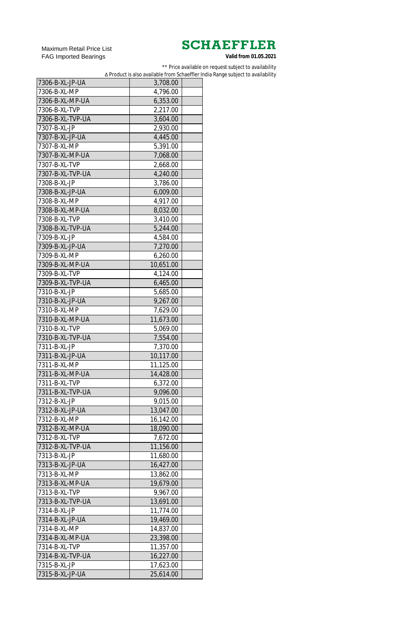Maximum Retail Price List FAG Imported Bearings

\*\* Price available on request subject to availability

∆ Product is also available from Schaeffler India Range subject to availability

| 7306-B-XL-JP-UA                 | 3,708.00  |  |
|---------------------------------|-----------|--|
| 7306-B-XL-MP                    | 4,796.00  |  |
| 7306-B-XL-MP-UA                 | 6,353.00  |  |
| 7306-B-XL-TVP                   | 2,217.00  |  |
| 7306-B-XL-TVP-UA                | 3,604.00  |  |
| 7307-B-XL-JP                    | 2,930.00  |  |
| 7307-B-XL-JP-UA                 | 4,445.00  |  |
| 7307-B-XL-MP                    | 5,391.00  |  |
| 7307-B-XL-MP-UA                 | 7,068.00  |  |
| 7307-B-XL-TVP                   | 2,668.00  |  |
| 7307-B-XL-TVP-UA                | 4,240.00  |  |
| 7308-B-XL-JP                    | 3,786.00  |  |
| 7308-B-XL-JP-UA                 | 6,009.00  |  |
| 7308-B-XL-MP                    | 4,917.00  |  |
| 7308-B-XL-MP-UA                 | 8,032.00  |  |
| 7308-B-XL-TVP                   | 3,410.00  |  |
| 7308-B-XL-TVP-UA                | 5,244.00  |  |
| 7309-B-XL-JP                    | 4,584.00  |  |
|                                 |           |  |
| 7309-B-XL-JP-UA<br>7309-B-XL-MP | 7,270.00  |  |
|                                 | 6,260.00  |  |
| 7309-B-XL-MP-UA                 | 10,651.00 |  |
| 7309-B-XL-TVP                   | 4,124.00  |  |
| 7309-B-XL-TVP-UA                | 6,465.00  |  |
| 7310-B-XL-JP                    | 5,685.00  |  |
| 7310-B-XL-JP-UA                 | 9,267.00  |  |
| 7310-B-XL-MP                    | 7,629.00  |  |
| 7310-B-XL-MP-UA                 | 11,673.00 |  |
| 7310-B-XL-TVP                   | 5,069.00  |  |
| 7310-B-XL-TVP-UA                | 7,554.00  |  |
| 7311-B-XL-JP                    | 7,370.00  |  |
| 7311-B-XL-JP-UA                 | 10,117.00 |  |
| 7311-B-XL-MP                    | 11,125.00 |  |
| 7311-B-XL-MP-UA                 | 14,428.00 |  |
| 7311-B-XL-TVP                   | 6,372.00  |  |
| 7311-B-XL-TVP-UA                | 9,096.00  |  |
| 7312-B-XL-JP                    | 9,015.00  |  |
| 7312-B-XL-JP-UA                 | 13,047.00 |  |
| 7312-B-XL-MP                    | 16,142.00 |  |
| 7312-B-XL-MP-UA                 | 18,090.00 |  |
| 7312-B-XL-TVP                   | 7,672.00  |  |
| 7312-B-XL-TVP-UA                | 11,156.00 |  |
| 7313-B-XL-JP                    | 11,680.00 |  |
| 7313-B-XL-JP-UA                 | 16,427.00 |  |
| 7313-B-XL-MP                    | 13,862.00 |  |
| 7313-B-XL-MP-UA                 | 19,679.00 |  |
| 7313-B-XL-TVP                   | 9,967.00  |  |
| 7313-B-XL-TVP-UA                | 13,691.00 |  |
| 7314-B-XL-JP                    | 11,774.00 |  |
| 7314-B-XL-JP-UA                 | 19,469.00 |  |
| 7314-B-XL-MP                    | 14,837.00 |  |
| 7314-B-XL-MP-UA                 | 23,398.00 |  |
| 7314-B-XL-TVP                   | 11,357.00 |  |
| 7314-B-XL-TVP-UA                |           |  |
|                                 | 16,227.00 |  |
| 7315-B-XL-JP                    | 17,623.00 |  |
| 7315-B-XL-JP-UA                 | 25,614.00 |  |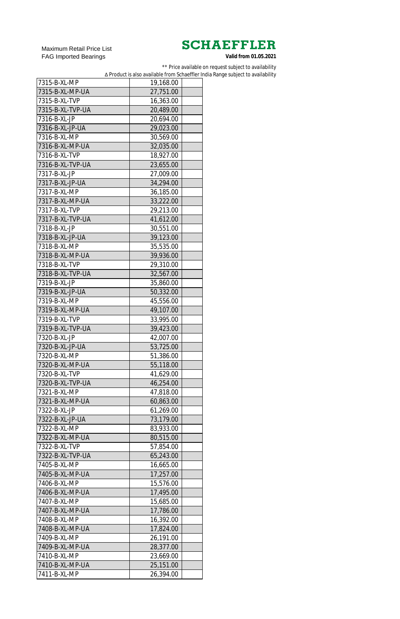Maximum Retail Price List FAG Imported Bearings

\*\* Price available on request subject to availability

∆ Product is also available from Schaeffler India Range subject to availability

| 7315-B-XL-MP     | 19,168.00 |  |
|------------------|-----------|--|
| 7315-B-XL-MP-UA  | 27,751.00 |  |
| 7315-B-XL-TVP    | 16,363.00 |  |
| 7315-B-XL-TVP-UA | 20,489.00 |  |
| 7316-B-XL-JP     | 20,694.00 |  |
| 7316-B-XL-JP-UA  | 29,023.00 |  |
| 7316-B-XL-MP     | 30,569.00 |  |
| 7316-B-XL-MP-UA  | 32,035.00 |  |
| 7316-B-XL-TVP    | 18,927.00 |  |
| 7316-B-XL-TVP-UA | 23,655.00 |  |
| 7317-B-XL-JP     | 27,009.00 |  |
| 7317-B-XL-JP-UA  | 34,294.00 |  |
| 7317-B-XL-MP     | 36,185.00 |  |
| 7317-B-XL-MP-UA  | 33,222.00 |  |
| 7317-B-XL-TVP    | 29,213.00 |  |
| 7317-B-XL-TVP-UA | 41,612.00 |  |
| 7318-B-XL-JP     | 30,551.00 |  |
| 7318-B-XL-JP-UA  | 39,123.00 |  |
| 7318-B-XL-MP     | 35,535.00 |  |
| 7318-B-XL-MP-UA  | 39,936.00 |  |
| 7318-B-XL-TVP    | 29,310.00 |  |
| 7318-B-XL-TVP-UA | 32,567.00 |  |
| 7319-B-XL-JP     | 35,860.00 |  |
| 7319-B-XL-JP-UA  | 50,332.00 |  |
| 7319-B-XL-MP     | 45,556.00 |  |
| 7319-B-XL-MP-UA  | 49,107.00 |  |
| 7319-B-XL-TVP    | 33,995.00 |  |
| 7319-B-XL-TVP-UA | 39,423.00 |  |
| 7320-B-XL-JP     | 42,007.00 |  |
| 7320-B-XL-JP-UA  | 53,725.00 |  |
| 7320-B-XL-MP     | 51,386.00 |  |
| 7320-B-XL-MP-UA  | 55,118.00 |  |
| 7320-B-XL-TVP    | 41,629.00 |  |
| 7320-B-XL-TVP-UA | 46,254.00 |  |
| 7321-B-XL-MP     | 47,818.00 |  |
| 7321-B-XL-MP-UA  | 60,863.00 |  |
| 7322-B-XL-JP     | 61,269.00 |  |
| 7322-B-XL-JP-UA  | 73,179.00 |  |
| 7322-B-XL-MP     | 83,933.00 |  |
| 7322-B-XL-MP-UA  | 80,515.00 |  |
| 7322-B-XL-TVP    | 57,854.00 |  |
| 7322-B-XL-TVP-UA | 65,243.00 |  |
| 7405-B-XL-MP     | 16,665.00 |  |
| 7405-B-XL-MP-UA  | 17,257.00 |  |
| 7406-B-XL-MP     | 15,576.00 |  |
| 7406-B-XL-MP-UA  | 17,495.00 |  |
| 7407-B-XL-MP     | 15,685.00 |  |
| 7407-B-XL-MP-UA  | 17,786.00 |  |
| 7408-B-XL-MP     | 16,392.00 |  |
| 7408-B-XL-MP-UA  | 17,824.00 |  |
| 7409-B-XL-MP     | 26,191.00 |  |
| 7409-B-XL-MP-UA  | 28,377.00 |  |
| 7410-B-XL-MP     | 23,669.00 |  |
| 7410-B-XL-MP-UA  | 25,151.00 |  |
| 7411-B-XL-MP     | 26,394.00 |  |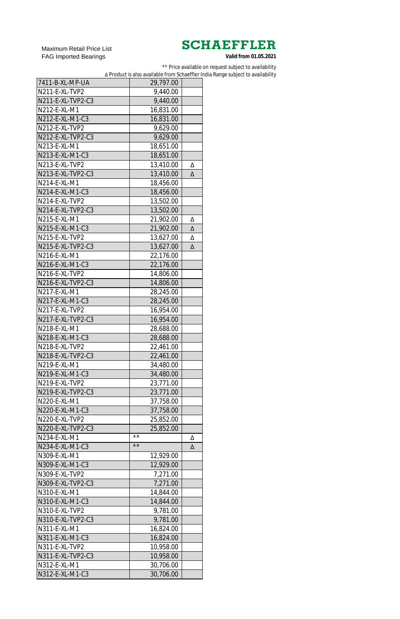Maximum Retail Price List FAG Imported Bearings

\*\* Price available on request subject to availability

∆ Product is also available from Schaeffler India Range subject to availability

| 7411-B-XL-MP-UA   | 29,797.00      |   |
|-------------------|----------------|---|
| N211-E-XL-TVP2    | 9,440.00       |   |
| N211-E-XL-TVP2-C3 | 9,440.00       |   |
| N212-E-XL-M1      | 16,831.00      |   |
| N212-E-XL-M1-C3   | 16,831.00      |   |
| N212-E-XL-TVP2    | 9,629.00       |   |
| N212-E-XL-TVP2-C3 | 9,629.00       |   |
| N213-E-XL-M1      | 18,651.00      |   |
| N213-E-XL-M1-C3   | 18,651.00      |   |
| N213-E-XL-TVP2    | 13,410.00      | Δ |
| N213-E-XL-TVP2-C3 | 13,410.00      | Δ |
| N214-E-XL-M1      | 18,456.00      |   |
| N214-E-XL-M1-C3   | 18,456.00      |   |
| N214-E-XL-TVP2    | 13,502.00      |   |
| N214-E-XL-TVP2-C3 | 13,502.00      |   |
| N215-E-XL-M1      | 21,902.00      | Δ |
| N215-E-XL-M1-C3   | 21,902.00      | Δ |
| N215-E-XL-TVP2    | 13,627.00      | Δ |
| N215-E-XL-TVP2-C3 | 13,627.00      | Δ |
| N216-E-XL-M1      |                |   |
| N216-E-XL-M1-C3   | 22,176.00      |   |
|                   | 22,176.00      |   |
| N216-E-XL-TVP2    | 14,806.00      |   |
| N216-E-XL-TVP2-C3 | 14,806.00      |   |
| N217-E-XL-M1      | 28,245.00      |   |
| N217-E-XL-M1-C3   | 28.245.00      |   |
| N217-E-XL-TVP2    | 16,954.00      |   |
| N217-E-XL-TVP2-C3 | 16,954.00      |   |
| N218-E-XL-M1      | 28,688.00      |   |
| N218-E-XL-M1-C3   | 28,688.00      |   |
| N218-E-XL-TVP2    | 22,461.00      |   |
| N218-E-XL-TVP2-C3 | 22,461.00      |   |
| N219-E-XL-M1      | 34,480.00      |   |
| N219-E-XL-M1-C3   | 34,480.00      |   |
| N219-E-XL-TVP2    | 23,771.00      |   |
| N219-E-XL-TVP2-C3 | 23,771.00      |   |
| N220-E-XL-M1      | 37,758.00      |   |
| N220-E-XL-M1-C3   | 37,758.00      |   |
| N220-E-XL-TVP2    | 25,852.00      |   |
| N220-E-XL-TVP2-C3 | 25,852.00      |   |
| N234-E-XL-M1      | $\star\,\star$ | Δ |
| N234-E-XL-M1-C3   | $\star\,\star$ | Δ |
| N309-E-XL-M1      | 12,929.00      |   |
| N309-E-XL-M1-C3   | 12,929.00      |   |
| N309-E-XL-TVP2    | 7,271.00       |   |
| N309-E-XL-TVP2-C3 | 7,271.00       |   |
| N310-E-XL-M1      | 14,844.00      |   |
| N310-E-XL-M1-C3   | 14,844.00      |   |
| N310-E-XL-TVP2    | 9,781.00       |   |
| N310-E-XL-TVP2-C3 | 9,781.00       |   |
| N311-E-XL-M1      | 16,824.00      |   |
| N311-E-XL-M1-C3   | 16,824.00      |   |
| N311-E-XL-TVP2    | 10,958.00      |   |
| N311-E-XL-TVP2-C3 | 10,958.00      |   |
| N312-E-XL-M1      | 30,706.00      |   |
| N312-E-XL-M1-C3   | 30,706.00      |   |
|                   |                |   |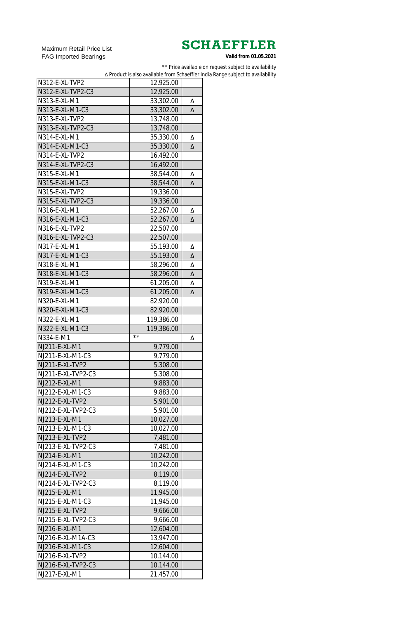Maximum Retail Price List FAG Imported Bearings

\*\* Price available on request subject to availability

∆ Product is also available from Schaeffler India Range subject to availability

| N312-E-XL-TVP2                      | 12,925.00              |   |
|-------------------------------------|------------------------|---|
| N312-E-XL-TVP2-C3                   | 12,925.00              |   |
| N313-E-XL-M1                        | 33,302.00              | Δ |
| N313-E-XL-M1-C3                     | 33,302.00              | Δ |
| N313-E-XL-TVP2                      | 13,748.00              |   |
| N313-E-XL-TVP2-C3                   | 13,748.00              |   |
| N314-E-XL-M1                        | 35,330.00              | Δ |
| N314-E-XL-M1-C3                     | 35,330.00              | Δ |
| N314-E-XL-TVP2                      | 16,492.00              |   |
| N314-E-XL-TVP2-C3                   | 16,492.00              |   |
| N315-E-XL-M1                        | 38,544.00              | Δ |
| N315-E-XL-M1-C3                     | 38,544.00              | Δ |
| N315-E-XL-TVP2                      | 19,336.00              |   |
| N315-E-XL-TVP2-C3                   | 19,336.00              |   |
| N316-E-XL-M1                        | 52,267.00              | Δ |
| N316-E-XL-M1-C3                     | 52,267.00              | Δ |
| N316-E-XL-TVP2                      | 22,507.00              |   |
| N316-E-XL-TVP2-C3                   |                        |   |
| N317-E-XL-M1                        | 22,507.00              |   |
|                                     | 55,193.00              | Δ |
| N317-E-XL-M1-C3                     | 55,193.00              | Δ |
| N318-E-XL-M1                        | 58,296.00              | Δ |
| N318-E-XL-M1-C3                     | 58,296.00              | Δ |
| N319-E-XL-M1                        | 61,205.00              | Δ |
| N319-E-XL-M1-C3                     | 61,205.00              | Δ |
| N320-E-XL-M1                        | 82,920.00              |   |
| N320-E-XL-M1-C3                     | 82,920.00              |   |
| N322-E-XL-M1                        | 119,386.00             |   |
|                                     |                        |   |
| N322-E-XL-M1-C3                     | 119,386.00             |   |
| N334-E-M1                           | $\star\,\star$         | Δ |
| NJ211-E-XL-M1                       | 9,779.00               |   |
| NJ211-E-XL-M1-C3                    | 9,779.00               |   |
| NJ211-E-XL-TVP2                     | 5,308.00               |   |
| NJ211-E-XL-TVP2-C3                  | 5,308.00               |   |
| NJ212-E-XL-M1                       | 9,883.00               |   |
| NJ212-E-XL-M1-C3                    | 9,883.00               |   |
| NJ212-E-XL-TVP2                     | 5,901.00               |   |
| NJ212-E-XL-TVP2-C3                  | 5,901.00               |   |
| NJ213-E-XL-M1                       | 10,027.00              |   |
| NJ213-E-XL-M1-C3                    | 10,027.00              |   |
| NJ213-E-XL-TVP2                     | 7,481.00               |   |
| NJ213-E-XL-TVP2-C3                  | 7,481.00               |   |
| NJ214-E-XL-M1                       |                        |   |
| NJ214-E-XL-M1-C3                    | 10,242.00              |   |
|                                     | 10,242.00              |   |
| NJ214-E-XL-TVP2                     | 8,119.00               |   |
| NJ214-E-XL-TVP2-C3                  | 8,119.00               |   |
| NJ215-E-XL-M1                       | 11,945.00              |   |
| NJ215-E-XL-M1-C3                    | 11,945.00              |   |
| NJ215-E-XL-TVP2                     | 9,666.00               |   |
| NJ215-E-XL-TVP2-C3                  | 9,666.00               |   |
| NJ216-E-XL-M1                       | 12,604.00              |   |
| NJ216-E-XL-M1A-C3                   | 13,947.00              |   |
| NJ216-E-XL-M1-C3                    | 12,604.00              |   |
| NJ216-E-XL-TVP2                     | 10,144.00              |   |
| NJ216-E-XL-TVP2-C3<br>NJ217-E-XL-M1 | 10,144.00<br>21,457.00 |   |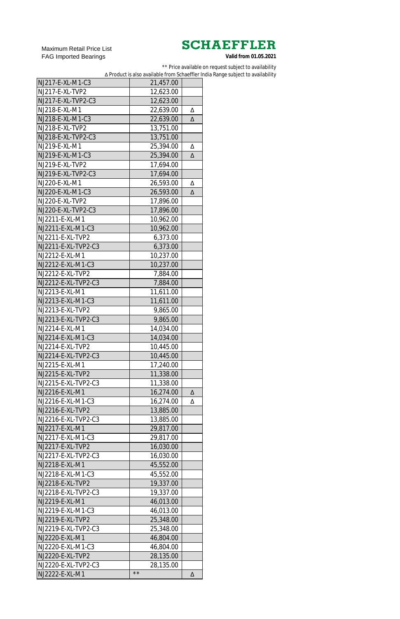Maximum Retail Price List FAG Imported Bearings

\*\* Price available on request subject to availability

∆ Product is also available from Schaeffler India Range subject to availability

| NJ217-E-XL-M1-C3    | 21,457.00    |   |
|---------------------|--------------|---|
| NJ217-E-XL-TVP2     | 12,623.00    |   |
| NJ217-E-XL-TVP2-C3  | 12,623.00    |   |
| NJ218-E-XL-M1       | 22,639.00    | Δ |
| NJ218-E-XL-M1-C3    | 22,639.00    | Δ |
| NJ218-E-XL-TVP2     | 13,751.00    |   |
| NJ218-E-XL-TVP2-C3  | 13,751.00    |   |
| NJ219-E-XL-M1       | 25,394.00    | Δ |
| NJ219-E-XL-M1-C3    | 25,394.00    | Δ |
| NJ219-E-XL-TVP2     | 17,694.00    |   |
| NJ219-E-XL-TVP2-C3  | 17,694.00    |   |
| NJ220-E-XL-M1       | 26,593.00    | Δ |
| NJ220-E-XL-M1-C3    | 26,593.00    | Δ |
| NJ220-E-XL-TVP2     | 17,896.00    |   |
| NJ220-E-XL-TVP2-C3  | 17,896.00    |   |
| NJ2211-E-XL-M1      |              |   |
|                     | 10,962.00    |   |
| NJ2211-E-XL-M1-C3   | 10,962.00    |   |
| NJ2211-E-XL-TVP2    | 6,373.00     |   |
| NJ2211-E-XL-TVP2-C3 | 6,373.00     |   |
| NJ2212-E-XL-M1      | 10,237.00    |   |
| NJ2212-E-XL-M1-C3   | 10,237.00    |   |
| NJ2212-E-XL-TVP2    | 7,884.00     |   |
| NJ2212-E-XL-TVP2-C3 | 7,884.00     |   |
| NJ2213-E-XL-M1      | 11,611.00    |   |
| NJ2213-E-XL-M1-C3   | 11,611.00    |   |
| NJ2213-E-XL-TVP2    | 9,865.00     |   |
| NJ2213-E-XL-TVP2-C3 | 9,865.00     |   |
| NJ2214-E-XL-M1      | 14,034.00    |   |
| NJ2214-E-XL-M1-C3   | 14,034.00    |   |
| NJ2214-E-XL-TVP2    | 10,445.00    |   |
| NJ2214-E-XL-TVP2-C3 | 10,445.00    |   |
| NJ2215-E-XL-M1      | 17,240.00    |   |
| NJ2215-E-XL-TVP2    | 11,338.00    |   |
| NJ2215-E-XL-TVP2-C3 | 11,338.00    |   |
| NJ2216-E-XL-M1      | 16,274.00    | Δ |
| NJ2216-E-XL-M1-C3   | 16,274.00    | Δ |
| NJ2216-E-XL-TVP2    | 13,885.00    |   |
| NJ2216-E-XL-TVP2-C3 | 13,885.00    |   |
| NJ2217-E-XL-M1      | 29,817.00    |   |
| NJ2217-E-XL-M1-C3   | 29,817.00    |   |
| NJ2217-E-XL-TVP2    | 16,030.00    |   |
| NJ2217-E-XL-TVP2-C3 | 16,030.00    |   |
| NJ2218-E-XL-M1      | 45,552.00    |   |
| NJ2218-E-XL-M1-C3   | 45,552.00    |   |
| NJ2218-E-XL-TVP2    | 19,337.00    |   |
| NJ2218-E-XL-TVP2-C3 | 19,337.00    |   |
| NJ2219-E-XL-M1      | 46,013.00    |   |
| NJ2219-E-XL-M1-C3   | 46,013.00    |   |
| NJ2219-E-XL-TVP2    | 25,348.00    |   |
| NJ2219-E-XL-TVP2-C3 | 25,348.00    |   |
| NJ2220-E-XL-M1      | 46,804.00    |   |
| NJ2220-E-XL-M1-C3   | 46,804.00    |   |
| NJ2220-E-XL-TVP2    | 28,135.00    |   |
| NJ2220-E-XL-TVP2-C3 | 28,135.00    |   |
| NJ2222-E-XL-M1      | $\star\star$ | Δ |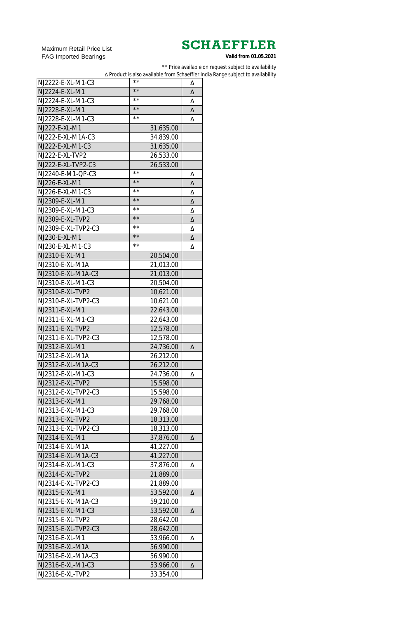Maximum Retail Price List FAG Imported Bearings

\*\* Price available on request subject to availability

∆ Product is also available from Schaeffler India Range subject to availability

| NJ2222-E-XL-M1-C3                       | $\star\,\star$ | Δ |
|-----------------------------------------|----------------|---|
| NJ2224-E-XL-M1                          | $\star\star$   | Δ |
| NJ2224-E-XL-M1-C3                       | $\star\star$   | Δ |
| NJ2228-E-XL-M1                          | $\star\star$   | Δ |
| NJ2228-E-XL-M1-C3                       | $\star\star$   | Δ |
| NJ222-E-XL-M1                           | 31,635.00      |   |
| NJ222-E-XL-M1A-C3                       | 34,839.00      |   |
| NJ222-E-XL-M1-C3                        | 31,635.00      |   |
| NJ222-E-XL-TVP2                         | 26,533.00      |   |
| NJ222-E-XL-TVP2-C3                      | 26,533.00      |   |
| NJ2240-E-M1-QP-C3                       | **             | Δ |
| NJ226-E-XL-M1                           | $\star\star$   | Δ |
| NJ226-E-XL-M1-C3                        | $\star\,\star$ | Δ |
| NJ2309-E-XL-M1                          | $\star\star$   | Δ |
| NJ2309-E-XL-M1-C3                       | $\star\,\star$ | Δ |
| NJ2309-E-XL-TVP2                        | $\star\star$   | Δ |
| NJ2309-E-XL-TVP2-C3                     | $\star\,\star$ | Δ |
| NJ230-E-XL-M1                           | $\star\star$   | Δ |
| NJ230-E-XL-M1-C3                        | $\star\,\star$ | Δ |
| NJ2310-E-XL-M1                          | 20,504.00      |   |
| NJ2310-E-XL-M1A                         |                |   |
|                                         | 21,013.00      |   |
| NJ2310-E-XL-M1A-C3<br>NJ2310-E-XL-M1-C3 | 21,013.00      |   |
|                                         | 20,504.00      |   |
| NJ2310-E-XL-TVP2                        | 10,621.00      |   |
| NJ2310-E-XL-TVP2-C3                     | 10,621.00      |   |
| NJ2311-E-XL-M1                          | 22,643.00      |   |
| NJ2311-E-XL-M1-C3                       | 22,643.00      |   |
| NJ2311-E-XL-TVP2                        | 12,578.00      |   |
| NJ2311-E-XL-TVP2-C3                     | 12,578.00      |   |
| NJ2312-E-XL-M1                          | 24,736.00      | Δ |
| NJ2312-E-XL-M1A                         | 26,212.00      |   |
| NJ2312-E-XL-M1A-C3                      | 26,212.00      |   |
| NJ2312-E-XL-M1-C3                       | 24,736.00      | Δ |
| NJ2312-E-XL-TVP2                        | 15,598.00      |   |
| NJ2312-E-XL-TVP2-C3                     | 15,598.00      |   |
| NJ2313-E-XL-M1                          | 29,768.00      |   |
| NJ2313-E-XL-M1-C3                       | 29,768.00      |   |
| NJ2313-E-XL-TVP2                        | 18,313.00      |   |
| NJ2313-E-XL-TVP2-C3                     | 18,313.00      |   |
| NJ2314-E-XL-M1                          | 37,876.00      | Δ |
| NJ2314-E-XL-M1A                         | 41,227.00      |   |
| NJ2314-E-XL-M1A-C3                      | 41,227.00      |   |
| NJ2314-E-XL-M1-C3                       | 37,876.00      | Δ |
| NJ2314-E-XL-TVP2                        | 21,889.00      |   |
| NJ2314-E-XL-TVP2-C3                     | 21,889.00      |   |
| NJ2315-E-XL-M1                          | 53,592.00      | Δ |
| NJ2315-E-XL-M1A-C3                      | 59,210.00      |   |
| NJ2315-E-XL-M1-C3                       | 53,592.00      | Δ |
| NJ2315-E-XL-TVP2                        | 28,642.00      |   |
| NJ2315-E-XL-TVP2-C3                     | 28,642.00      |   |
| NJ2316-E-XL-M1                          | 53,966.00      | Δ |
| NJ2316-E-XL-M1A                         | 56,990.00      |   |
| NJ2316-E-XL-M1A-C3                      | 56,990.00      |   |
| NJ2316-E-XL-M1-C3                       | 53,966.00      | Δ |
| NJ2316-E-XL-TVP2                        | 33,354.00      |   |
|                                         |                |   |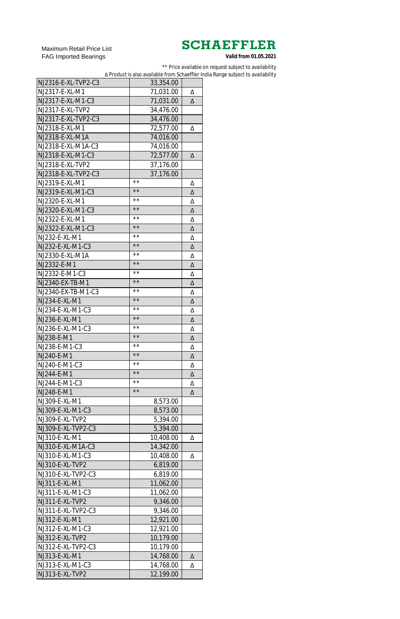Maximum Retail Price List FAG Imported Bearings

\*\* Price available on request subject to availability

∆ Product is also available from Schaeffler India Range subject to availability

| NJ2316-E-XL-TVP2-C3 | 33,354.00      |   |
|---------------------|----------------|---|
| NJ2317-E-XL-M1      | 71,031.00      | Δ |
| NJ2317-E-XL-M1-C3   | 71,031.00      | Δ |
| NJ2317-E-XL-TVP2    | 34,476.00      |   |
| NJ2317-E-XL-TVP2-C3 | 34,476.00      |   |
| NJ2318-E-XL-M1      | 72,577.00      | Δ |
| NJ2318-E-XL-M1A     | 74,016.00      |   |
| NJ2318-E-XL-M1A-C3  | 74,016.00      |   |
| NJ2318-E-XL-M1-C3   | 72,577.00      | Δ |
| NJ2318-E-XL-TVP2    | 37,176.00      |   |
| NJ2318-E-XL-TVP2-C3 | 37,176.00      |   |
| NJ2319-E-XL-M1      | $\star\,\star$ | Δ |
| NJ2319-E-XL-M1-C3   | $\star\star$   | Δ |
| NJ2320-E-XL-M1      | $\star\,\star$ | Δ |
| NJ2320-E-XL-M1-C3   | $\star\star$   | Δ |
| NJ2322-E-XL-M1      | $\star\,\star$ | Δ |
| NJ2322-E-XL-M1-C3   | $\star\star$   | Δ |
| NJ232-E-XL-M1       | $\star\,\star$ | Δ |
| NJ232-E-XL-M1-C3    | $\star\star$   |   |
| NJ2330-E-XL-M1A     | $\star\,\star$ | Δ |
|                     | $\star\star$   | Δ |
| NJ2332-E-M1         | **             | Δ |
| NJ2332-E-M1-C3      | $**$           | Δ |
| NJ2340-EX-TB-M1     | $\star\star$   | Δ |
| NJ2340-EX-TB-M1-C3  | $**$           | Δ |
| NJ234-E-XL-M1       |                | Δ |
| NJ234-E-XL-M1-C3    | $\star\star$   | Δ |
| NJ236-E-XL-M1       | $\star\star$   | Δ |
| NJ236-E-XL-M1-C3    | $\star\,\star$ | Δ |
| NJ238-E-M1          | $\star\star$   | Δ |
| NJ238-E-M1-C3       | $\star\,\star$ | Δ |
| NJ240-E-M1          | $\star\star$   | Δ |
| NJ240-E-M1-C3       | $\star\,\star$ | Δ |
| NJ244-E-M1          | $\star\star$   | Δ |
| NJ244-E-M1-C3       | $\star\,\star$ | Δ |
| NJ248-E-M1          | $\star\star$   | Δ |
| NJ309-E-XL-M1       | 8,573.00       |   |
| NJ309-E-XL-M1-C3    | 8,573.00       |   |
| NJ309-E-XL-TVP2     | 5,394.00       |   |
| NJ309-E-XL-TVP2-C3  | 5,394.00       |   |
| NJ310-E-XL-M1       | 10,408.00      | Δ |
| NJ310-E-XL-M1A-C3   | 14,342.00      |   |
| NJ310-E-XL-M1-C3    | 10,408.00      | Δ |
| NJ310-E-XL-TVP2     | 6,819.00       |   |
| NJ310-E-XL-TVP2-C3  | 6,819.00       |   |
| NJ311-E-XL-M1       | 11,062.00      |   |
| NJ311-E-XL-M1-C3    | 11,062.00      |   |
| NJ311-E-XL-TVP2     | 9,346.00       |   |
| NJ311-E-XL-TVP2-C3  | 9,346.00       |   |
| NJ312-E-XL-M1       | 12,921.00      |   |
| NJ312-E-XL-M1-C3    | 12,921.00      |   |
| NJ312-E-XL-TVP2     |                |   |
| NJ312-E-XL-TVP2-C3  | 10,179.00      |   |
|                     | 10,179.00      |   |
| NJ313-E-XL-M1       | 14,768.00      | Δ |
| NJ313-E-XL-M1-C3    | 14,768.00      | Δ |
| NJ313-E-XL-TVP2     | 12,199.00      |   |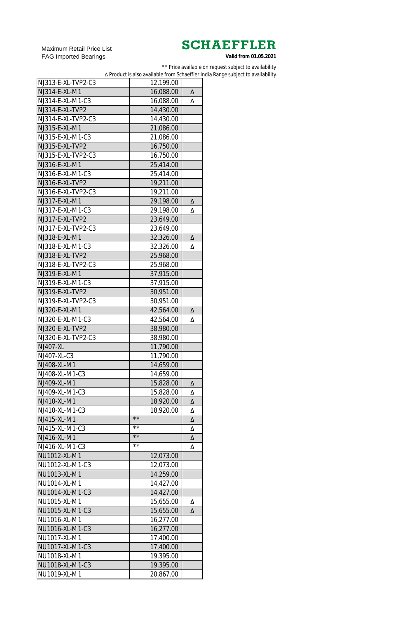Maximum Retail Price List FAG Imported Bearings

\*\* Price available on request subject to availability

∆ Product is also available from Schaeffler India Range subject to availability

| NJ313-E-XL-TVP2-C3 | 12,199.00      |   |
|--------------------|----------------|---|
| NJ314-E-XL-M1      | 16,088.00      | Δ |
| NJ314-E-XL-M1-C3   | 16,088.00      | Δ |
| NJ314-E-XL-TVP2    | 14,430.00      |   |
| NJ314-E-XL-TVP2-C3 | 14,430.00      |   |
| NJ315-E-XL-M1      | 21,086.00      |   |
| NJ315-E-XL-M1-C3   | 21,086.00      |   |
| NJ315-E-XL-TVP2    | 16,750.00      |   |
| NJ315-E-XL-TVP2-C3 | 16,750.00      |   |
| NJ316-E-XL-M1      | 25,414.00      |   |
| NJ316-E-XL-M1-C3   | 25,414.00      |   |
| NJ316-E-XL-TVP2    | 19,211.00      |   |
| NJ316-E-XL-TVP2-C3 | 19,211.00      |   |
| NJ317-E-XL-M1      | 29,198.00      | Δ |
| NJ317-E-XL-M1-C3   |                |   |
|                    | 29,198.00      | Δ |
| NJ317-E-XL-TVP2    | 23,649.00      |   |
| NJ317-E-XL-TVP2-C3 | 23,649.00      |   |
| NJ318-E-XL-M1      | 32,326.00      | Δ |
| NJ318-E-XL-M1-C3   | 32,326.00      | Δ |
| NJ318-E-XL-TVP2    | 25,968.00      |   |
| NJ318-E-XL-TVP2-C3 | 25,968.00      |   |
| NJ319-E-XL-M1      | 37,915.00      |   |
| NJ319-E-XL-M1-C3   | 37,915.00      |   |
| NJ319-E-XL-TVP2    | 30,951.00      |   |
| NJ319-E-XL-TVP2-C3 | 30,951.00      |   |
| NJ320-E-XL-M1      | 42,564.00      | Δ |
| NJ320-E-XL-M1-C3   | 42,564.00      | Δ |
| NJ320-E-XL-TVP2    | 38,980.00      |   |
| NJ320-E-XL-TVP2-C3 | 38,980.00      |   |
| <b>NJ407-XL</b>    | 11,790.00      |   |
| NJ407-XL-C3        | 11,790.00      |   |
| NJ408-XL-M1        | 14,659.00      |   |
| NJ408-XL-M1-C3     | 14,659.00      |   |
| NJ409-XL-M1        | 15,828.00      | Δ |
| NJ409-XL-M1-C3     | 15,828.00      | Δ |
| NJ410-XL-M1        | 18,920.00      | Δ |
| NJ410-XL-M1-C3     | 18,920.00      | Δ |
| NJ415-XL-M1        | $\star\star$   | Δ |
| NJ415-XL-M1-C3     | $\star\,\star$ | Δ |
| NJ416-XL-M1        | $\star\star$   | Δ |
| NJ416-XL-M1-C3     | $\star\,\star$ | Δ |
| NU1012-XL-M1       | 12,073.00      |   |
| NU1012-XL-M1-C3    | 12,073.00      |   |
| NU1013-XL-M1       | 14,259.00      |   |
| NU1014-XL-M1       | 14,427.00      |   |
| NU1014-XL-M1-C3    | 14,427.00      |   |
| NU1015-XL-M1       | 15,655.00      | Δ |
| NU1015-XL-M1-C3    | 15,655.00      | Δ |
| NU1016-XL-M1       | 16,277.00      |   |
| NU1016-XL-M1-C3    | 16,277.00      |   |
| NU1017-XL-M1       | 17,400.00      |   |
| NU1017-XL-M1-C3    | 17,400.00      |   |
| NU1018-XL-M1       | 19,395.00      |   |
| NU1018-XL-M1-C3    | 19,395.00      |   |
|                    |                |   |
| NU1019-XL-M1       | 20,867.00      |   |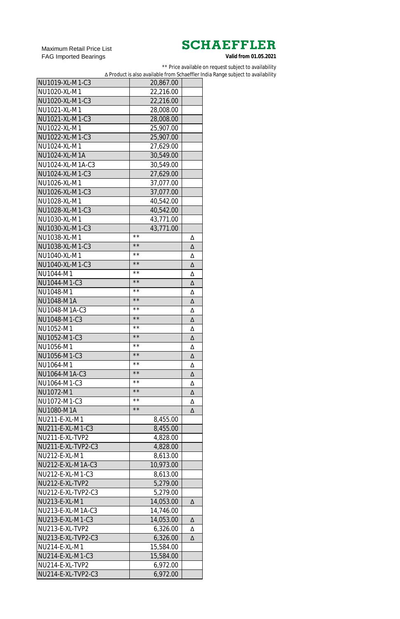Maximum Retail Price List FAG Imported Bearings

\*\* Price available on request subject to availability

∆ Product is also available from Schaeffler India Range subject to availability

| NU1019-XL-M1-C3      | 20,867.00       |   |
|----------------------|-----------------|---|
| NU1020-XL-M1         | 22,216.00       |   |
| NU1020-XL-M1-C3      | 22,216.00       |   |
| NU1021-XL-M1         | 28,008.00       |   |
| NU1021-XL-M1-C3      | 28,008.00       |   |
| NU1022-XL-M1         | 25,907.00       |   |
| NU1022-XL-M1-C3      | 25,907.00       |   |
| NU1024-XL-M1         | 27,629.00       |   |
| <b>NU1024-XL-M1A</b> | 30,549.00       |   |
| NU1024-XL-M1A-C3     | 30,549.00       |   |
| NU1024-XL-M1-C3      | 27,629.00       |   |
| NU1026-XL-M1         | 37,077.00       |   |
| NU1026-XL-M1-C3      | 37,077.00       |   |
| NU1028-XL-M1         | 40,542.00       |   |
| NU1028-XL-M1-C3      | 40,542.00       |   |
| NU1030-XL-M1         |                 |   |
|                      | 43,771.00       |   |
| NU1030-XL-M1-C3      | 43,771.00<br>** |   |
| NU1038-XL-M1         | $\star\star$    | Δ |
| NU1038-XL-M1-C3      | $\star\,\star$  | Δ |
| NU1040-XL-M1         | $\star\star$    | Δ |
| NU1040-XL-M1-C3      | $\star\,\star$  | Δ |
| NU1044-M1            |                 | Δ |
| NU1044-M1-C3         | $\star\star$    | Δ |
| NU1048-M1            | $\star\,\star$  | Δ |
| NU1048-M1A           | $\star\star$    | Δ |
| NU1048-M1A-C3        | **              | Δ |
| NU1048-M1-C3         | $\star\star$    | Δ |
| NU1052-M1            | $\star\,\star$  | Δ |
| NU1052-M1-C3         | $\star\star$    | Δ |
| NU1056-M1            | * *             | Δ |
| NU1056-M1-C3         | $\star\star$    | Δ |
| NU1064-M1            | * *             | Δ |
| NU1064-M1A-C3        | $\star\star$    | Δ |
| NU1064-M1-C3         | $\star\,\star$  | Δ |
| NU1072-M1            | $\star\star$    | Δ |
| NU1072-M1-C3         | * *             | Δ |
| NU1080-M1A           | $\star\star$    | Δ |
| NU211-E-XL-M1        | 8,455.00        |   |
| NU211-E-XL-M1-C3     | 8,455.00        |   |
| NU211-E-XL-TVP2      | 4,828.00        |   |
| NU211-E-XL-TVP2-C3   | 4,828.00        |   |
| NU212-E-XL-M1        | 8,613.00        |   |
| NU212-E-XL-M1A-C3    | 10,973.00       |   |
| NU212-E-XL-M1-C3     | 8,613.00        |   |
| NU212-E-XL-TVP2      | 5,279.00        |   |
| NU212-E-XL-TVP2-C3   | 5,279.00        |   |
| NU213-E-XL-M1        | 14,053.00       | Δ |
| NU213-E-XL-M1A-C3    | 14,746.00       |   |
| NU213-E-XL-M1-C3     | 14,053.00       | Δ |
| NU213-E-XL-TVP2      | 6,326.00        | Δ |
| NU213-E-XL-TVP2-C3   |                 | Δ |
| NU214-E-XL-M1        | 6,326.00        |   |
|                      | 15,584.00       |   |
| NU214-E-XL-M1-C3     | 15,584.00       |   |
| NU214-E-XL-TVP2      | 6,972.00        |   |
| NU214-E-XL-TVP2-C3   | 6,972.00        |   |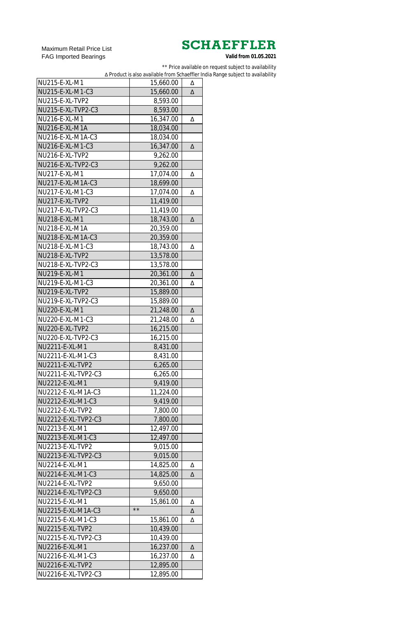Maximum Retail Price List FAG Imported Bearings

\*\* Price available on request subject to availability

∆ Product is also available from Schaeffler India Range subject to availability

| NU215-E-XL-M1           | 15,660.00    | Δ |
|-------------------------|--------------|---|
| NU215-E-XL-M1-C3        | 15,660.00    | Δ |
| NU215-E-XL-TVP2         | 8,593.00     |   |
| NU215-E-XL-TVP2-C3      | 8,593.00     |   |
| NU216-E-XL-M1           | 16,347.00    |   |
|                         |              | Δ |
| NU216-E-XL-M1A          | 18,034.00    |   |
| NU216-E-XL-M1A-C3       | 18,034.00    |   |
| NU216-E-XL-M1-C3        | 16,347.00    | Δ |
| NU216-E-XL-TVP2         | 9,262.00     |   |
| NU216-E-XL-TVP2-C3      | 9,262.00     |   |
| NU217-E-XL-M1           | 17,074.00    | Δ |
| NU217-E-XL-M1A-C3       | 18,699.00    |   |
| NU217-E-XL-M1-C3        | 17,074.00    | Δ |
| NU217-E-XL-TVP2         | 11,419.00    |   |
| NU217-E-XL-TVP2-C3      | 11,419.00    |   |
| NU218-E-XL-M1           | 18,743.00    | Δ |
| NU218-E-XL-M1A          | 20,359.00    |   |
| NU218-E-XL-M1A-C3       | 20,359.00    |   |
| NU218-E-XL-M1-C3        | 18,743.00    | Δ |
| NU218-E-XL-TVP2         | 13,578.00    |   |
| NU218-E-XL-TVP2-C3      | 13,578.00    |   |
| NU219-E-XL-M1           | 20,361.00    | Δ |
| NU219-E-XL-M1-C3        | 20,361.00    | Δ |
| NU219-E-XL-TVP2         | 15,889.00    |   |
| NU219-E-XL-TVP2-C3      | 15,889.00    |   |
| NU220-E-XL-M1           | 21,248.00    | Δ |
| NU220-E-XL-M1-C3        | 21,248.00    | Δ |
| NU220-E-XL-TVP2         | 16,215.00    |   |
| NU220-E-XL-TVP2-C3      | 16,215.00    |   |
| NU2211-E-XL-M1          | 8,431.00     |   |
| NU2211-E-XL-M1-C3       | 8,431.00     |   |
| <b>NU2211-E-XL-TVP2</b> | 6,265.00     |   |
| NU2211-E-XL-TVP2-C3     | 6,265.00     |   |
| NU2212-E-XL-M1          | 9,419.00     |   |
| NU2212-E-XL-M1A-C3      | 11,224.00    |   |
| NU2212-E-XL-M1-C3       | 9,419.00     |   |
| NU2212-E-XL-TVP2        |              |   |
| NU2212-E-XL-TVP2-C3     | 7,800.00     |   |
| NU2213-E-XL-M1          | 7,800.00     |   |
| NU2213-E-XL-M1-C3       | 12,497.00    |   |
|                         | 12,497.00    |   |
| NU2213-E-XL-TVP2        | 9,015.00     |   |
| NU2213-E-XL-TVP2-C3     | 9,015.00     |   |
| NU2214-E-XL-M1          | 14,825.00    | Δ |
| NU2214-E-XL-M1-C3       | 14,825.00    | Δ |
| NU2214-E-XL-TVP2        | 9,650.00     |   |
| NU2214-E-XL-TVP2-C3     | 9,650.00     |   |
| NU2215-E-XL-M1          | 15,861.00    | Δ |
| NU2215-E-XL-M1A-C3      | $\star\star$ | Δ |
| NU2215-E-XL-M1-C3       | 15,861.00    | Δ |
| <b>NU2215-E-XL-TVP2</b> | 10,439.00    |   |
| NU2215-E-XL-TVP2-C3     | 10,439.00    |   |
| NU2216-E-XL-M1          | 16,237.00    | Δ |
| NU2216-E-XL-M1-C3       | 16,237.00    | Δ |
| <b>NU2216-E-XL-TVP2</b> | 12,895.00    |   |
| NU2216-E-XL-TVP2-C3     | 12,895.00    |   |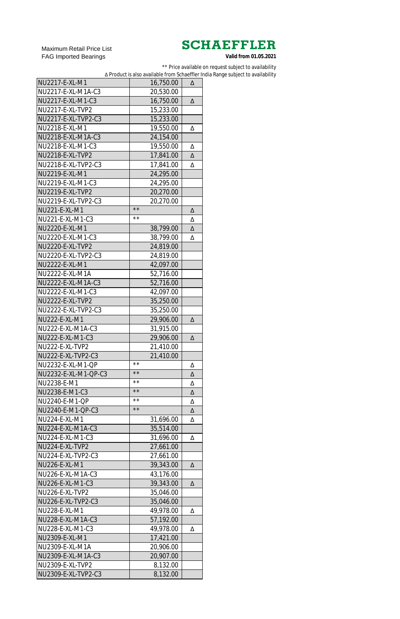Maximum Retail Price List FAG Imported Bearings

\*\* Price available on request subject to availability

∆ Product is also available from Schaeffler India Range subject to availability

| NU2217-E-XL-M1          | 16,750.00                 | Δ |
|-------------------------|---------------------------|---|
| NU2217-E-XL-M1A-C3      | 20,530.00                 |   |
| NU2217-E-XL-M1-C3       | 16,750.00                 | Δ |
| NU2217-E-XL-TVP2        | 15,233.00                 |   |
| NU2217-E-XL-TVP2-C3     | 15,233.00                 |   |
| NU2218-E-XL-M1          | 19,550.00                 | Δ |
| NU2218-E-XL-M1A-C3      | 24,154.00                 |   |
| NU2218-E-XL-M1-C3       | 19,550.00                 | Δ |
| <b>NU2218-E-XL-TVP2</b> | 17,841.00                 | Δ |
| NU2218-E-XL-TVP2-C3     |                           |   |
| NU2219-E-XL-M1          | 17,841.00                 | Δ |
| NU2219-E-XL-M1-C3       | 24,295.00                 |   |
| <b>NU2219-E-XL-TVP2</b> | 24,295.00                 |   |
|                         | 20,270.00                 |   |
| NU2219-E-XL-TVP2-C3     | 20,270.00<br>$\star\star$ |   |
| NU221-E-XL-M1           | $\star\,\star$            | Δ |
| NU221-E-XL-M1-C3        |                           | Δ |
| NU2220-E-XL-M1          | 38,799.00                 | Δ |
| NU2220-E-XL-M1-C3       | 38,799.00                 | Δ |
| <b>NU2220-E-XL-TVP2</b> | 24,819.00                 |   |
| NU2220-E-XL-TVP2-C3     | 24,819.00                 |   |
| NU2222-E-XL-M1          | 42,097.00                 |   |
| NU2222-E-XL-M1A         | 52,716.00                 |   |
| NU2222-E-XL-M1A-C3      | 52,716.00                 |   |
| NU2222-E-XL-M1-C3       | 42,097.00                 |   |
| <b>NU2222-E-XL-TVP2</b> | 35,250.00                 |   |
| NU2222-E-XL-TVP2-C3     | 35,250.00                 |   |
| <b>NU222-E-XL-M1</b>    | 29,906.00                 | Δ |
| NU222-E-XL-M1A-C3       | 31,915.00                 |   |
| NU222-E-XL-M1-C3        | 29,906.00                 | Δ |
| NU222-E-XL-TVP2         | 21,410.00                 |   |
| NU222-E-XL-TVP2-C3      | 21,410.00                 |   |
| NU2232-E-XL-M1-OP       | $\star\,\star$            | Δ |
| NU2232-E-XL-M1-QP-C3    | $\star\star$              | Δ |
| NU2238-E-M1             | $\star\,\star$            | Δ |
| NU2238-E-M1-C3          | $\star\star$              | Δ |
| NU2240-E-M1-QP          | $\star\,\star$            | Δ |
| NU2240-E-M1-QP-C3       | $\star\star$              | Δ |
| NU224-E-XL-M1           | 31,696.00                 | Δ |
| NU224-E-XL-M1A-C3       | 35,514.00                 |   |
| NU224-E-XL-M1-C3        | 31,696.00                 | Δ |
| NU224-E-XL-TVP2         | 27,661.00                 |   |
| NU224-E-XL-TVP2-C3      | 27,661.00                 |   |
| <b>NU226-E-XL-M1</b>    | 39,343.00                 | Δ |
| NU226-E-XL-M1A-C3       | 43,176.00                 |   |
| NU226-E-XL-M1-C3        | 39,343.00                 | Δ |
| NU226-E-XL-TVP2         | 35,046.00                 |   |
| NU226-E-XL-TVP2-C3      | 35,046.00                 |   |
| NU228-E-XL-M1           | 49,978.00                 | Δ |
| NU228-E-XL-M1A-C3       | 57,192.00                 |   |
| NU228-E-XL-M1-C3        | 49,978.00                 | Δ |
| NU2309-E-XL-M1          | 17,421.00                 |   |
| NU2309-E-XL-M1A         | 20,906.00                 |   |
| NU2309-E-XL-M1A-C3      | 20,907.00                 |   |
| NU2309-E-XL-TVP2        |                           |   |
| NU2309-E-XL-TVP2-C3     | 8,132.00                  |   |
|                         | 8,132.00                  |   |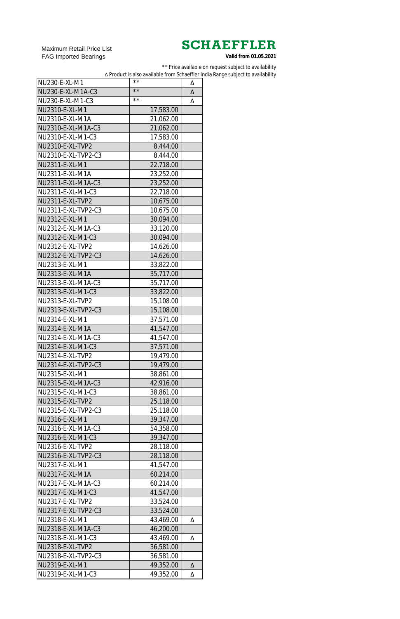Maximum Retail Price List FAG Imported Bearings

\*\* Price available on request subject to availability

∆ Product is also available from Schaeffler India Range subject to availability

| NU230-E-XL-M1           | $\star\,\star$ | Δ |
|-------------------------|----------------|---|
| NU230-E-XL-M1A-C3       | $\star\,\star$ | Δ |
| NU230-E-XL-M1-C3        | $\star\,\star$ | Δ |
| NU2310-E-XL-M1          | 17,583.00      |   |
| NU2310-E-XL-M1A         | 21,062.00      |   |
| NU2310-E-XL-M1A-C3      | 21,062.00      |   |
| NU2310-E-XL-M1-C3       | 17,583.00      |   |
| NU2310-E-XL-TVP2        | 8,444.00       |   |
| NU2310-E-XL-TVP2-C3     | 8,444.00       |   |
| NU2311-E-XL-M1          | 22,718.00      |   |
| NU2311-E-XL-M1A         | 23,252.00      |   |
| NU2311-E-XL-M1A-C3      | 23,252.00      |   |
| NU2311-E-XL-M1-C3       | 22,718.00      |   |
| NU2311-E-XL-TVP2        | 10,675.00      |   |
| NU2311-E-XL-TVP2-C3     | 10,675.00      |   |
| NU2312-E-XL-M1          | 30,094.00      |   |
| NU2312-E-XL-M1A-C3      | 33,120.00      |   |
| NU2312-E-XL-M1-C3       |                |   |
|                         | 30,094.00      |   |
| NU2312-E-XL-TVP2        | 14,626.00      |   |
| NU2312-E-XL-TVP2-C3     | 14,626.00      |   |
| NU2313-E-XL-M1          | 33,822.00      |   |
| NU2313-E-XL-M1A         | 35,717.00      |   |
| NU2313-E-XL-M1A-C3      | 35,717.00      |   |
| NU2313-E-XL-M1-C3       | 33,822.00      |   |
| NU2313-E-XL-TVP2        | 15,108.00      |   |
| NU2313-E-XL-TVP2-C3     | 15,108.00      |   |
| NU2314-E-XL-M1          | 37,571.00      |   |
| NU2314-E-XL-M1A         | 41,547.00      |   |
| NU2314-E-XL-M1A-C3      | 41,547.00      |   |
| NU2314-E-XL-M1-C3       | 37,571.00      |   |
| NU2314-E-XL-TVP2        | 19,479.00      |   |
| NU2314-E-XL-TVP2-C3     | 19,479.00      |   |
| NU2315-E-XL-M1          | 38,861.00      |   |
| NU2315-E-XL-M1A-C3      | 42,916.00      |   |
| NU2315-E-XL-M1-C3       | 38,861.00      |   |
| NU2315-E-XL-TVP2        | 25,118.00      |   |
| NU2315-E-XL-TVP2-C3     | 25,118.00      |   |
| NU2316-E-XL-M1          | 39,347.00      |   |
| NU2316-E-XL-M1A-C3      | 54,358.00      |   |
| NU2316-E-XL-M1-C3       | 39,347.00      |   |
| NU2316-E-XL-TVP2        | 28,118.00      |   |
| NU2316-E-XL-TVP2-C3     | 28,118.00      |   |
| NU2317-E-XL-M1          | 41,547.00      |   |
| NU2317-E-XL-M1A         | 60,214.00      |   |
| NU2317-E-XL-M1A-C3      | 60,214.00      |   |
| NU2317-E-XL-M1-C3       | 41,547.00      |   |
| NU2317-E-XL-TVP2        | 33,524.00      |   |
| NU2317-E-XL-TVP2-C3     | 33,524.00      |   |
| NU2318-E-XL-M1          | 43,469.00      | Δ |
| NU2318-E-XL-M1A-C3      | 46,200.00      |   |
| NU2318-E-XL-M1-C3       | 43,469.00      | Δ |
| <b>NU2318-E-XL-TVP2</b> | 36,581.00      |   |
| NU2318-E-XL-TVP2-C3     | 36,581.00      |   |
| NU2319-E-XL-M1          | 49,352.00      | Δ |
| NU2319-E-XL-M1-C3       | 49,352.00      | Δ |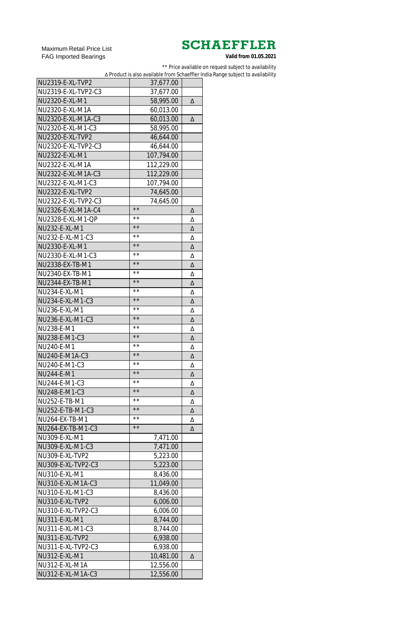Maximum Retail Price List FAG Imported Bearings

\*\* Price available on request subject to availability

∆ Product is also available from Schaeffler India Range subject to availability

| NU2319-E-XL-TVP2        | 37,677.00      |   |
|-------------------------|----------------|---|
| NU2319-E-XL-TVP2-C3     | 37,677.00      |   |
| NU2320-E-XL-M1          | 58,995.00      | Δ |
| NU2320-E-XL-M1A         | 60,013.00      |   |
| NU2320-E-XL-M1A-C3      | 60,013.00      | Δ |
| NU2320-E-XL-M1-C3       | 58,995.00      |   |
| NU2320-E-XL-TVP2        | 46,644.00      |   |
| NU2320-E-XL-TVP2-C3     | 46,644.00      |   |
| NU2322-E-XL-M1          | 107,794.00     |   |
| NU2322-E-XL-M1A         | 112,229.00     |   |
| NU2322-E-XL-M1A-C3      | 112,229.00     |   |
| NU2322-E-XL-M1-C3       | 107,794.00     |   |
| <b>NU2322-E-XL-TVP2</b> | 74,645.00      |   |
| NU2322-E-XL-TVP2-C3     | 74,645.00      |   |
| NU2326-E-XL-M1A-C4      | $\star\star$   | Δ |
| NU2328-E-XL-M1-QP       | $\star\star$   | Δ |
| NU232-E-XL-M1           | $\star\star$   | Δ |
| NU232-E-XL-M1-C3        | $\star\star$   | Δ |
| NU2330-E-XL-M1          | $\star\,\star$ | Δ |
| NU2330-E-XL-M1-C3       | $\star\star$   |   |
|                         | $\star\,\star$ | Δ |
| NU2338-EX-TB-M1         | $\star\star$   | Δ |
| NU2340-EX-TB-M1         | $\star\,\star$ | Δ |
| NU2344-EX-TB-M1         | * *            | Δ |
| NU234-E-XL-M1           | $\star\star$   | Δ |
| NU234-E-XL-M1-C3        |                | Δ |
| NU236-E-XL-M1           | * *            | Δ |
| NU236-E-XL-M1-C3        | $\star\star$   | Δ |
| NU238-E-M1              | $\star\,\star$ | Δ |
| NU238-E-M1-C3           | $\star\star$   | Δ |
| NU240-E-M1              | $\star\,\star$ | Δ |
| NU240-E-M1A-C3          | $\star\star$   | Δ |
| NU240-E-M1-C3           | * *            | Δ |
| <b>NU244-E-M1</b>       | $\star\star$   | Δ |
| NU244-E-M1-C3           | * *            | Δ |
| NU248-E-M1-C3           | $\star\star$   | Δ |
| NU252-E-TB-M1           | * *            | Δ |
| NU252-E-TB-M1-C3        | $\star\star$   | Δ |
| NU264-EX-TB-M1          | $\star\,\star$ | Δ |
| NU264-EX-TB-M1-C3       | $\star\star$   | Δ |
| NU309-E-XL-M1           | 7,471.00       |   |
| NU309-E-XL-M1-C3        | 7,471.00       |   |
| <b>NU309-E-XL-TVP2</b>  | 5,223.00       |   |
| NU309-E-XL-TVP2-C3      | 5,223.00       |   |
| NU310-E-XL-M1           | 8,436.00       |   |
| NU310-E-XL-M1A-C3       | 11,049.00      |   |
| NU310-E-XL-M1-C3        | 8,436.00       |   |
| NU310-E-XL-TVP2         | 6,006.00       |   |
| NU310-E-XL-TVP2-C3      | 6,006.00       |   |
| <b>NU311-E-XL-M1</b>    | 8,744.00       |   |
| NU311-E-XL-M1-C3        | 8,744.00       |   |
| NU311-E-XL-TVP2         | 6,938.00       |   |
| NU311-E-XL-TVP2-C3      | 6,938.00       |   |
| <b>NU312-E-XL-M1</b>    | 10,481.00      | Δ |
| NU312-E-XL-M1A          | 12,556.00      |   |
| NU312-E-XL-M1A-C3       | 12,556.00      |   |
|                         |                |   |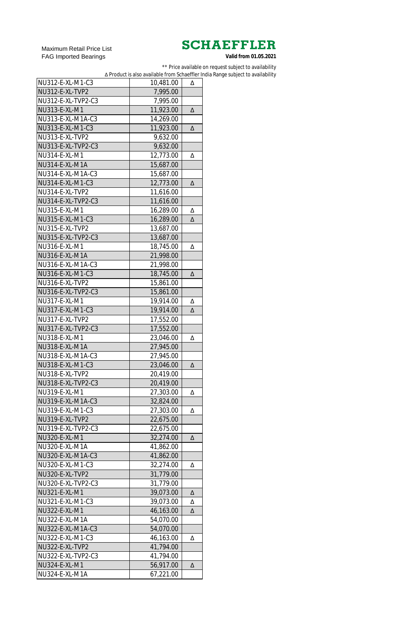Maximum Retail Price List FAG Imported Bearings

\*\* Price available on request subject to availability

∆ Product is also available from Schaeffler India Range subject to availability

| NU312-E-XL-M1-C3      | 10,481.00 | Δ |
|-----------------------|-----------|---|
| NU312-E-XL-TVP2       | 7,995.00  |   |
| NU312-E-XL-TVP2-C3    | 7,995.00  |   |
| NU313-E-XL-M1         | 11,923.00 | Δ |
| NU313-E-XL-M1A-C3     | 14,269.00 |   |
| NU313-E-XL-M1-C3      | 11,923.00 | Δ |
| NU313-E-XL-TVP2       | 9,632.00  |   |
| NU313-E-XL-TVP2-C3    | 9,632.00  |   |
| NU314-E-XL-M1         | 12,773.00 | Δ |
| NU314-E-XL-M1A        | 15,687.00 |   |
| NU314-E-XL-M1A-C3     | 15,687.00 |   |
| NU314-E-XL-M1-C3      | 12,773.00 | Δ |
| NU314-E-XL-TVP2       | 11,616.00 |   |
| NU314-E-XL-TVP2-C3    | 11,616.00 |   |
| NU315-E-XL-M1         | 16,289.00 | Δ |
| NU315-E-XL-M1-C3      | 16,289.00 | Δ |
| NU315-E-XL-TVP2       | 13,687.00 |   |
| NU315-E-XL-TVP2-C3    | 13,687.00 |   |
| NU316-E-XL-M1         | 18,745.00 |   |
|                       |           | Δ |
| NU316-E-XL-M1A        | 21,998.00 |   |
| NU316-E-XL-M1A-C3     | 21,998.00 |   |
| NU316-E-XL-M1-C3      | 18,745.00 | Δ |
| NU316-E-XL-TVP2       | 15,861.00 |   |
| NU316-E-XL-TVP2-C3    | 15,861.00 |   |
| NU317-E-XL-M1         | 19,914.00 | Δ |
| NU317-E-XL-M1-C3      | 19,914.00 | Δ |
| NU317-E-XL-TVP2       | 17,552.00 |   |
| NU317-E-XL-TVP2-C3    | 17,552.00 |   |
| NU318-E-XL-M1         | 23,046.00 | Δ |
| <b>NU318-E-XL-M1A</b> | 27,945.00 |   |
| NU318-E-XL-M1A-C3     | 27,945.00 |   |
| NU318-E-XL-M1-C3      | 23,046.00 | Δ |
| NU318-E-XL-TVP2       | 20,419.00 |   |
| NU318-E-XL-TVP2-C3    | 20,419.00 |   |
| NU319-E-XL-M1         | 27,303.00 | Δ |
| NU319-E-XL-M1A-C3     | 32,824.00 |   |
| NU319-E-XL-M1-C3      | 27,303.00 | Δ |
| NU319-E-XL-TVP2       | 22,675.00 |   |
| NU319-E-XL-TVP2-C3    | 22,675.00 |   |
| NU320-E-XL-M1         | 32,274.00 | Δ |
| NU320-E-XL-M1A        | 41,862.00 |   |
| NU320-E-XL-M1A-C3     | 41,862.00 |   |
| NU320-E-XL-M1-C3      | 32,274.00 | Δ |
| NU320-E-XL-TVP2       | 31,779.00 |   |
| NU320-E-XL-TVP2-C3    | 31,779.00 |   |
| NU321-E-XL-M1         | 39,073.00 | Δ |
| NU321-E-XL-M1-C3      | 39,073.00 | Δ |
| NU322-E-XL-M1         | 46,163.00 | Δ |
| NU322-E-XL-M1A        | 54,070.00 |   |
| NU322-E-XL-M1A-C3     | 54,070.00 |   |
| NU322-E-XL-M1-C3      | 46,163.00 | Δ |
| NU322-E-XL-TVP2       | 41,794.00 |   |
| NU322-E-XL-TVP2-C3    | 41,794.00 |   |
| NU324-E-XL-M1         | 56,917.00 | Δ |
| NU324-E-XL-M1A        | 67,221.00 |   |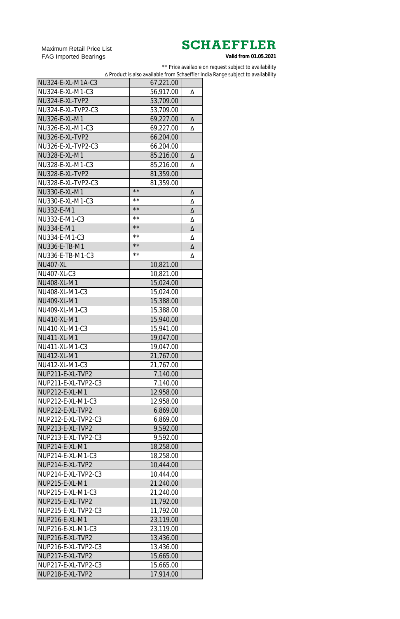Maximum Retail Price List FAG Imported Bearings

\*\* Price available on request subject to availability

∆ Product is also available from Schaeffler India Range subject to availability

| NU324-E-XL-M1A-C3   | 67,221.00      |   |
|---------------------|----------------|---|
| NU324-E-XL-M1-C3    | 56,917.00      | Δ |
| NU324-E-XL-TVP2     | 53,709.00      |   |
| NU324-E-XL-TVP2-C3  | 53,709.00      |   |
| NU326-E-XL-M1       | 69,227.00      | Δ |
| NU326-E-XL-M1-C3    | 69,227.00      | Δ |
| NU326-E-XL-TVP2     | 66,204.00      |   |
| NU326-E-XL-TVP2-C3  | 66,204.00      |   |
| NU328-E-XL-M1       | 85,216.00      | Δ |
| NU328-E-XL-M1-C3    | 85,216.00      | Δ |
| NU328-E-XL-TVP2     | 81,359.00      |   |
| NU328-E-XL-TVP2-C3  | 81,359.00      |   |
| NU330-E-XL-M1       | $\star\star$   | Δ |
| NU330-E-XL-M1-C3    | $\star\,\star$ | Δ |
| NU332-E-M1          | $\star\star$   | Δ |
| NU332-E-M1-C3       | $\star\,\star$ | Δ |
| NU334-E-M1          | $\star\star$   | Δ |
| NU334-E-M1-C3       | $\star\,\star$ | Δ |
| NU336-E-TB-M1       | $\star\star$   | Δ |
| NU336-E-TB-M1-C3    | **             | Δ |
| <b>NU407-XL</b>     | 10,821.00      |   |
| NU407-XL-C3         | 10,821.00      |   |
| NU408-XL-M1         | 15,024.00      |   |
| NU408-XL-M1-C3      | 15,024.00      |   |
| <b>NU409-XL-M1</b>  | 15,388.00      |   |
| NU409-XL-M1-C3      | 15,388.00      |   |
| <b>NU410-XL-M1</b>  | 15,940.00      |   |
| NU410-XL-M1-C3      | 15,941.00      |   |
| <b>NU411-XL-M1</b>  | 19,047.00      |   |
| NU411-XL-M1-C3      | 19,047.00      |   |
| <b>NU412-XL-M1</b>  | 21,767.00      |   |
| NU412-XL-M1-C3      | 21,767.00      |   |
| NUP211-E-XL-TVP2    | 7,140.00       |   |
| NUP211-E-XL-TVP2-C3 | 7,140.00       |   |
| NUP212-E-XL-M1      | 12,958.00      |   |
| NUP212-E-XL-M1-C3   | 12,958.00      |   |
| NUP212-E-XL-TVP2    | 6,869.00       |   |
| NUP212-E-XL-TVP2-C3 | 6,869.00       |   |
| NUP213-E-XL-TVP2    | 9,592.00       |   |
| NUP213-E-XL-TVP2-C3 | 9,592.00       |   |
| NUP214-E-XL-M1      | 18,258.00      |   |
| NUP214-E-XL-M1-C3   | 18,258.00      |   |
| NUP214-E-XL-TVP2    | 10,444.00      |   |
| NUP214-E-XL-TVP2-C3 | 10,444.00      |   |
| NUP215-E-XL-M1      | 21,240.00      |   |
| NUP215-E-XL-M1-C3   | 21,240.00      |   |
| NUP215-E-XL-TVP2    | 11,792.00      |   |
| NUP215-E-XL-TVP2-C3 | 11,792.00      |   |
| NUP216-E-XL-M1      | 23,119.00      |   |
| NUP216-E-XL-M1-C3   | 23,119.00      |   |
| NUP216-E-XL-TVP2    | 13,436.00      |   |
| NUP216-E-XL-TVP2-C3 | 13,436.00      |   |
| NUP217-E-XL-TVP2    | 15,665.00      |   |
| NUP217-E-XL-TVP2-C3 | 15,665.00      |   |
| NUP218-E-XL-TVP2    | 17,914.00      |   |
|                     |                |   |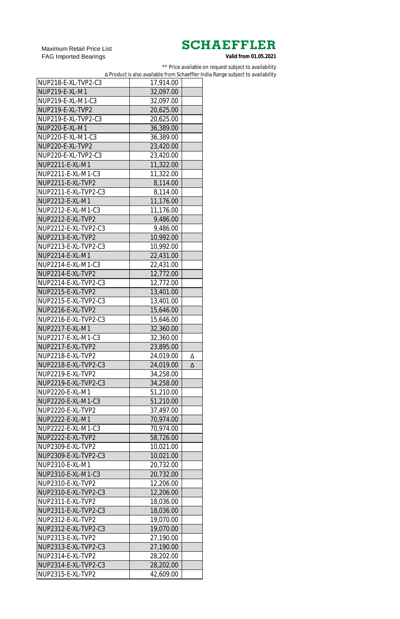Maximum Retail Price List FAG Imported Bearings

\*\* Price available on request subject to availability

∆ Product is also available from Schaeffler India Range subject to availability

| NUP218-E-XL-TVP2-C3   | 17,914.00 |   |
|-----------------------|-----------|---|
| <b>NUP219-E-XL-M1</b> | 32,097.00 |   |
| NUP219-E-XL-M1-C3     | 32,097.00 |   |
| NUP219-E-XL-TVP2      | 20,625.00 |   |
| NUP219-E-XL-TVP2-C3   | 20,625.00 |   |
| NUP220-E-XL-M1        | 36,389.00 |   |
| NUP220-E-XL-M1-C3     | 36,389.00 |   |
| NUP220-E-XL-TVP2      | 23,420.00 |   |
| NUP220-E-XL-TVP2-C3   | 23,420.00 |   |
| NUP2211-E-XL-M1       | 11,322.00 |   |
| NUP2211-E-XL-M1-C3    | 11,322.00 |   |
| NUP2211-E-XL-TVP2     | 8,114.00  |   |
| NUP2211-E-XL-TVP2-C3  | 8,114.00  |   |
| NUP2212-E-XL-M1       | 11,176.00 |   |
| NUP2212-E-XL-M1-C3    | 11,176.00 |   |
|                       |           |   |
| NUP2212-E-XL-TVP2     | 9,486.00  |   |
| NUP2212-E-XL-TVP2-C3  | 9,486.00  |   |
| NUP2213-E-XL-TVP2     | 10,992.00 |   |
| NUP2213-E-XL-TVP2-C3  | 10,992.00 |   |
| NUP2214-E-XL-M1       | 22,431.00 |   |
| NUP2214-E-XL-M1-C3    | 22,431.00 |   |
| NUP2214-E-XL-TVP2     | 12,772.00 |   |
| NUP2214-E-XL-TVP2-C3  | 12,772.00 |   |
| NUP2215-E-XL-TVP2     | 13,401.00 |   |
| NUP2215-E-XL-TVP2-C3  | 13,401.00 |   |
| NUP2216-E-XL-TVP2     | 15,646.00 |   |
| NUP2216-E-XL-TVP2-C3  | 15,646.00 |   |
| NUP2217-E-XL-M1       | 32,360.00 |   |
| NUP2217-E-XL-M1-C3    | 32,360.00 |   |
| NUP2217-E-XL-TVP2     | 23,895.00 |   |
| NUP2218-E-XL-TVP2     | 24,019.00 | Δ |
| NUP2218-E-XL-TVP2-C3  | 24,019.00 | Δ |
| NUP2219-E-XL-TVP2     | 34,258.00 |   |
| NUP2219-E-XL-TVP2-C3  | 34,258.00 |   |
| NUP2220-E-XL-M1       |           |   |
|                       | 51,210.00 |   |
| NUP2220-E-XL-M1-C3    | 51,210.00 |   |
| NUP2220-E-XL-TVP2     | 37,497.00 |   |
| NUP2222-E-XL-M1       | 70,974.00 |   |
| NUP2222-E-XL-M1-C3    | 70,974.00 |   |
| NUP2222-E-XL-TVP2     | 58,726.00 |   |
| NUP2309-E-XL-TVP2     | 10,021.00 |   |
| NUP2309-E-XL-TVP2-C3  | 10,021.00 |   |
| NUP2310-E-XL-M1       | 20,732.00 |   |
| NUP2310-E-XL-M1-C3    | 20,732.00 |   |
| NUP2310-E-XL-TVP2     | 12,206.00 |   |
| NUP2310-E-XL-TVP2-C3  | 12,206.00 |   |
| NUP2311-E-XL-TVP2     | 18,036.00 |   |
| NUP2311-E-XL-TVP2-C3  | 18,036.00 |   |
| NUP2312-E-XL-TVP2     | 19,070.00 |   |
| NUP2312-E-XL-TVP2-C3  | 19,070.00 |   |
| NUP2313-E-XL-TVP2     | 27,190.00 |   |
| NUP2313-E-XL-TVP2-C3  | 27,190.00 |   |
| NUP2314-E-XL-TVP2     | 28,202.00 |   |
| NUP2314-E-XL-TVP2-C3  | 28,202.00 |   |
|                       |           |   |
| NUP2315-E-XL-TVP2     | 42,609.00 |   |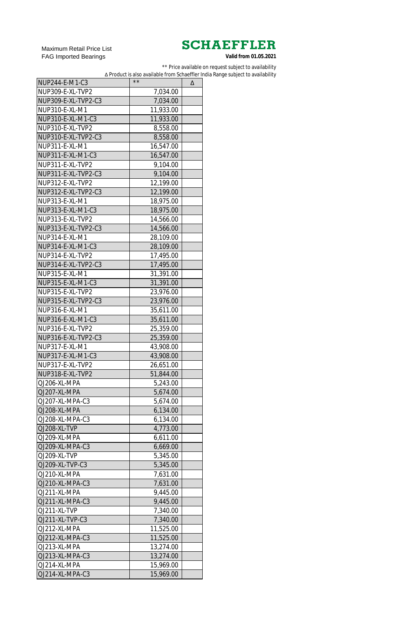Maximum Retail Price List FAG Imported Bearings

\*\* Price available on request subject to availability

∆ Product is also available from Schaeffler India Range subject to availability

| NUP244-E-M1-C3      | $\star\star$ | Δ |
|---------------------|--------------|---|
| NUP309-E-XL-TVP2    | 7,034.00     |   |
| NUP309-E-XL-TVP2-C3 | 7,034.00     |   |
| NUP310-E-XL-M1      | 11,933.00    |   |
| NUP310-E-XL-M1-C3   | 11,933.00    |   |
| NUP310-E-XL-TVP2    | 8,558.00     |   |
| NUP310-E-XL-TVP2-C3 | 8,558.00     |   |
| NUP311-E-XL-M1      | 16,547.00    |   |
| NUP311-E-XL-M1-C3   | 16,547.00    |   |
| NUP311-E-XL-TVP2    | 9,104.00     |   |
| NUP311-E-XL-TVP2-C3 | 9,104.00     |   |
| NUP312-E-XL-TVP2    | 12,199.00    |   |
| NUP312-E-XL-TVP2-C3 | 12,199.00    |   |
| NUP313-E-XL-M1      | 18,975.00    |   |
| NUP313-E-XL-M1-C3   | 18,975.00    |   |
| NUP313-E-XL-TVP2    | 14,566.00    |   |
| NUP313-E-XL-TVP2-C3 |              |   |
|                     | 14,566.00    |   |
| NUP314-E-XL-M1      | 28,109.00    |   |
| NUP314-E-XL-M1-C3   | 28,109.00    |   |
| NUP314-E-XL-TVP2    | 17,495.00    |   |
| NUP314-E-XL-TVP2-C3 | 17,495.00    |   |
| NUP315-E-XL-M1      | 31,391.00    |   |
| NUP315-E-XL-M1-C3   | 31,391.00    |   |
| NUP315-E-XL-TVP2    | 23,976.00    |   |
| NUP315-E-XL-TVP2-C3 | 23,976.00    |   |
| NUP316-E-XL-M1      | 35,611.00    |   |
| NUP316-E-XL-M1-C3   | 35,611.00    |   |
| NUP316-E-XL-TVP2    | 25,359.00    |   |
| NUP316-E-XL-TVP2-C3 | 25,359.00    |   |
| NUP317-E-XL-M1      | 43,908.00    |   |
| NUP317-E-XL-M1-C3   | 43,908.00    |   |
| NUP317-E-XL-TVP2    | 26,651.00    |   |
| NUP318-E-XL-TVP2    | 51,844.00    |   |
| QJ206-XL-MPA        | 5,243.00     |   |
| QJ207-XL-MPA        | 5,674.00     |   |
| QJ207-XL-MPA-C3     | 5,674.00     |   |
| QJ208-XL-MPA        | 6,134.00     |   |
| QJ208-XL-MPA-C3     | 6,134.00     |   |
| QJ208-XL-TVP        | 4,773.00     |   |
| QJ209-XL-MPA        | 6,611.00     |   |
| QJ209-XL-MPA-C3     | 6,669.00     |   |
| QJ209-XL-TVP        | 5,345.00     |   |
| QJ209-XL-TVP-C3     | 5,345.00     |   |
| QJ210-XL-MPA        | 7,631.00     |   |
| QJ210-XL-MPA-C3     | 7,631.00     |   |
| QJ211-XL-MPA        | 9,445.00     |   |
| QJ211-XL-MPA-C3     | 9,445.00     |   |
| QJ211-XL-TVP        | 7,340.00     |   |
| QJ211-XL-TVP-C3     | 7,340.00     |   |
| QJ212-XL-MPA        | 11,525.00    |   |
| QJ212-XL-MPA-C3     | 11,525.00    |   |
| QJ213-XL-MPA        | 13,274.00    |   |
| QJ213-XL-MPA-C3     | 13,274.00    |   |
| QJ214-XL-MPA        | 15,969.00    |   |
| QJ214-XL-MPA-C3     | 15,969.00    |   |